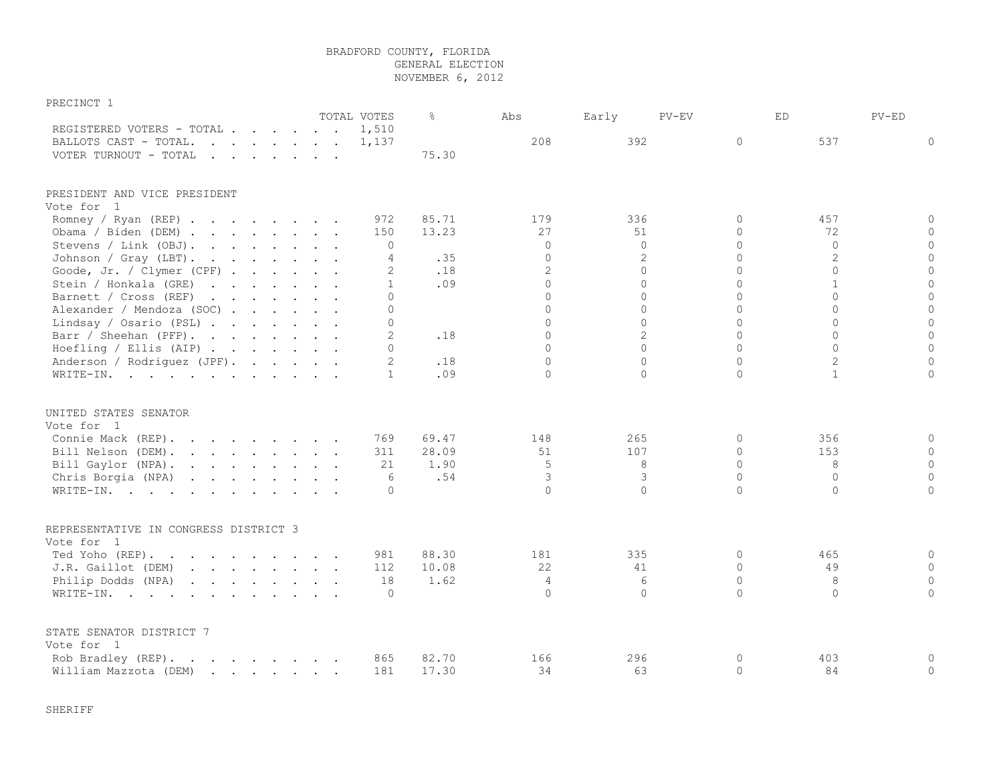## BRADFORD COUNTY, FLORIDA GENERAL ELECTION NOVEMBER 6, 2012

| &<br>$PV-ED$<br>TOTAL VOTES<br>Abs<br>Early<br>$PV-EV$<br>ED<br>REGISTERED VOTERS - TOTAL<br>1,510<br>537<br>208<br>392<br>$\circ$<br>$\Omega$<br>BALLOTS CAST - TOTAL.<br>$\mathbf{r}$ , and $\mathbf{r}$ , and $\mathbf{r}$ , and $\mathbf{r}$<br>1,137<br>VOTER TURNOUT - TOTAL<br>75.30<br>PRESIDENT AND VICE PRESIDENT<br>Vote for 1<br>85.71<br>179<br>336<br>457<br>$\Omega$<br>Romney / Ryan (REP) $\cdots$ $\cdots$ $\cdots$<br>972<br>0<br>13.23<br>27<br>$\Omega$<br>72<br>Obama / Biden (DEM)<br>150<br>51<br>$\Omega$<br>$\Omega$<br>$\Omega$<br>Stevens / Link (OBJ).<br>$\mathbf{0}$<br>0<br>$\mathbf{2}$<br>$\mathbf{2}$<br>.35<br>$\Omega$<br>$\Omega$<br>Johnson / Gray (LBT).<br>4<br>$\overline{2}$<br>2<br>$\Omega$<br>$\Omega$<br>$\Omega$<br>Goode, Jr. / Clymer (CPF)<br>.18<br>$\circ$<br>$\Omega$<br>$\circ$<br>$\mathbf{1}$<br>Stein / Honkala (GRE)<br>.09<br>1<br>$\Omega$<br>$\Omega$<br>$\Omega$<br>$\circ$<br>Barnett / Cross (REF)<br>$\Omega$<br>$\Omega$<br>$\Omega$<br>$\Omega$<br>$\Omega$<br>Alexander / Mendoza (SOC)<br>$\bigcap$<br>$\mathbf{0}$<br>$\circ$<br>$\circ$<br>$\circ$<br>Lindsay / Osario (PSL)<br>$\circ$<br>$\overline{c}$<br>$\overline{2}$<br>$\Omega$<br>$\Omega$<br>$\Omega$<br>$\Omega$<br>Barr / Sheehan (PFP).<br>.18<br>$\Omega$<br>$\Omega$<br>$\Omega$<br>$\Omega$<br>Hoefling / Ellis (AIP)<br>$\Omega$<br>$\circ$<br>$\mathbf{0}$<br>$\circ$<br>$\mathbf{2}$<br>Anderson / Rodriguez (JPF).<br>2<br>.18<br>$\Omega$<br>$\Omega$<br>$\mathbf{1}$<br>$\Omega$<br>$\mathbf{1}$<br>.09<br>$\Omega$<br>WRITE-IN.<br>UNITED STATES SENATOR<br>Vote for 1<br>Connie Mack (REP).<br>69.47<br>148<br>265<br>356<br>769<br>0<br>51<br>$\circ$<br>Bill Nelson (DEM).<br>311<br>28.09<br>107<br>153<br>$\Omega$<br>5<br>8<br>$\Omega$<br>8<br>1.90<br>0<br>Bill Gaylor (NPA).<br>21<br>3<br>3<br>$\circ$<br>.54<br>$\circ$<br>$\Omega$<br>Chris Borgia (NPA)<br>6<br>$\Omega$<br>$\Omega$<br>$\Omega$<br>$\Omega$<br>$\cap$<br>WRITE-IN.<br>$\Omega$<br>REPRESENTATIVE IN CONGRESS DISTRICT 3<br>Vote for 1<br>Ted Yoho (REP).<br>88.30<br>181<br>335<br>$\circ$<br>465<br>$\Omega$<br>981<br>22<br>$\circ$<br>49<br>J.R. Gaillot (DEM)<br>112<br>10.08<br>41<br>and the contract of the contract of the contract of the contract of the contract of the contract of the contract of the contract of the contract of the contract of the contract of the contract of the contract of the contra<br>$\overline{4}$<br>6<br>$\Omega$<br>8<br>18<br>1.62<br>Philip Dodds (NPA)<br>$\Omega$<br>$\mathbf{0}$<br>$\Omega$<br>$\circ$<br>WRITE-IN.<br>0<br>STATE SENATOR DISTRICT 7<br>Vote for 1<br>82.70<br>166<br>296<br>403<br>Rob Bradley (REP).<br>0<br>865<br>0<br>17.30<br>34<br>$\Omega$<br>84<br>$\Omega$<br>William Mazzota (DEM)<br>181<br>63 | PRECINCT 1 |  |  |  |  |  |  |
|-----------------------------------------------------------------------------------------------------------------------------------------------------------------------------------------------------------------------------------------------------------------------------------------------------------------------------------------------------------------------------------------------------------------------------------------------------------------------------------------------------------------------------------------------------------------------------------------------------------------------------------------------------------------------------------------------------------------------------------------------------------------------------------------------------------------------------------------------------------------------------------------------------------------------------------------------------------------------------------------------------------------------------------------------------------------------------------------------------------------------------------------------------------------------------------------------------------------------------------------------------------------------------------------------------------------------------------------------------------------------------------------------------------------------------------------------------------------------------------------------------------------------------------------------------------------------------------------------------------------------------------------------------------------------------------------------------------------------------------------------------------------------------------------------------------------------------------------------------------------------------------------------------------------------------------------------------------------------------------------------------------------------------------------------------------------------------------------------------------------------------------------------------------------------------------------------------------------------------------------------------------------------------------------------------------------------------------------------------------------------------------------------------------------------------------------------------------------------------------------------------------------------------------------------------------------------------------------------------------------------------------------------------------------------------------------------------------------------------------------------------------------------------------------------------------|------------|--|--|--|--|--|--|
|                                                                                                                                                                                                                                                                                                                                                                                                                                                                                                                                                                                                                                                                                                                                                                                                                                                                                                                                                                                                                                                                                                                                                                                                                                                                                                                                                                                                                                                                                                                                                                                                                                                                                                                                                                                                                                                                                                                                                                                                                                                                                                                                                                                                                                                                                                                                                                                                                                                                                                                                                                                                                                                                                                                                                                                                           |            |  |  |  |  |  |  |
|                                                                                                                                                                                                                                                                                                                                                                                                                                                                                                                                                                                                                                                                                                                                                                                                                                                                                                                                                                                                                                                                                                                                                                                                                                                                                                                                                                                                                                                                                                                                                                                                                                                                                                                                                                                                                                                                                                                                                                                                                                                                                                                                                                                                                                                                                                                                                                                                                                                                                                                                                                                                                                                                                                                                                                                                           |            |  |  |  |  |  |  |
|                                                                                                                                                                                                                                                                                                                                                                                                                                                                                                                                                                                                                                                                                                                                                                                                                                                                                                                                                                                                                                                                                                                                                                                                                                                                                                                                                                                                                                                                                                                                                                                                                                                                                                                                                                                                                                                                                                                                                                                                                                                                                                                                                                                                                                                                                                                                                                                                                                                                                                                                                                                                                                                                                                                                                                                                           |            |  |  |  |  |  |  |
|                                                                                                                                                                                                                                                                                                                                                                                                                                                                                                                                                                                                                                                                                                                                                                                                                                                                                                                                                                                                                                                                                                                                                                                                                                                                                                                                                                                                                                                                                                                                                                                                                                                                                                                                                                                                                                                                                                                                                                                                                                                                                                                                                                                                                                                                                                                                                                                                                                                                                                                                                                                                                                                                                                                                                                                                           |            |  |  |  |  |  |  |
|                                                                                                                                                                                                                                                                                                                                                                                                                                                                                                                                                                                                                                                                                                                                                                                                                                                                                                                                                                                                                                                                                                                                                                                                                                                                                                                                                                                                                                                                                                                                                                                                                                                                                                                                                                                                                                                                                                                                                                                                                                                                                                                                                                                                                                                                                                                                                                                                                                                                                                                                                                                                                                                                                                                                                                                                           |            |  |  |  |  |  |  |
|                                                                                                                                                                                                                                                                                                                                                                                                                                                                                                                                                                                                                                                                                                                                                                                                                                                                                                                                                                                                                                                                                                                                                                                                                                                                                                                                                                                                                                                                                                                                                                                                                                                                                                                                                                                                                                                                                                                                                                                                                                                                                                                                                                                                                                                                                                                                                                                                                                                                                                                                                                                                                                                                                                                                                                                                           |            |  |  |  |  |  |  |
|                                                                                                                                                                                                                                                                                                                                                                                                                                                                                                                                                                                                                                                                                                                                                                                                                                                                                                                                                                                                                                                                                                                                                                                                                                                                                                                                                                                                                                                                                                                                                                                                                                                                                                                                                                                                                                                                                                                                                                                                                                                                                                                                                                                                                                                                                                                                                                                                                                                                                                                                                                                                                                                                                                                                                                                                           |            |  |  |  |  |  |  |
|                                                                                                                                                                                                                                                                                                                                                                                                                                                                                                                                                                                                                                                                                                                                                                                                                                                                                                                                                                                                                                                                                                                                                                                                                                                                                                                                                                                                                                                                                                                                                                                                                                                                                                                                                                                                                                                                                                                                                                                                                                                                                                                                                                                                                                                                                                                                                                                                                                                                                                                                                                                                                                                                                                                                                                                                           |            |  |  |  |  |  |  |
|                                                                                                                                                                                                                                                                                                                                                                                                                                                                                                                                                                                                                                                                                                                                                                                                                                                                                                                                                                                                                                                                                                                                                                                                                                                                                                                                                                                                                                                                                                                                                                                                                                                                                                                                                                                                                                                                                                                                                                                                                                                                                                                                                                                                                                                                                                                                                                                                                                                                                                                                                                                                                                                                                                                                                                                                           |            |  |  |  |  |  |  |
|                                                                                                                                                                                                                                                                                                                                                                                                                                                                                                                                                                                                                                                                                                                                                                                                                                                                                                                                                                                                                                                                                                                                                                                                                                                                                                                                                                                                                                                                                                                                                                                                                                                                                                                                                                                                                                                                                                                                                                                                                                                                                                                                                                                                                                                                                                                                                                                                                                                                                                                                                                                                                                                                                                                                                                                                           |            |  |  |  |  |  |  |
|                                                                                                                                                                                                                                                                                                                                                                                                                                                                                                                                                                                                                                                                                                                                                                                                                                                                                                                                                                                                                                                                                                                                                                                                                                                                                                                                                                                                                                                                                                                                                                                                                                                                                                                                                                                                                                                                                                                                                                                                                                                                                                                                                                                                                                                                                                                                                                                                                                                                                                                                                                                                                                                                                                                                                                                                           |            |  |  |  |  |  |  |
|                                                                                                                                                                                                                                                                                                                                                                                                                                                                                                                                                                                                                                                                                                                                                                                                                                                                                                                                                                                                                                                                                                                                                                                                                                                                                                                                                                                                                                                                                                                                                                                                                                                                                                                                                                                                                                                                                                                                                                                                                                                                                                                                                                                                                                                                                                                                                                                                                                                                                                                                                                                                                                                                                                                                                                                                           |            |  |  |  |  |  |  |
|                                                                                                                                                                                                                                                                                                                                                                                                                                                                                                                                                                                                                                                                                                                                                                                                                                                                                                                                                                                                                                                                                                                                                                                                                                                                                                                                                                                                                                                                                                                                                                                                                                                                                                                                                                                                                                                                                                                                                                                                                                                                                                                                                                                                                                                                                                                                                                                                                                                                                                                                                                                                                                                                                                                                                                                                           |            |  |  |  |  |  |  |
|                                                                                                                                                                                                                                                                                                                                                                                                                                                                                                                                                                                                                                                                                                                                                                                                                                                                                                                                                                                                                                                                                                                                                                                                                                                                                                                                                                                                                                                                                                                                                                                                                                                                                                                                                                                                                                                                                                                                                                                                                                                                                                                                                                                                                                                                                                                                                                                                                                                                                                                                                                                                                                                                                                                                                                                                           |            |  |  |  |  |  |  |
|                                                                                                                                                                                                                                                                                                                                                                                                                                                                                                                                                                                                                                                                                                                                                                                                                                                                                                                                                                                                                                                                                                                                                                                                                                                                                                                                                                                                                                                                                                                                                                                                                                                                                                                                                                                                                                                                                                                                                                                                                                                                                                                                                                                                                                                                                                                                                                                                                                                                                                                                                                                                                                                                                                                                                                                                           |            |  |  |  |  |  |  |
|                                                                                                                                                                                                                                                                                                                                                                                                                                                                                                                                                                                                                                                                                                                                                                                                                                                                                                                                                                                                                                                                                                                                                                                                                                                                                                                                                                                                                                                                                                                                                                                                                                                                                                                                                                                                                                                                                                                                                                                                                                                                                                                                                                                                                                                                                                                                                                                                                                                                                                                                                                                                                                                                                                                                                                                                           |            |  |  |  |  |  |  |
|                                                                                                                                                                                                                                                                                                                                                                                                                                                                                                                                                                                                                                                                                                                                                                                                                                                                                                                                                                                                                                                                                                                                                                                                                                                                                                                                                                                                                                                                                                                                                                                                                                                                                                                                                                                                                                                                                                                                                                                                                                                                                                                                                                                                                                                                                                                                                                                                                                                                                                                                                                                                                                                                                                                                                                                                           |            |  |  |  |  |  |  |
|                                                                                                                                                                                                                                                                                                                                                                                                                                                                                                                                                                                                                                                                                                                                                                                                                                                                                                                                                                                                                                                                                                                                                                                                                                                                                                                                                                                                                                                                                                                                                                                                                                                                                                                                                                                                                                                                                                                                                                                                                                                                                                                                                                                                                                                                                                                                                                                                                                                                                                                                                                                                                                                                                                                                                                                                           |            |  |  |  |  |  |  |
|                                                                                                                                                                                                                                                                                                                                                                                                                                                                                                                                                                                                                                                                                                                                                                                                                                                                                                                                                                                                                                                                                                                                                                                                                                                                                                                                                                                                                                                                                                                                                                                                                                                                                                                                                                                                                                                                                                                                                                                                                                                                                                                                                                                                                                                                                                                                                                                                                                                                                                                                                                                                                                                                                                                                                                                                           |            |  |  |  |  |  |  |
|                                                                                                                                                                                                                                                                                                                                                                                                                                                                                                                                                                                                                                                                                                                                                                                                                                                                                                                                                                                                                                                                                                                                                                                                                                                                                                                                                                                                                                                                                                                                                                                                                                                                                                                                                                                                                                                                                                                                                                                                                                                                                                                                                                                                                                                                                                                                                                                                                                                                                                                                                                                                                                                                                                                                                                                                           |            |  |  |  |  |  |  |
|                                                                                                                                                                                                                                                                                                                                                                                                                                                                                                                                                                                                                                                                                                                                                                                                                                                                                                                                                                                                                                                                                                                                                                                                                                                                                                                                                                                                                                                                                                                                                                                                                                                                                                                                                                                                                                                                                                                                                                                                                                                                                                                                                                                                                                                                                                                                                                                                                                                                                                                                                                                                                                                                                                                                                                                                           |            |  |  |  |  |  |  |
|                                                                                                                                                                                                                                                                                                                                                                                                                                                                                                                                                                                                                                                                                                                                                                                                                                                                                                                                                                                                                                                                                                                                                                                                                                                                                                                                                                                                                                                                                                                                                                                                                                                                                                                                                                                                                                                                                                                                                                                                                                                                                                                                                                                                                                                                                                                                                                                                                                                                                                                                                                                                                                                                                                                                                                                                           |            |  |  |  |  |  |  |
|                                                                                                                                                                                                                                                                                                                                                                                                                                                                                                                                                                                                                                                                                                                                                                                                                                                                                                                                                                                                                                                                                                                                                                                                                                                                                                                                                                                                                                                                                                                                                                                                                                                                                                                                                                                                                                                                                                                                                                                                                                                                                                                                                                                                                                                                                                                                                                                                                                                                                                                                                                                                                                                                                                                                                                                                           |            |  |  |  |  |  |  |
|                                                                                                                                                                                                                                                                                                                                                                                                                                                                                                                                                                                                                                                                                                                                                                                                                                                                                                                                                                                                                                                                                                                                                                                                                                                                                                                                                                                                                                                                                                                                                                                                                                                                                                                                                                                                                                                                                                                                                                                                                                                                                                                                                                                                                                                                                                                                                                                                                                                                                                                                                                                                                                                                                                                                                                                                           |            |  |  |  |  |  |  |
|                                                                                                                                                                                                                                                                                                                                                                                                                                                                                                                                                                                                                                                                                                                                                                                                                                                                                                                                                                                                                                                                                                                                                                                                                                                                                                                                                                                                                                                                                                                                                                                                                                                                                                                                                                                                                                                                                                                                                                                                                                                                                                                                                                                                                                                                                                                                                                                                                                                                                                                                                                                                                                                                                                                                                                                                           |            |  |  |  |  |  |  |
|                                                                                                                                                                                                                                                                                                                                                                                                                                                                                                                                                                                                                                                                                                                                                                                                                                                                                                                                                                                                                                                                                                                                                                                                                                                                                                                                                                                                                                                                                                                                                                                                                                                                                                                                                                                                                                                                                                                                                                                                                                                                                                                                                                                                                                                                                                                                                                                                                                                                                                                                                                                                                                                                                                                                                                                                           |            |  |  |  |  |  |  |
|                                                                                                                                                                                                                                                                                                                                                                                                                                                                                                                                                                                                                                                                                                                                                                                                                                                                                                                                                                                                                                                                                                                                                                                                                                                                                                                                                                                                                                                                                                                                                                                                                                                                                                                                                                                                                                                                                                                                                                                                                                                                                                                                                                                                                                                                                                                                                                                                                                                                                                                                                                                                                                                                                                                                                                                                           |            |  |  |  |  |  |  |
|                                                                                                                                                                                                                                                                                                                                                                                                                                                                                                                                                                                                                                                                                                                                                                                                                                                                                                                                                                                                                                                                                                                                                                                                                                                                                                                                                                                                                                                                                                                                                                                                                                                                                                                                                                                                                                                                                                                                                                                                                                                                                                                                                                                                                                                                                                                                                                                                                                                                                                                                                                                                                                                                                                                                                                                                           |            |  |  |  |  |  |  |
|                                                                                                                                                                                                                                                                                                                                                                                                                                                                                                                                                                                                                                                                                                                                                                                                                                                                                                                                                                                                                                                                                                                                                                                                                                                                                                                                                                                                                                                                                                                                                                                                                                                                                                                                                                                                                                                                                                                                                                                                                                                                                                                                                                                                                                                                                                                                                                                                                                                                                                                                                                                                                                                                                                                                                                                                           |            |  |  |  |  |  |  |
|                                                                                                                                                                                                                                                                                                                                                                                                                                                                                                                                                                                                                                                                                                                                                                                                                                                                                                                                                                                                                                                                                                                                                                                                                                                                                                                                                                                                                                                                                                                                                                                                                                                                                                                                                                                                                                                                                                                                                                                                                                                                                                                                                                                                                                                                                                                                                                                                                                                                                                                                                                                                                                                                                                                                                                                                           |            |  |  |  |  |  |  |
|                                                                                                                                                                                                                                                                                                                                                                                                                                                                                                                                                                                                                                                                                                                                                                                                                                                                                                                                                                                                                                                                                                                                                                                                                                                                                                                                                                                                                                                                                                                                                                                                                                                                                                                                                                                                                                                                                                                                                                                                                                                                                                                                                                                                                                                                                                                                                                                                                                                                                                                                                                                                                                                                                                                                                                                                           |            |  |  |  |  |  |  |
|                                                                                                                                                                                                                                                                                                                                                                                                                                                                                                                                                                                                                                                                                                                                                                                                                                                                                                                                                                                                                                                                                                                                                                                                                                                                                                                                                                                                                                                                                                                                                                                                                                                                                                                                                                                                                                                                                                                                                                                                                                                                                                                                                                                                                                                                                                                                                                                                                                                                                                                                                                                                                                                                                                                                                                                                           |            |  |  |  |  |  |  |
|                                                                                                                                                                                                                                                                                                                                                                                                                                                                                                                                                                                                                                                                                                                                                                                                                                                                                                                                                                                                                                                                                                                                                                                                                                                                                                                                                                                                                                                                                                                                                                                                                                                                                                                                                                                                                                                                                                                                                                                                                                                                                                                                                                                                                                                                                                                                                                                                                                                                                                                                                                                                                                                                                                                                                                                                           |            |  |  |  |  |  |  |
|                                                                                                                                                                                                                                                                                                                                                                                                                                                                                                                                                                                                                                                                                                                                                                                                                                                                                                                                                                                                                                                                                                                                                                                                                                                                                                                                                                                                                                                                                                                                                                                                                                                                                                                                                                                                                                                                                                                                                                                                                                                                                                                                                                                                                                                                                                                                                                                                                                                                                                                                                                                                                                                                                                                                                                                                           |            |  |  |  |  |  |  |
|                                                                                                                                                                                                                                                                                                                                                                                                                                                                                                                                                                                                                                                                                                                                                                                                                                                                                                                                                                                                                                                                                                                                                                                                                                                                                                                                                                                                                                                                                                                                                                                                                                                                                                                                                                                                                                                                                                                                                                                                                                                                                                                                                                                                                                                                                                                                                                                                                                                                                                                                                                                                                                                                                                                                                                                                           |            |  |  |  |  |  |  |
|                                                                                                                                                                                                                                                                                                                                                                                                                                                                                                                                                                                                                                                                                                                                                                                                                                                                                                                                                                                                                                                                                                                                                                                                                                                                                                                                                                                                                                                                                                                                                                                                                                                                                                                                                                                                                                                                                                                                                                                                                                                                                                                                                                                                                                                                                                                                                                                                                                                                                                                                                                                                                                                                                                                                                                                                           |            |  |  |  |  |  |  |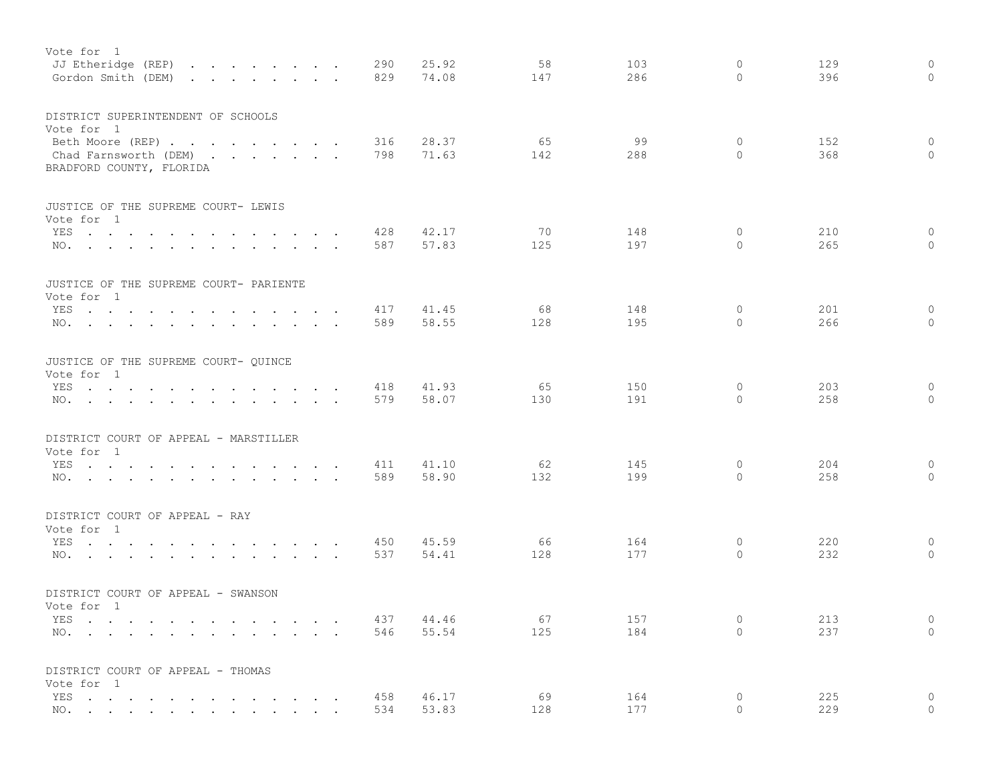| Vote for 1<br>JJ Etheridge (REP)                                                                                                                      | 290        | 25.92          | 58        | 103        | $\circ$  | 129        | $\mathbf{0}$                |
|-------------------------------------------------------------------------------------------------------------------------------------------------------|------------|----------------|-----------|------------|----------|------------|-----------------------------|
| the contract of the contract of the contract of the contract of the contract of<br>Gordon Smith (DEM)                                                 | 829        | 74.08          | 147       | 286        | $\circ$  | 396        | $\circ$                     |
| DISTRICT SUPERINTENDENT OF SCHOOLS                                                                                                                    |            |                |           |            |          |            |                             |
| Vote for 1<br>Beth Moore (REP)                                                                                                                        | 316        | 28.37          | 65        | 99         | 0        | 152        | $\mathbf 0$                 |
| Chad Farnsworth (DEM)                                                                                                                                 | 798        | 71.63          | 142       | 288        | $\Omega$ | 368        | $\Omega$                    |
| BRADFORD COUNTY, FLORIDA                                                                                                                              |            |                |           |            |          |            |                             |
| JUSTICE OF THE SUPREME COURT- LEWIS                                                                                                                   |            |                |           |            |          |            |                             |
| Vote for 1                                                                                                                                            |            |                |           |            |          |            |                             |
| YES<br>the contract of the contract of the contract of the contract of the contract of the contract of the contract of<br>$\ddot{\phantom{1}}$<br>NO. | 428<br>587 | 42.17<br>57.83 | 70<br>125 | 148<br>197 | 0<br>0   | 210<br>265 | $\mathbf 0$<br>$\mathbf{0}$ |
|                                                                                                                                                       |            |                |           |            |          |            |                             |
| JUSTICE OF THE SUPREME COURT- PARIENTE                                                                                                                |            |                |           |            |          |            |                             |
| Vote for 1<br>YES<br>$\mathbf{r}$ . The set of $\mathbf{r}$<br>$\sim$ $\sim$ $\sim$ $\sim$ $\sim$<br>$\sim$<br>$\sim$                                 | 417        | 41.45          | 68        | 148        | 0        | 201        | $\circ$                     |
| NO.<br>the contract of the contract of the contract of the contract of the contract of the contract of the contract of                                | 589        | 58.55          | 128       | 195        | $\Omega$ | 266        | $\Omega$                    |
|                                                                                                                                                       |            |                |           |            |          |            |                             |
| JUSTICE OF THE SUPREME COURT- QUINCE<br>Vote for 1                                                                                                    |            |                |           |            |          |            |                             |
| YES                                                                                                                                                   | 418        | 41.93          | 65        | 150        | 0        | 203        | $\circ$                     |
| the contract of the contract of the contract of the contract of the contract of the contract of the contract of<br>NO.                                | 579        | 58.07          | 130       | 191        | $\circ$  | 258        | $\Omega$                    |
| DISTRICT COURT OF APPEAL - MARSTILLER                                                                                                                 |            |                |           |            |          |            |                             |
| Vote for 1                                                                                                                                            |            |                |           |            |          |            |                             |
| YES<br>the contract of the contract of the contract of the contract of the contract of the contract of the contract of                                | 411        | 41.10          | 62        | 145        | $\circ$  | 204        | $\circ$                     |
| NO.                                                                                                                                                   | 589        | 58.90          | 132       | 199        | 0        | 258        | $\mathbf{0}$                |
| DISTRICT COURT OF APPEAL - RAY                                                                                                                        |            |                |           |            |          |            |                             |
| Vote for 1                                                                                                                                            |            |                |           |            |          |            |                             |
| YES                                                                                                                                                   | 450<br>537 | 45.59<br>54.41 | 66<br>128 | 164<br>177 | 0<br>0   | 220<br>232 | $\mathbf 0$<br>$\Omega$     |
| NO.                                                                                                                                                   |            |                |           |            |          |            |                             |
| DISTRICT COURT OF APPEAL - SWANSON                                                                                                                    |            |                |           |            |          |            |                             |
| Vote for 1                                                                                                                                            |            |                |           |            |          |            |                             |
| YES                                                                                                                                                   | 437        | 44.46          | 67        | 157        | 0        | 213        | $\circ$                     |
| NO.                                                                                                                                                   | 546        | 55.54          | 125       | 184        | $\Omega$ | 237        | $\circ$                     |
| DISTRICT COURT OF APPEAL - THOMAS                                                                                                                     |            |                |           |            |          |            |                             |
| Vote for 1                                                                                                                                            |            |                |           |            |          |            |                             |
| YES<br>$\sim$                                                                                                                                         | 458        | 46.17          | 69        | 164        | 0        | 225        | $\circ$                     |
| NO.<br>the contract of the contract of the contract of the contract of the contract of the contract of the contract of                                | 534        | 53.83          | 128       | 177        | 0        | 229        | $\circledcirc$              |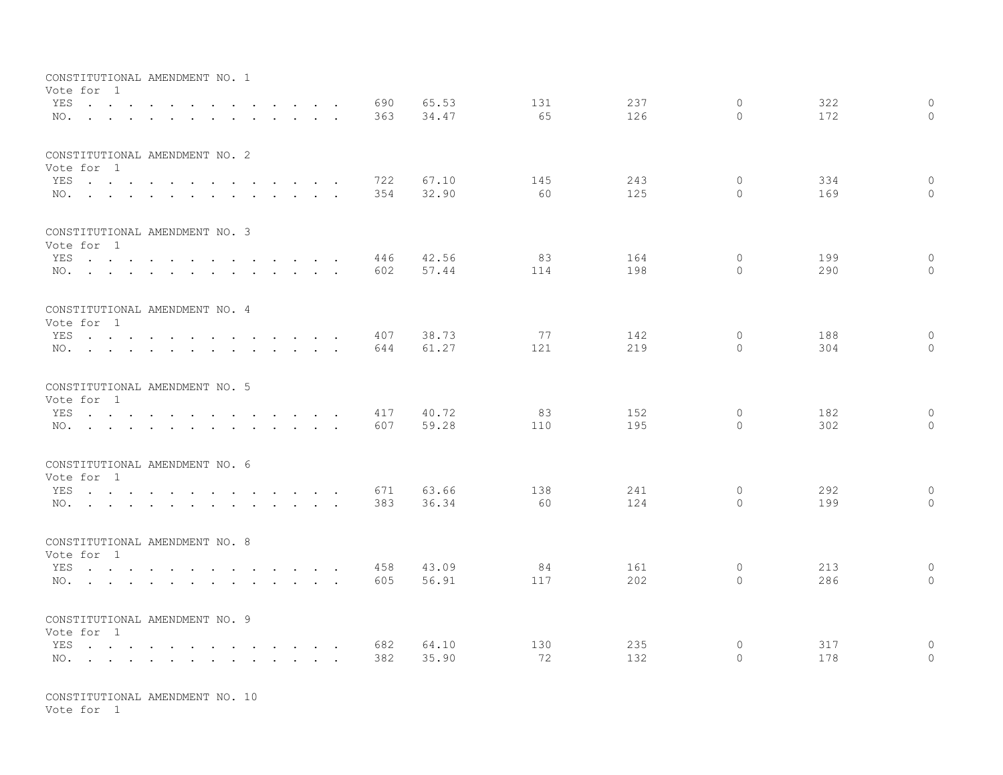| CONSTITUTIONAL AMENDMENT NO. 1<br>Vote for 1        | YES<br>NO.                                                                                                             | $\sim$ $\sim$ $\sim$ $\sim$ |                      |                      | 690<br>363 | 65.53<br>34.47 | 131<br>65 | 237<br>126 | $\Omega$<br>$\Omega$ | 322<br>172 | $\mathbf{0}$<br>$\Omega$     |
|-----------------------------------------------------|------------------------------------------------------------------------------------------------------------------------|-----------------------------|----------------------|----------------------|------------|----------------|-----------|------------|----------------------|------------|------------------------------|
| CONSTITUTIONAL AMENDMENT NO. 2<br>Vote for 1        | YES<br>NO.                                                                                                             |                             |                      |                      | 722<br>354 | 67.10<br>32.90 | 145<br>60 | 243<br>125 | $\Omega$<br>$\Omega$ | 334<br>169 | $\mathbf{0}$<br>$\Omega$     |
| CONSTITUTIONAL AMENDMENT NO. 3<br>Vote for 1        | YES<br>NO.                                                                                                             |                             |                      |                      | 446<br>602 | 42.56<br>57.44 | 83<br>114 | 164<br>198 | $\circ$<br>$\Omega$  | 199<br>290 | $\circ$<br>$\Omega$          |
| CONSTITUTIONAL AMENDMENT NO. 4<br>Vote for 1        | YES<br>NO.                                                                                                             |                             |                      |                      | 407<br>644 | 38.73<br>61.27 | 77<br>121 | 142<br>219 | $\circ$<br>$\Omega$  | 188<br>304 | $\Omega$<br>$\Omega$         |
| CONSTITUTIONAL AMENDMENT NO. 5<br>Vote for 1        | YES<br>NO.                                                                                                             |                             |                      |                      | 417<br>607 | 40.72<br>59.28 | 83<br>110 | 152<br>195 | $\Omega$<br>$\Omega$ | 182<br>302 | $\circ$<br>$\Omega$          |
| CONSTITUTIONAL AMENDMENT NO. 6<br>Vote for 1<br>YES | the contract of the contract of the contract of the contract of the contract of the contract of the contract of<br>NO. |                             |                      |                      | 671<br>383 | 63.66<br>36.34 | 138<br>60 | 241<br>124 | $\Omega$<br>$\circ$  | 292<br>199 | $\Omega$<br>$\Omega$         |
| CONSTITUTIONAL AMENDMENT NO. 8<br>Vote for 1        | YES<br>NO.                                                                                                             |                             | $\sim$ $\sim$        |                      | 458<br>605 | 43.09<br>56.91 | 84<br>117 | 161<br>202 | $\circ$<br>$\Omega$  | 213<br>286 | $\circ$<br>$\circ$           |
| CONSTITUTIONAL AMENDMENT NO. 9<br>Vote for 1        | YES<br>NO.                                                                                                             |                             | $\ddot{\phantom{0}}$ | $\ddot{\phantom{a}}$ | 682<br>382 | 64.10<br>35.90 | 130<br>72 | 235<br>132 | 0<br>$\circ$         | 317<br>178 | $\mathbf{0}$<br>$\mathbf{0}$ |

CONSTITUTIONAL AMENDMENT NO. 10 Vote for 1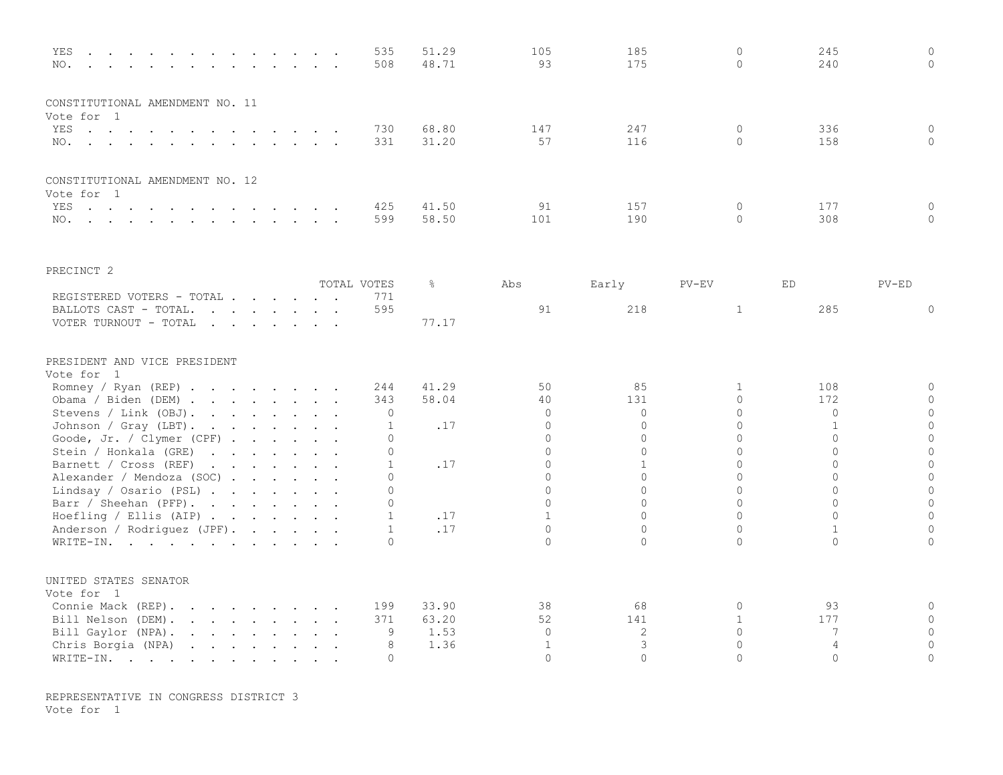| YES<br>$\mathcal{A}$ . The set of the set of the set of the set of the set of $\mathcal{A}$<br>NO.<br>$\mathbf{r}$ . The set of the set of the set of the set of the set of the set of the set of the set of the set of the set of the set of the set of the set of the set of the set of the set of the set of the set of the set of t<br>$\sim$<br>$\sim$<br>$\sim$<br>n.                                                                  | $\sim$ $\sim$ $\sim$ | $\sim$ $\sim$ | 535<br>508                  | 51.29<br>48.71 | 105<br>93            | 185<br>175               | 0<br>$\Omega$        | 245<br>240               | $\mathbf 0$<br>$\Omega$      |
|----------------------------------------------------------------------------------------------------------------------------------------------------------------------------------------------------------------------------------------------------------------------------------------------------------------------------------------------------------------------------------------------------------------------------------------------|----------------------|---------------|-----------------------------|----------------|----------------------|--------------------------|----------------------|--------------------------|------------------------------|
| CONSTITUTIONAL AMENDMENT NO. 11<br>Vote for 1                                                                                                                                                                                                                                                                                                                                                                                                |                      |               |                             |                |                      |                          |                      |                          |                              |
| YES<br>the contract of the contract of the<br>$\mathbf{r}$ , $\mathbf{r}$ , $\mathbf{r}$ , $\mathbf{r}$ , $\mathbf{r}$<br>$\mathbf{r}$ . The set of the set of the set of the set of the set of the set of the set of the set of the set of the set of the set of the set of the set of the set of the set of the set of the set of the set of the set of t<br>NO.<br>$\ddot{\phantom{1}}$                                                   |                      |               | 730<br>331                  | 68.80<br>31.20 | 147<br>57            | 247<br>116               | $\Omega$<br>$\Omega$ | 336<br>158               | $\Omega$<br>$\Omega$         |
| CONSTITUTIONAL AMENDMENT NO. 12                                                                                                                                                                                                                                                                                                                                                                                                              |                      |               |                             |                |                      |                          |                      |                          |                              |
| Vote for 1<br>YES<br>NO.                                                                                                                                                                                                                                                                                                                                                                                                                     |                      |               | 425<br>599                  | 41.50<br>58.50 | 91<br>101            | 157<br>190               | 0<br>$\Omega$        | 177<br>308               | $\mathbf 0$<br>$\Omega$      |
| PRECINCT 2                                                                                                                                                                                                                                                                                                                                                                                                                                   |                      |               |                             |                |                      |                          |                      |                          |                              |
|                                                                                                                                                                                                                                                                                                                                                                                                                                              |                      |               | TOTAL VOTES                 | $\frac{6}{6}$  | Abs                  | Early                    | $PV-EV$              | ED                       | $PV-ED$                      |
| REGISTERED VOTERS - TOTAL<br>BALLOTS CAST - TOTAL.<br>$\mathbf{r}$ . The contract of the contract of the contract of the contract of the contract of the contract of the contract of the contract of the contract of the contract of the contract of the contract of the contract of th<br>VOTER TURNOUT - TOTAL<br><u>in the second contract of the second second</u>                                                                       |                      |               | 771<br>595                  | 77.17          | 91                   | 218                      | $\mathbf{1}$         | 285                      | $\circ$                      |
| PRESIDENT AND VICE PRESIDENT<br>Vote for 1                                                                                                                                                                                                                                                                                                                                                                                                   |                      |               |                             |                |                      |                          |                      |                          |                              |
| Romney / Ryan (REP)<br>Obama / Biden (DEM)                                                                                                                                                                                                                                                                                                                                                                                                   |                      |               | 244<br>343                  | 41.29<br>58.04 | 50<br>40             | 85<br>131                | 1<br>$\Omega$        | 108<br>172               | $\mathbf{0}$<br>$\mathbf{0}$ |
| Stevens / Link $(OBJ)$ .<br>Johnson / Gray (LBT).                                                                                                                                                                                                                                                                                                                                                                                            |                      |               | $\mathbf 0$<br>$\mathbf{1}$ | .17            | $\Omega$<br>0        | $\circ$<br>$\circ$       | $\Omega$<br>$\circ$  | $\circ$<br>$\mathbf{1}$  | $\mathbf{0}$<br>$\circ$      |
| Goode, Jr. / Clymer (CPF)                                                                                                                                                                                                                                                                                                                                                                                                                    |                      |               | $\Omega$                    |                | $\Omega$             | $\Omega$                 | $\Omega$             | $\Omega$                 | $\mathbf{0}$                 |
| Stein / Honkala (GRE)                                                                                                                                                                                                                                                                                                                                                                                                                        |                      |               | $\Omega$                    |                | $\Omega$             | $\Omega$                 | $\Omega$             | $\Omega$                 | $\mathbf{0}$                 |
| Barnett / Cross (REF)<br>Alexander / Mendoza (SOC)                                                                                                                                                                                                                                                                                                                                                                                           |                      |               | $\mathbf{1}$<br>$\Omega$    | .17            | 0<br>$\Omega$        | $\mathbf{1}$<br>$\Omega$ | $\circ$<br>$\Omega$  | $\circ$<br>$\Omega$      | $\circ$<br>$\mathbf{0}$      |
| Lindsay / Osario (PSL)                                                                                                                                                                                                                                                                                                                                                                                                                       |                      |               | $\Omega$                    |                | 0                    | 0                        | $\circ$              | $\circ$                  | $\circ$                      |
| Barr / Sheehan (PFP).                                                                                                                                                                                                                                                                                                                                                                                                                        |                      |               | $\Omega$                    |                | $\Omega$             | $\Omega$                 | $\Omega$             | $\Omega$                 | $\mathbf{0}$                 |
| Hoefling / Ellis (AIP) $\cdot \cdot \cdot \cdot \cdot \cdot \cdot$                                                                                                                                                                                                                                                                                                                                                                           |                      |               | $\mathbf{1}$                | .17            | $\mathbf{1}$         | $\Omega$                 | $\Omega$             | $\Omega$                 | $\mathbf{0}$                 |
| Anderson / Rodriguez (JPF).<br>WRITE-IN.                                                                                                                                                                                                                                                                                                                                                                                                     |                      |               | $\mathbf{1}$<br>$\Omega$    | .17            | $\Omega$<br>$\Omega$ | $\Omega$<br>$\Omega$     | $\Omega$<br>$\Omega$ | $\mathbf{1}$<br>$\Omega$ | $\mathbf{0}$<br>$\Omega$     |
|                                                                                                                                                                                                                                                                                                                                                                                                                                              |                      |               |                             |                |                      |                          |                      |                          |                              |
| UNITED STATES SENATOR                                                                                                                                                                                                                                                                                                                                                                                                                        |                      |               |                             |                |                      |                          |                      |                          |                              |
| Vote for 1                                                                                                                                                                                                                                                                                                                                                                                                                                   |                      |               |                             |                |                      |                          |                      |                          |                              |
| Connie Mack (REP).<br>Bill Nelson (DEM).<br>$\mathcal{A}=\mathcal{A}=\mathcal{A}=\mathcal{A}=\mathcal{A}=\mathcal{A}=\mathcal{A}=\mathcal{A}$                                                                                                                                                                                                                                                                                                |                      |               | 199<br>371                  | 33.90<br>63.20 | 38<br>52             | 68<br>141                | 0<br>$\mathbf{1}$    | 93<br>177                | $\mathbf 0$<br>$\mathbf 0$   |
| Bill Gaylor (NPA).<br>$\mathcal{L}^{\mathcal{A}}$ . The set of the set of the set of the set of the set of the set of the set of the set of the set of the set of the set of the set of the set of the set of the set of the set of the set of the set of the s                                                                                                                                                                              |                      |               | 9                           | 1.53           | $\circ$              | $\overline{c}$           | $\circ$              | $7\phantom{.0}$          | $\circ$                      |
| Chris Borgia (NPA)<br>$\mathbf{1}=\mathbf{1}=\mathbf{1}=\mathbf{1}=\mathbf{1}=\mathbf{1}=\mathbf{1}=\mathbf{1}=\mathbf{1}=\mathbf{1}=\mathbf{1}=\mathbf{1}=\mathbf{1}=\mathbf{1}=\mathbf{1}=\mathbf{1}=\mathbf{1}=\mathbf{1}=\mathbf{1}=\mathbf{1}=\mathbf{1}=\mathbf{1}=\mathbf{1}=\mathbf{1}=\mathbf{1}=\mathbf{1}=\mathbf{1}=\mathbf{1}=\mathbf{1}=\mathbf{1}=\mathbf{1}=\mathbf{1}=\mathbf{1}=\mathbf{1}=\mathbf{1}=\mathbf{1}=\mathbf{$ |                      |               | 8                           | 1.36           | $\mathbf{1}$         | 3                        | $\Omega$             | $\overline{4}$           | $\mathbf{0}$                 |
| WRITE-IN.                                                                                                                                                                                                                                                                                                                                                                                                                                    |                      |               | $\Omega$                    |                | $\Omega$             | $\Omega$                 | $\Omega$             | $\Omega$                 | $\circ$                      |

REPRESENTATIVE IN CONGRESS DISTRICT 3 Vote for 1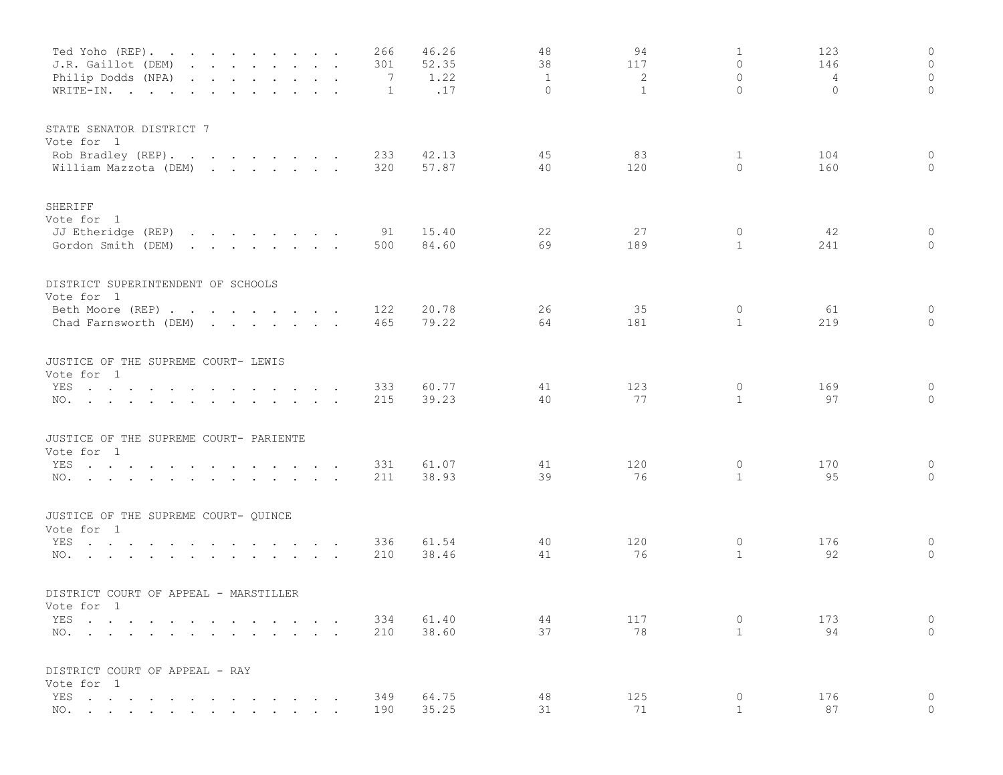| Ted Yoho (REP).<br>J.R. Gaillot (DEM)<br>Philip Dodds (NPA)<br>$\mathbf{r}$ , $\mathbf{r}$ , $\mathbf{r}$ , $\mathbf{r}$ , $\mathbf{r}$ , $\mathbf{r}$<br>WRITE-IN.                                                                                                                                   | 46.26<br>266<br>301<br>52.35<br>1.22<br>7<br>.17<br>1 | 48<br>38<br>$\mathbf{1}$<br>$\Omega$ | 94<br>117<br>2<br>$\mathbf{1}$ | 1<br>$\circ$<br>$\circ$<br>$\Omega$ | 123<br>146<br>$\overline{4}$<br>$\Omega$ | $\circ$<br>$\circ$<br>$\mathbf 0$<br>$\Omega$ |
|-------------------------------------------------------------------------------------------------------------------------------------------------------------------------------------------------------------------------------------------------------------------------------------------------------|-------------------------------------------------------|--------------------------------------|--------------------------------|-------------------------------------|------------------------------------------|-----------------------------------------------|
| STATE SENATOR DISTRICT 7<br>Vote for 1<br>Rob Bradley (REP).<br>William Mazzota (DEM)                                                                                                                                                                                                                 | 233<br>42.13<br>320<br>57.87                          | 45<br>40                             | 83<br>120                      | $\mathbf{1}$<br>$\Omega$            | 104<br>160                               | $\mathbf 0$<br>$\circ$                        |
| <b>SHERIFF</b><br>Vote for 1<br>JJ Etheridge (REP)<br>the contract of the contract of the contract of the contract of the contract of the contract of the contract of<br>Gordon Smith (DEM)<br>$\mathbf{r}$ , $\mathbf{r}$ , $\mathbf{r}$ , $\mathbf{r}$ , $\mathbf{r}$ , $\mathbf{r}$ , $\mathbf{r}$ | 15.40<br>91<br>500<br>84.60                           | 22<br>69                             | 27<br>189                      | 0<br>$\mathbf{1}$                   | 42<br>241                                | $\overline{0}$<br>$\Omega$                    |
| DISTRICT SUPERINTENDENT OF SCHOOLS<br>Vote for 1<br>Beth Moore (REP)<br>Chad Farnsworth (DEM)                                                                                                                                                                                                         | 20.78<br>122<br>79.22<br>465                          | 26<br>64                             | 35<br>181                      | 0<br>$\mathbf{1}$                   | 61<br>219                                | $\circ$<br>$\circ$                            |
| JUSTICE OF THE SUPREME COURT- LEWIS<br>Vote for 1<br>YES<br>NO.                                                                                                                                                                                                                                       | 60.77<br>333<br>39.23<br>215                          | 41<br>40                             | 123<br>77                      | 0<br>$\mathbf{1}$                   | 169<br>97                                | $\circ$<br>$\Omega$                           |
| JUSTICE OF THE SUPREME COURT- PARIENTE<br>Vote for 1<br>YES<br>NO.                                                                                                                                                                                                                                    | 331<br>61.07<br>38.93<br>211                          | 41<br>39                             | 120<br>76                      | 0<br>$\mathbf{1}$                   | 170<br>95                                | $\circ$<br>$\circ$                            |
| JUSTICE OF THE SUPREME COURT- QUINCE<br>Vote for 1<br>the contract of the contract of the contract of the contract of the contract of the contract of the contract of<br>YES<br>NO.                                                                                                                   | 336<br>61.54<br>210<br>38.46                          | 40<br>41                             | 120<br>76                      | 0<br>$\mathbf{1}$                   | 176<br>92                                | $\overline{0}$<br>$\circ$                     |
| DISTRICT COURT OF APPEAL - MARSTILLER<br>Vote for 1<br>YES<br>NO.                                                                                                                                                                                                                                     | 334<br>61.40<br>210<br>38.60                          | 44<br>37                             | 117<br>78                      | 0<br>$\mathbf{1}$                   | 173<br>94                                | $\overline{0}$<br>$\mathbf{0}$                |
| DISTRICT COURT OF APPEAL - RAY<br>Vote for 1<br>YES<br>NO.                                                                                                                                                                                                                                            | 64.75<br>349<br>190<br>35.25                          | 48<br>31                             | 125<br>71                      | 0<br>$\mathbf{1}$                   | 176<br>87                                | 0<br>$\circ$                                  |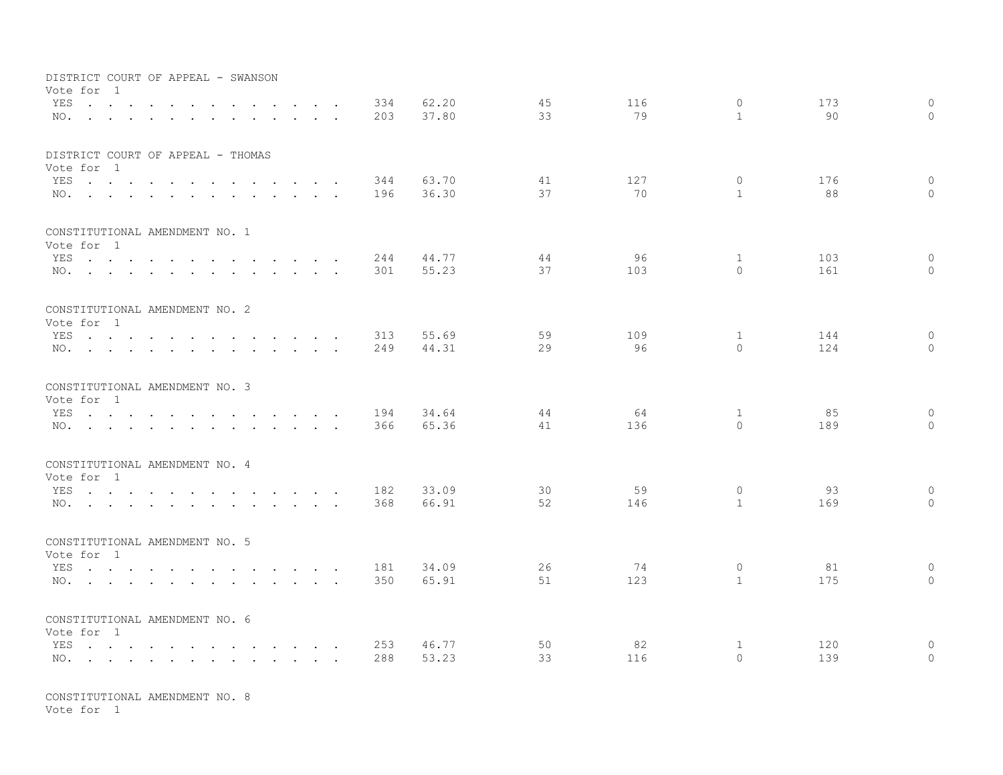| DISTRICT COURT OF APPEAL - SWANSON<br>Vote for 1       | YES<br>NO.                                                                                                             | and the state of the state of the | <b>Contract Contract</b> | 334<br>203 | 62.20<br>37.80 | 45<br>33 | 116<br>79 | $\circ$<br>$\mathbf{1}$  | 173<br>90  | $\circ$<br>$\Omega$          |
|--------------------------------------------------------|------------------------------------------------------------------------------------------------------------------------|-----------------------------------|--------------------------|------------|----------------|----------|-----------|--------------------------|------------|------------------------------|
| DISTRICT COURT OF APPEAL - THOMAS<br>Vote for 1<br>YES | NO.                                                                                                                    |                                   | $\sim$ $\sim$ $\sim$     | 344<br>196 | 63.70<br>36.30 | 41<br>37 | 127<br>70 | $\circ$<br>$\mathbf{1}$  | 176<br>88  | $\mathbf{0}$<br>$\Omega$     |
| CONSTITUTIONAL AMENDMENT NO. 1<br>Vote for 1<br>YES    | NO.                                                                                                                    |                                   |                          | 244<br>301 | 44.77<br>55.23 | 44<br>37 | 96<br>103 | $\mathbf{1}$<br>$\Omega$ | 103<br>161 | $\circ$<br>$\Omega$          |
| CONSTITUTIONAL AMENDMENT NO. 2<br>Vote for 1<br>YES    | NO.                                                                                                                    |                                   |                          | 313<br>249 | 55.69<br>44.31 | 59<br>29 | 109<br>96 | $\mathbf{1}$<br>$\Omega$ | 144<br>124 | $\mathbf{0}$<br>$\Omega$     |
| CONSTITUTIONAL AMENDMENT NO. 3<br>Vote for 1           | YES<br>NO.                                                                                                             |                                   |                          | 194<br>366 | 34.64<br>65.36 | 44<br>41 | 64<br>136 | $\mathbf{1}$<br>$\Omega$ | 85<br>189  | $\circ$<br>$\Omega$          |
| CONSTITUTIONAL AMENDMENT NO. 4<br>Vote for 1           | YES<br>NO.                                                                                                             |                                   |                          | 182<br>368 | 33.09<br>66.91 | 30<br>52 | 59<br>146 | $\circ$<br>$\mathbf{1}$  | 93<br>169  | $\mathbf{0}$<br>$\Omega$     |
| CONSTITUTIONAL AMENDMENT NO. 5<br>Vote for 1           | YES<br>NO.                                                                                                             | $\cdots$ $\cdots$                 | $\sim$ $\sim$ $\sim$     | 181<br>350 | 34.09<br>65.91 | 26<br>51 | 74<br>123 | $\circ$<br>$\mathbf{1}$  | 81<br>175  | $\circ$<br>$\circ$           |
| CONSTITUTIONAL AMENDMENT NO. 6<br>Vote for 1<br>YES    | the contract of the contract of the contract of the contract of the contract of the contract of the contract of<br>NO. |                                   | $\sim$<br>$\sim$         | 253<br>288 | 46.77<br>53.23 | 50<br>33 | 82<br>116 | $\mathbf{1}$<br>$\circ$  | 120<br>139 | $\mathbf{0}$<br>$\mathbf{0}$ |

CONSTITUTIONAL AMENDMENT NO. 8 Vote for 1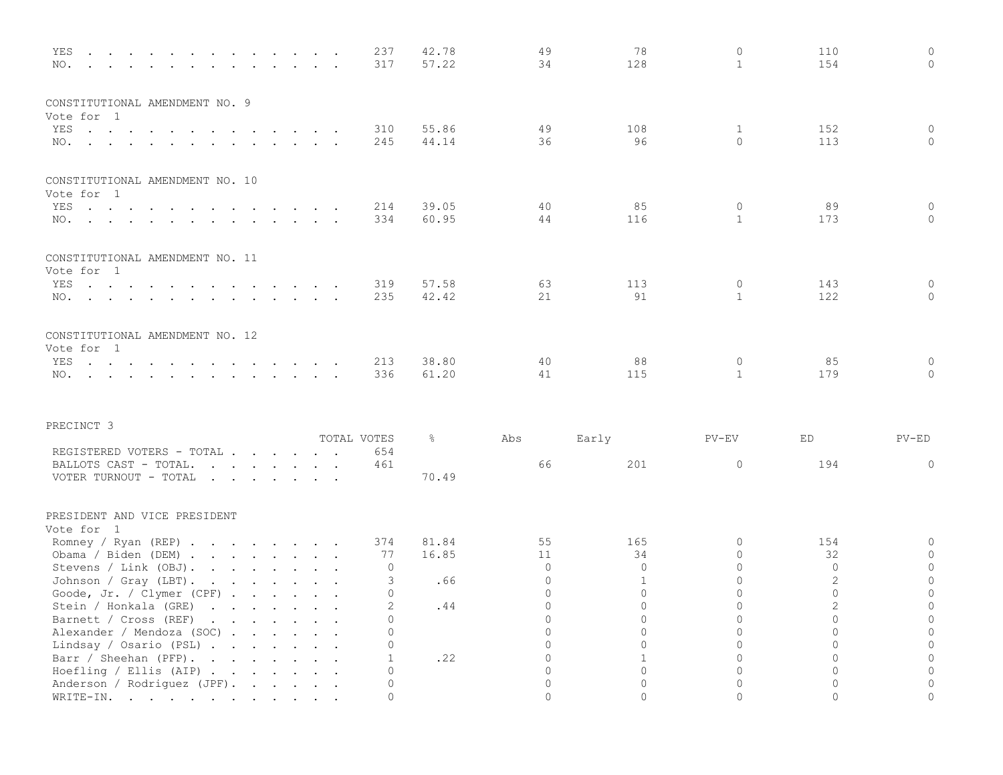| YES<br>the contract of the contract of the contract of the contract of the contract of the contract of the contract of<br>NO.<br>$\mathbf{r}$ , and $\mathbf{r}$ , and $\mathbf{r}$ , and $\mathbf{r}$ , and $\mathbf{r}$<br>$\sim$                     |                               |                                                                 |                      | 237<br>317    | 42.78<br>57.22 | 49<br>34             | 78<br>128            | $\circ$<br>$\mathbf{1}$ | 110<br>154           | $\circ$<br>$\circ$          |
|---------------------------------------------------------------------------------------------------------------------------------------------------------------------------------------------------------------------------------------------------------|-------------------------------|-----------------------------------------------------------------|----------------------|---------------|----------------|----------------------|----------------------|-------------------------|----------------------|-----------------------------|
| CONSTITUTIONAL AMENDMENT NO. 9                                                                                                                                                                                                                          |                               |                                                                 |                      |               |                |                      |                      |                         |                      |                             |
| Vote for 1<br>YES<br>the contract of the contract of the contract of the contract of the contract of the contract of the contract of                                                                                                                    |                               |                                                                 |                      | 310           | 55.86          | 49                   | 108                  | $\mathbf{1}$            | 152                  | $\mathbf{0}$                |
| NO.                                                                                                                                                                                                                                                     |                               |                                                                 |                      | 245           | 44.14          | 36                   | 96                   | $\Omega$                | 113                  | $\Omega$                    |
| CONSTITUTIONAL AMENDMENT NO. 10                                                                                                                                                                                                                         |                               |                                                                 |                      |               |                |                      |                      |                         |                      |                             |
| Vote for 1                                                                                                                                                                                                                                              |                               |                                                                 |                      |               |                |                      |                      |                         |                      |                             |
| YES<br>$\mathbf{r}$ , $\mathbf{r}$ , $\mathbf{r}$ , $\mathbf{r}$<br>$\sim$ $\sim$<br>$\ddot{\phantom{0}}$<br>$\sim$                                                                                                                                     | <b>Carl Contract Contract</b> |                                                                 |                      | 214<br>334    | 39.05<br>60.95 | 40<br>44             | 85<br>116            | $\circ$<br>$\mathbf{1}$ | 89<br>173            | $\mathbf 0$<br>$\Omega$     |
| NO.<br>the contract of the contract of the contract of the contract of the contract of the contract of the contract of                                                                                                                                  |                               |                                                                 | $\ddot{\phantom{1}}$ |               |                |                      |                      |                         |                      |                             |
| CONSTITUTIONAL AMENDMENT NO. 11                                                                                                                                                                                                                         |                               |                                                                 |                      |               |                |                      |                      |                         |                      |                             |
| Vote for 1                                                                                                                                                                                                                                              |                               |                                                                 |                      |               |                |                      |                      |                         |                      |                             |
| YES<br>the contract of the contract of the contract of the contract of the contract of the contract of the contract of                                                                                                                                  |                               |                                                                 |                      | 319<br>235    | 57.58<br>42.42 | 63<br>21             | 113<br>91            | $\circ$<br>$\mathbf{1}$ | 143<br>122           | $\mathbf{0}$<br>$\Omega$    |
| NO.                                                                                                                                                                                                                                                     |                               | $\mathbf{r}$ , $\mathbf{r}$ , $\mathbf{r}$ , $\mathbf{r}$       | $\sim$ $\sim$        |               |                |                      |                      |                         |                      |                             |
| CONSTITUTIONAL AMENDMENT NO. 12                                                                                                                                                                                                                         |                               |                                                                 |                      |               |                |                      |                      |                         |                      |                             |
| Vote for 1                                                                                                                                                                                                                                              |                               |                                                                 |                      |               |                |                      |                      |                         |                      |                             |
| YES<br>$\mathcal{A}$ . The set of the set of the set of $\mathcal{A}$<br>NO.<br>$\mathbf{r}$ , and $\mathbf{r}$ , and $\mathbf{r}$ , and $\mathbf{r}$ , and $\mathbf{r}$                                                                                |                               | $\mathcal{A}=\mathcal{A}=\mathcal{A}=\mathcal{A}=\mathcal{A}$ . | $\cdot$ $\cdot$      | 213<br>336    | 38.80<br>61.20 | 40<br>41             | 88<br>115            | $\circ$<br>$\mathbf{1}$ | 85<br>179            | $\mathbf 0$<br>$\mathbf{0}$ |
| PRECINCT 3                                                                                                                                                                                                                                              |                               |                                                                 |                      |               |                |                      |                      |                         |                      |                             |
|                                                                                                                                                                                                                                                         |                               |                                                                 |                      | TOTAL VOTES   | $\frac{6}{6}$  | Abs                  | Early                | $PV-EV$                 | ED                   | $PV-ED$                     |
| REGISTERED VOTERS - TOTAL                                                                                                                                                                                                                               |                               |                                                                 |                      | 654           |                |                      |                      |                         |                      |                             |
| BALLOTS CAST - TOTAL.<br>and the contract of the contract of the contract of the contract of the contract of the contract of the contract of the contract of the contract of the contract of the contract of the contract of the contract of the contra |                               |                                                                 |                      | 461           |                | 66                   | 201                  | $\circ$                 | 194                  | $\circ$                     |
| VOTER TURNOUT - TOTAL                                                                                                                                                                                                                                   |                               |                                                                 |                      |               | 70.49          |                      |                      |                         |                      |                             |
| PRESIDENT AND VICE PRESIDENT<br>Vote for 1                                                                                                                                                                                                              |                               |                                                                 |                      |               |                |                      |                      |                         |                      |                             |
| Romney / Ryan (REP) $\cdots$ $\cdots$ $\cdots$                                                                                                                                                                                                          |                               |                                                                 |                      | 374           | 81.84          | 55                   | 165                  | 0                       | 154                  | $\mathbf 0$                 |
| Obama / Biden (DEM)                                                                                                                                                                                                                                     |                               |                                                                 |                      | 77            | 16.85          | 11                   | 34                   | $\Omega$                | 32                   | $\mathbf{0}$                |
| Stevens / Link (OBJ).                                                                                                                                                                                                                                   |                               |                                                                 |                      | $\mathbf{0}$  |                | $\circ$              | $\circ$              | $\circ$                 | $\circ$              | $\mathbb O$                 |
| Johnson / Gray (LBT).                                                                                                                                                                                                                                   |                               |                                                                 |                      | 3             | .66            | $\circ$              | $\mathbf{1}$         | $\circ$                 | 2                    | $\circ$                     |
| Goode, Jr. / Clymer (CPF)                                                                                                                                                                                                                               |                               |                                                                 |                      | $\Omega$      |                | $\Omega$             | $\Omega$             | $\Omega$                | $\Omega$             | $\circ$                     |
| Stein / Honkala (GRE)                                                                                                                                                                                                                                   |                               |                                                                 |                      | 2             | .44            | $\circ$              | $\circ$              | $\Omega$                | $\mathbf{2}$         | $\mathbf 0$                 |
| Barnett / Cross (REF)<br>and the contract of the contract of the                                                                                                                                                                                        |                               |                                                                 |                      | $\Omega$      |                | $\Omega$             | $\Omega$             | $\Omega$                | $\Omega$<br>$\Omega$ | $\circ$                     |
| Alexander / Mendoza (SOC)                                                                                                                                                                                                                               |                               |                                                                 |                      | 0<br>$\Omega$ |                | $\Omega$<br>$\Omega$ | $\Omega$<br>$\Omega$ | $\Omega$<br>$\Omega$    | $\Omega$             | $\mathbb O$<br>$\mathbb O$  |
| Lindsay / Osario (PSL)                                                                                                                                                                                                                                  |                               |                                                                 |                      | $\mathbf{1}$  | .22            | $\Omega$             | $1\,$                | $\Omega$                | $\Omega$             | $\circ$                     |
| Barr / Sheehan (PFP).<br>Hoefling / Ellis (AIP)                                                                                                                                                                                                         |                               |                                                                 |                      | $\Omega$      |                | $\Omega$             | $\circ$              | $\Omega$                | $\Omega$             | $\circ$                     |
| Anderson / Rodriguez (JPF).                                                                                                                                                                                                                             |                               |                                                                 |                      | 0             |                | $\Omega$             | $\Omega$             | $\Omega$                | $\Omega$             | $\mathbf 0$                 |
| WRITE-IN.                                                                                                                                                                                                                                               |                               |                                                                 |                      | $\Omega$      |                | $\Omega$             | $\Omega$             | $\Omega$                | $\Omega$             | $\circ$                     |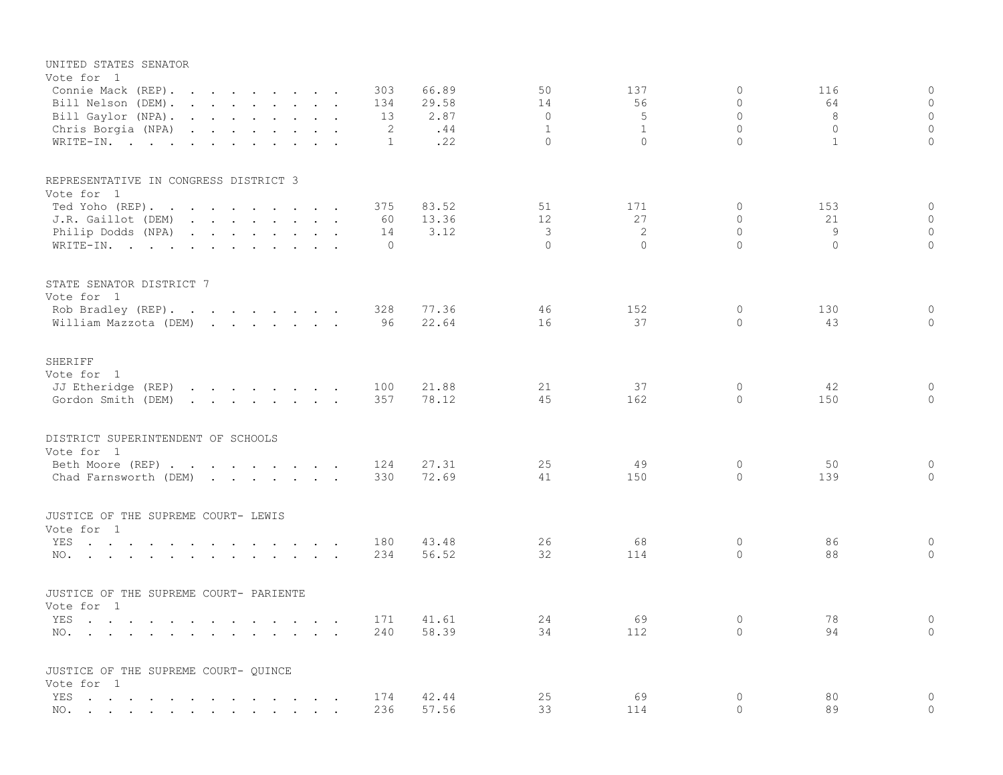| UNITED STATES SENATOR<br>Vote for 1    |                                                                                                                                                                                                                                |              |                |              |                |                     |              |                          |
|----------------------------------------|--------------------------------------------------------------------------------------------------------------------------------------------------------------------------------------------------------------------------------|--------------|----------------|--------------|----------------|---------------------|--------------|--------------------------|
| Connie Mack (REP).                     |                                                                                                                                                                                                                                | 303          | 66.89          | 50           | 137            | $\circ$             | 116          | $\mathbf 0$              |
| Bill Nelson (DEM).                     |                                                                                                                                                                                                                                | 134          | 29.58          | 14           | 56             | $\Omega$            | 64           | $\mathbf 0$              |
| Bill Gaylor (NPA).                     |                                                                                                                                                                                                                                | 13           | 2.87           | $\mathbf{0}$ | 5              | $\circ$             | 8            | $\mathbf{0}$             |
| Chris Borgia (NPA)                     | the contract of the contract of the                                                                                                                                                                                            | 2            | .44            | $\mathbf{1}$ | $\mathbf{1}$   | $\Omega$            | $\Omega$     | $\mathbf{0}$             |
| WRITE-IN.                              |                                                                                                                                                                                                                                | $\mathbf{1}$ | .22            | $\Omega$     | $\overline{0}$ | 0                   | $\mathbf{1}$ | $\circ$                  |
| REPRESENTATIVE IN CONGRESS DISTRICT 3  |                                                                                                                                                                                                                                |              |                |              |                |                     |              |                          |
| Vote for 1                             |                                                                                                                                                                                                                                |              |                |              |                |                     |              |                          |
| Ted Yoho (REP).                        |                                                                                                                                                                                                                                | 375          | 83.52          | 51           | 171            | $\circ$             | 153          | $\mathbf{0}$             |
| J.R. Gaillot (DEM)                     | $\mathcal{A}$ . The set of the set of the set of the $\mathcal{A}$                                                                                                                                                             | 60           | 13.36          | 12           | 27             | $\Omega$            | 21           | $\circ$                  |
| Philip Dodds (NPA)                     |                                                                                                                                                                                                                                | 14           | 3.12           | 3            | $\mathbf{2}$   | $\Omega$            | 9            | $\mathbf{0}$             |
| WRITE-IN.                              |                                                                                                                                                                                                                                | $\circ$      |                | $\Omega$     | $\bigcap$      | $\Omega$            | $\Omega$     | $\circ$                  |
| STATE SENATOR DISTRICT 7               |                                                                                                                                                                                                                                |              |                |              |                |                     |              |                          |
| Vote for 1                             |                                                                                                                                                                                                                                |              |                |              |                |                     |              |                          |
| Rob Bradley (REP).                     |                                                                                                                                                                                                                                | 328          | 77.36          | 46           | 152            | $\circ$             | 130          | $\mathbf{0}$<br>$\Omega$ |
| William Mazzota (DEM)                  |                                                                                                                                                                                                                                | 96           | 22.64          | 16           | 37             | $\Omega$            | 43           |                          |
| <b>SHERIFF</b>                         |                                                                                                                                                                                                                                |              |                |              |                |                     |              |                          |
| Vote for 1                             |                                                                                                                                                                                                                                |              |                |              |                |                     |              |                          |
| JJ Etheridge (REP)                     |                                                                                                                                                                                                                                | 100          | 21.88          | 21           | 37             | $\circ$             | 42           | $\mathbf{0}$             |
| Gordon Smith (DEM)                     | and the contract of the contract of the contract of the contract of the contract of the contract of the contract of the contract of the contract of the contract of the contract of the contract of the contract of the contra | 357          | 78.12          | 45           | 162            | $\Omega$            | 150          | $\Omega$                 |
| DISTRICT SUPERINTENDENT OF SCHOOLS     |                                                                                                                                                                                                                                |              |                |              |                |                     |              |                          |
| Vote for 1                             |                                                                                                                                                                                                                                |              |                |              |                |                     |              |                          |
| Beth Moore (REP)                       |                                                                                                                                                                                                                                | 124          | 27.31          | 25           | 49             | $\circ$             | 50           | $\mathbf{0}$             |
| Chad Farnsworth (DEM)                  |                                                                                                                                                                                                                                | 330          | 72.69          | 41           | 150            | $\circ$             | 139          | $\mathbf{0}$             |
| JUSTICE OF THE SUPREME COURT- LEWIS    |                                                                                                                                                                                                                                |              |                |              |                |                     |              |                          |
| Vote for 1                             |                                                                                                                                                                                                                                |              |                | 26           | 68             | 0                   | 86           | $\mathbf 0$              |
| YES<br>NO.                             |                                                                                                                                                                                                                                | 180<br>234   | 43.48<br>56.52 | 32           | 114            | $\circ$             | 88           | $\circ$                  |
|                                        |                                                                                                                                                                                                                                |              |                |              |                |                     |              |                          |
| JUSTICE OF THE SUPREME COURT- PARIENTE |                                                                                                                                                                                                                                |              |                |              |                |                     |              |                          |
| Vote for 1                             |                                                                                                                                                                                                                                |              |                |              |                |                     |              |                          |
| YES                                    |                                                                                                                                                                                                                                | 171          | 41.61<br>58.39 | 24<br>34     | 69<br>112      | $\circ$<br>$\Omega$ | 78<br>94     | $\mathbf{0}$<br>$\Omega$ |
| NO.                                    |                                                                                                                                                                                                                                | 240          |                |              |                |                     |              |                          |
| JUSTICE OF THE SUPREME COURT- QUINCE   |                                                                                                                                                                                                                                |              |                |              |                |                     |              |                          |
| Vote for 1                             |                                                                                                                                                                                                                                |              |                |              |                |                     |              |                          |
| YES                                    |                                                                                                                                                                                                                                | 174          | 42.44          | 25<br>33     | 69             | 0<br>$\circ$        | 80<br>89     | $\circ$<br>$\circ$       |
| NO.                                    |                                                                                                                                                                                                                                | 236          | 57.56          |              | 114            |                     |              |                          |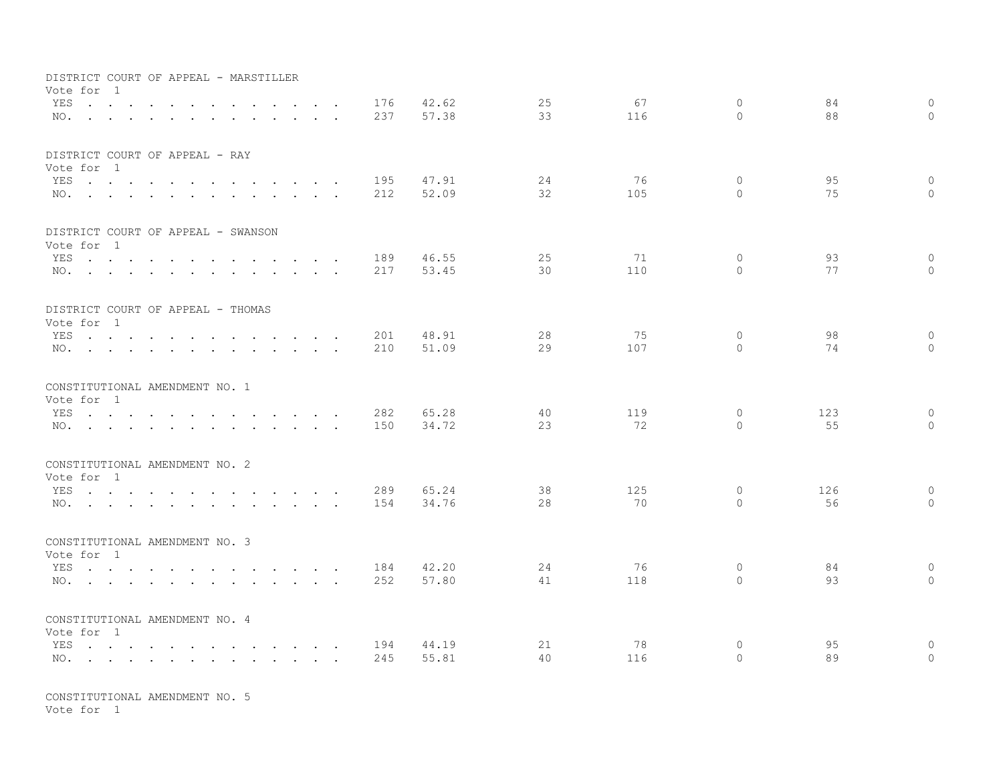| DISTRICT COURT OF APPEAL - MARSTILLER<br>Vote for 1 |  |                                                                                                                 |  |                             |                           |                      |            |                |          |           |                      |           |                             |
|-----------------------------------------------------|--|-----------------------------------------------------------------------------------------------------------------|--|-----------------------------|---------------------------|----------------------|------------|----------------|----------|-----------|----------------------|-----------|-----------------------------|
| YES<br>NO.                                          |  | the contract of the contract of the contract of the contract of the contract of the contract of the contract of |  | $\sim$ $\sim$ $\sim$ $\sim$ | <b>Contract</b>           |                      | 176<br>237 | 42.62<br>57.38 | 25<br>33 | 67<br>116 | $\circ$<br>$\Omega$  | 84<br>88  | $\mathbf{0}$<br>$\Omega$    |
| DISTRICT COURT OF APPEAL - RAY<br>Vote for 1        |  |                                                                                                                 |  |                             |                           |                      |            |                |          |           |                      |           |                             |
| YES $\cdots$<br>NO.                                 |  |                                                                                                                 |  |                             |                           |                      | 195<br>212 | 47.91<br>52.09 | 24<br>32 | 76<br>105 | $\Omega$<br>$\Omega$ | 95<br>75  | $\mathbf{0}$<br>$\Omega$    |
| DISTRICT COURT OF APPEAL - SWANSON<br>Vote for 1    |  |                                                                                                                 |  |                             |                           |                      |            |                |          |           |                      |           |                             |
| YES<br>NO.                                          |  |                                                                                                                 |  |                             | $\cdots$<br>$\sim$ $\sim$ |                      | 189<br>217 | 46.55<br>53.45 | 25<br>30 | 71<br>110 | 0<br>$\Omega$        | 93<br>77  | $\Omega$<br>$\Omega$        |
| DISTRICT COURT OF APPEAL - THOMAS<br>Vote for 1     |  |                                                                                                                 |  |                             |                           |                      |            |                |          |           |                      |           |                             |
| YES<br>NO.                                          |  |                                                                                                                 |  |                             |                           |                      | 201<br>210 | 48.91<br>51.09 | 28<br>29 | 75<br>107 | $\circ$<br>$\Omega$  | 98<br>74  | $\circ$<br>$\Omega$         |
| CONSTITUTIONAL AMENDMENT NO. 1<br>Vote for 1        |  |                                                                                                                 |  |                             |                           |                      |            |                |          |           |                      |           |                             |
| YES<br>NO.                                          |  |                                                                                                                 |  |                             |                           |                      | 282<br>150 | 65.28<br>34.72 | 40<br>23 | 119<br>72 | $\circ$<br>$\Omega$  | 123<br>55 | $\mathbf 0$<br>$\Omega$     |
| CONSTITUTIONAL AMENDMENT NO. 2<br>Vote for 1        |  |                                                                                                                 |  |                             |                           |                      |            |                |          |           |                      |           |                             |
| YES<br>NO.                                          |  | the contract of the contract of the contract of the contract of the contract of the contract of the contract of |  |                             | $\sim$ $\sim$             | $\ddot{\phantom{a}}$ | 289<br>154 | 65.24<br>34.76 | 38<br>28 | 125<br>70 | $\circ$<br>$\Omega$  | 126<br>56 | $\Omega$<br>$\Omega$        |
| CONSTITUTIONAL AMENDMENT NO. 3<br>Vote for 1        |  |                                                                                                                 |  |                             |                           |                      |            |                |          |           |                      |           |                             |
| YES<br>NO.                                          |  |                                                                                                                 |  |                             | $\sim$ $\sim$             |                      | 184<br>252 | 42.20<br>57.80 | 24<br>41 | 76<br>118 | $\circ$<br>$\Omega$  | 84<br>93  | $\circ$<br>$\Omega$         |
| CONSTITUTIONAL AMENDMENT NO. 4<br>Vote for 1        |  |                                                                                                                 |  |                             |                           |                      |            |                |          |           |                      |           |                             |
| YES<br>NO.                                          |  | $\mathbf{r}$ , and $\mathbf{r}$ , and $\mathbf{r}$ , and $\mathbf{r}$ , and $\mathbf{r}$                        |  |                             | $\sim$                    | $\ddot{\phantom{a}}$ | 194<br>245 | 44.19<br>55.81 | 21<br>40 | 78<br>116 | $\circ$<br>$\circ$   | 95<br>89  | $\mathbf 0$<br>$\mathbf{0}$ |

CONSTITUTIONAL AMENDMENT NO. 5 Vote for 1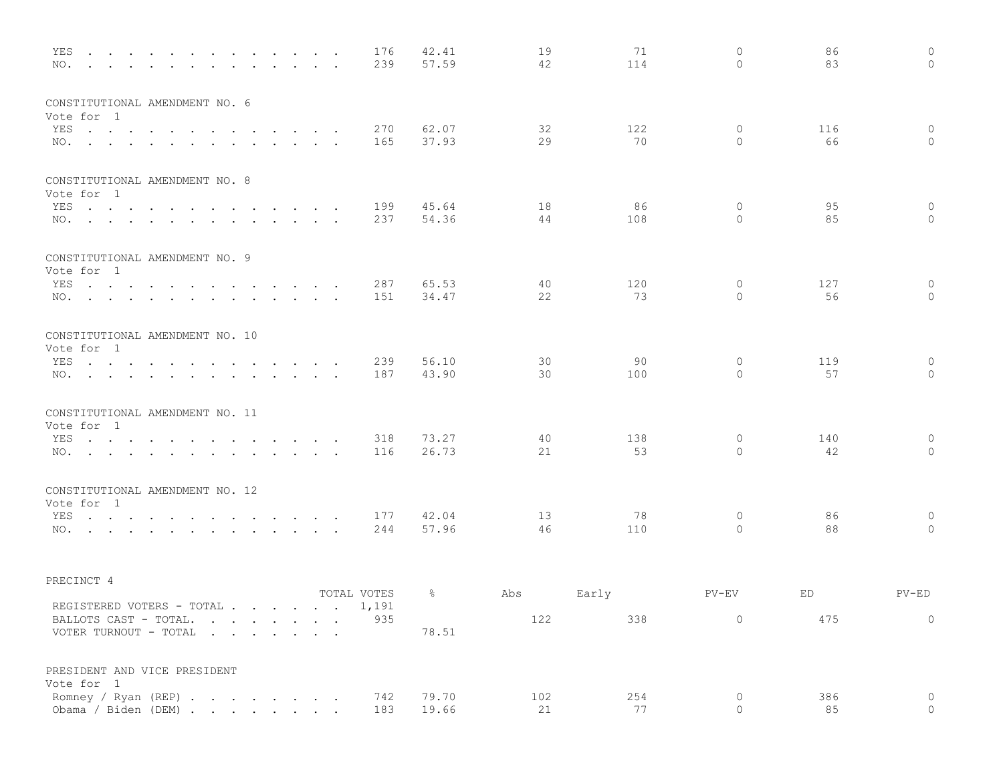| YES<br>المنابعة والمنابعة والمنابعة والمنابعة والمنابعة والمنابعة والمنابعة<br>NO.                                     |                                                                                                                                                                                                                                           |                                            |               | 176<br>239  | 42.41<br>57.59 | 19<br>42 | 71<br>114 | 0<br>$\Omega$ | 86<br>83 | $\circ$<br>$\circ$      |
|------------------------------------------------------------------------------------------------------------------------|-------------------------------------------------------------------------------------------------------------------------------------------------------------------------------------------------------------------------------------------|--------------------------------------------|---------------|-------------|----------------|----------|-----------|---------------|----------|-------------------------|
| CONSTITUTIONAL AMENDMENT NO. 6                                                                                         |                                                                                                                                                                                                                                           |                                            |               |             |                |          |           |               |          |                         |
| Vote for 1<br>YES                                                                                                      | $\sim$ $\sim$                                                                                                                                                                                                                             | $\mathbf{r}$ , $\mathbf{r}$ , $\mathbf{r}$ |               | 270         | 62.07          | 32       | 122       | 0             | 116      | $\circ$                 |
| $NO.$ $\cdots$ $\cdots$ $\cdots$                                                                                       | $\mathcal{L}^{\mathcal{A}}$ . The set of the set of the set of the set of the set of the set of the set of the set of the set of the set of the set of the set of the set of the set of the set of the set of the set of the set of the s |                                            |               | 165         | 37.93          | 29       | 70        | 0             | 66       | $\circ$                 |
| CONSTITUTIONAL AMENDMENT NO. 8                                                                                         |                                                                                                                                                                                                                                           |                                            |               |             |                |          |           |               |          |                         |
| Vote for 1                                                                                                             |                                                                                                                                                                                                                                           |                                            |               |             |                |          |           |               |          |                         |
| YES<br>NO.                                                                                                             |                                                                                                                                                                                                                                           |                                            |               | 199<br>237  | 45.64<br>54.36 | 18<br>44 | 86<br>108 | 0<br>$\Omega$ | 95<br>85 | $\mathbf 0$<br>$\Omega$ |
|                                                                                                                        |                                                                                                                                                                                                                                           |                                            |               |             |                |          |           |               |          |                         |
| CONSTITUTIONAL AMENDMENT NO. 9<br>Vote for 1                                                                           |                                                                                                                                                                                                                                           |                                            |               |             |                |          |           |               |          |                         |
| YES                                                                                                                    |                                                                                                                                                                                                                                           |                                            |               | 287         | 65.53          | 40       | 120       | 0             | 127      | $\circ$                 |
| NO.                                                                                                                    |                                                                                                                                                                                                                                           |                                            |               | 151         | 34.47          | 22       | 73        | $\Omega$      | 56       | $\Omega$                |
| CONSTITUTIONAL AMENDMENT NO. 10                                                                                        |                                                                                                                                                                                                                                           |                                            |               |             |                |          |           |               |          |                         |
| Vote for 1<br>YES                                                                                                      |                                                                                                                                                                                                                                           |                                            | $\sim$ $\sim$ | 239         | 56.10          | 30       | 90        | $\circ$       | 119      | $\circ$                 |
| the contract of the contract of the contract of the contract of the contract of the contract of the contract of<br>NO. |                                                                                                                                                                                                                                           |                                            |               | 187         | 43.90          | 30       | 100       | $\circ$       | 57       | $\circ$                 |
| CONSTITUTIONAL AMENDMENT NO. 11<br>Vote for 1                                                                          |                                                                                                                                                                                                                                           |                                            |               |             |                |          |           |               |          |                         |
| YES                                                                                                                    | $\mathbf{r}$ , $\mathbf{r}$ , $\mathbf{r}$                                                                                                                                                                                                |                                            | $\sim$ $\sim$ | 318         | 73.27          | 40       | 138       | $\circ$       | 140      | $\circ$                 |
| NO.                                                                                                                    |                                                                                                                                                                                                                                           |                                            |               | 116         | 26.73          | 21       | 53        | 0             | 42       | $\circ$                 |
| CONSTITUTIONAL AMENDMENT NO. 12<br>Vote for 1                                                                          |                                                                                                                                                                                                                                           |                                            |               |             |                |          |           |               |          |                         |
| YES<br>the contract of the contract of the                                                                             | the contract of the contract of the                                                                                                                                                                                                       |                                            | $\sim$ $\sim$ | 177         | 42.04          | 13       | 78        | 0             | 86       | $\mathbf 0$             |
| NO.<br>the contract of the contract of the contract of the contract of the contract of the contract of the contract of |                                                                                                                                                                                                                                           |                                            | $\cdots$      | 244         | 57.96          | 46       | 110       | $\circ$       | 88       | $\mathbf{0}$            |
| PRECINCT 4                                                                                                             |                                                                                                                                                                                                                                           |                                            |               |             |                |          |           |               |          |                         |
|                                                                                                                        |                                                                                                                                                                                                                                           |                                            |               | TOTAL VOTES | ိင             | Abs      | Early     | $PV-EV$       | ED       | $PV-ED$                 |
| REGISTERED VOTERS - TOTAL 1,191                                                                                        |                                                                                                                                                                                                                                           |                                            |               |             |                |          |           |               |          | $\circ$                 |
| BALLOTS CAST - TOTAL.<br>VOTER TURNOUT - TOTAL                                                                         |                                                                                                                                                                                                                                           |                                            | $\mathbf{L}$  | 935         | 78.51          | 122      | 338       | $\circ$       | 475      |                         |
| PRESIDENT AND VICE PRESIDENT                                                                                           |                                                                                                                                                                                                                                           |                                            |               |             |                |          |           |               |          |                         |
| Vote for 1<br>Romney / Ryan (REP)                                                                                      |                                                                                                                                                                                                                                           |                                            |               | 742         | 79.70          | 102      | 254       | $\circ$       | 386      | $\circ$                 |
| Obama / Biden (DEM)                                                                                                    |                                                                                                                                                                                                                                           |                                            |               | 183         | 19.66          | 21       | 77        | $\circ$       | 85       | $\circ$                 |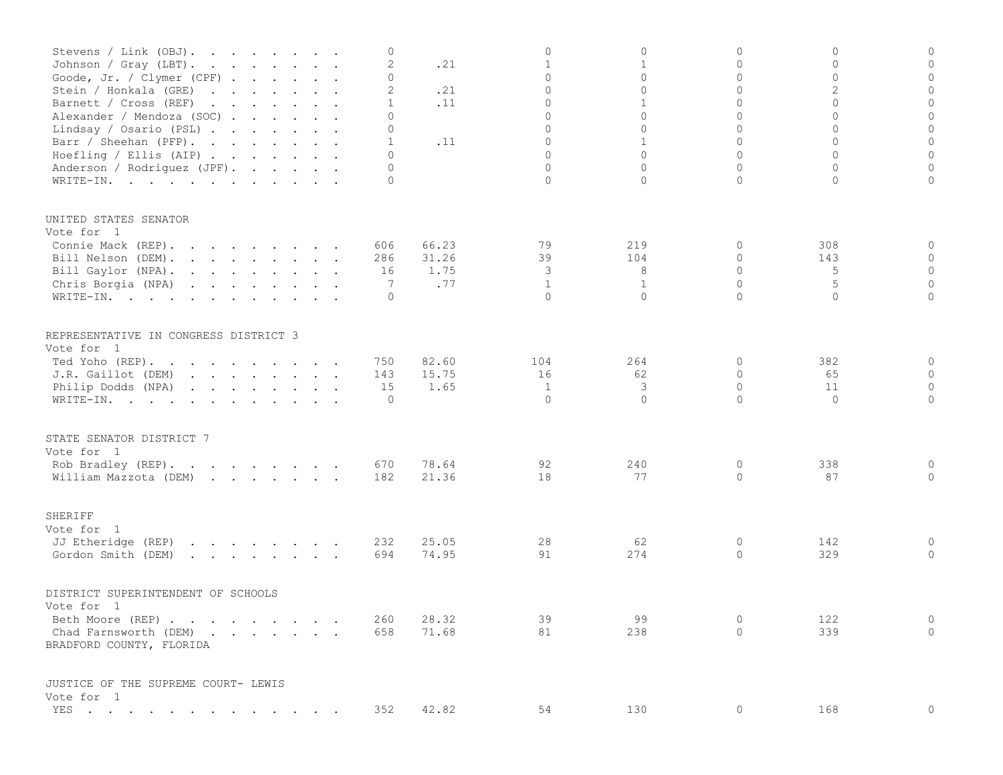| Stevens / Link (OBJ).<br>Johnson / Gray (LBT).<br>the contract of the contract of the<br>Goode, Jr. / Clymer (CPF)<br>Stein / Honkala (GRE)<br>Barnett / Cross (REF)<br>and the contract of the contract of the contract of the contract of the contract of the contract of the contract of the contract of the contract of the contract of the contract of the contract of the contract of the contra<br>Alexander / Mendoza (SOC)<br>Lindsay / Osario (PSL)<br>Barr / Sheehan (PFP).<br>Hoefling / Ellis (AIP) $\cdot \cdot \cdot \cdot \cdot \cdot$<br>Anderson / Rodriguez (JPF).<br>WRITE-IN. | 0<br>2<br>$\Omega$<br>2<br>$\Omega$<br>$\Omega$<br>1<br>$\Omega$<br>0 | .21<br>.21<br>.11<br>.11 | 0<br>$\mathbf{1}$<br>$\Omega$<br>$\Omega$<br>0<br>$\Omega$<br>$\Omega$<br>0<br>$\Omega$<br>$\Omega$<br>$\Omega$ | 0<br>$1\,$<br>$\Omega$<br>$\circ$<br>$\mathbf{1}$<br>0<br>$\Omega$<br>$\mathbf{1}$<br>$\Omega$<br>$\Omega$<br>$\Omega$ | 0<br>0<br>$\Omega$<br>0<br>0<br>0<br>$\Omega$<br>0<br>0<br>$\Omega$<br>$\Omega$ | $\circ$<br>$\Omega$<br>$\Omega$<br>2<br>$\Omega$<br>0<br>$\Omega$<br>$\circ$<br>$\Omega$<br>$\Omega$<br>$\Omega$ | $\mathbf 0$<br>$\circ$<br>$\circ$<br>$\circ$<br>$\circ$<br>$\circ$<br>$\mathbf{0}$<br>$\circ$<br>$\circ$<br>$\mathbf 0$<br>$\circ$ |
|----------------------------------------------------------------------------------------------------------------------------------------------------------------------------------------------------------------------------------------------------------------------------------------------------------------------------------------------------------------------------------------------------------------------------------------------------------------------------------------------------------------------------------------------------------------------------------------------------|-----------------------------------------------------------------------|--------------------------|-----------------------------------------------------------------------------------------------------------------|------------------------------------------------------------------------------------------------------------------------|---------------------------------------------------------------------------------|------------------------------------------------------------------------------------------------------------------|------------------------------------------------------------------------------------------------------------------------------------|
| UNITED STATES SENATOR<br>Vote for 1                                                                                                                                                                                                                                                                                                                                                                                                                                                                                                                                                                |                                                                       |                          |                                                                                                                 |                                                                                                                        |                                                                                 |                                                                                                                  |                                                                                                                                    |
| Connie Mack (REP).                                                                                                                                                                                                                                                                                                                                                                                                                                                                                                                                                                                 | 606                                                                   | 66.23                    | 79                                                                                                              | 219                                                                                                                    | $\circ$                                                                         | 308                                                                                                              | 0                                                                                                                                  |
| Bill Nelson (DEM).                                                                                                                                                                                                                                                                                                                                                                                                                                                                                                                                                                                 | 286                                                                   | 31.26                    | 39                                                                                                              | 104                                                                                                                    | $\Omega$                                                                        | 143                                                                                                              | $\mathbf{0}$                                                                                                                       |
| Bill Gaylor (NPA).<br>$\mathcal{A}$ . The second contribution of the second contribution $\mathcal{A}$                                                                                                                                                                                                                                                                                                                                                                                                                                                                                             | 16                                                                    | 1.75                     | 3                                                                                                               | 8                                                                                                                      | $\circ$                                                                         | 5                                                                                                                | $\circ$                                                                                                                            |
| Chris Borgia (NPA)                                                                                                                                                                                                                                                                                                                                                                                                                                                                                                                                                                                 | 7                                                                     | .77                      | 1                                                                                                               | $\mathbf{1}$                                                                                                           | $\circ$                                                                         | 5                                                                                                                | $\circ$                                                                                                                            |
| WRITE-IN.                                                                                                                                                                                                                                                                                                                                                                                                                                                                                                                                                                                          | $\Omega$                                                              |                          | $\Omega$                                                                                                        | $\Omega$                                                                                                               | $\Omega$                                                                        | $\Omega$                                                                                                         | $\Omega$                                                                                                                           |
| REPRESENTATIVE IN CONGRESS DISTRICT 3<br>Vote for 1                                                                                                                                                                                                                                                                                                                                                                                                                                                                                                                                                |                                                                       |                          |                                                                                                                 |                                                                                                                        |                                                                                 |                                                                                                                  |                                                                                                                                    |
| Ted Yoho (REP).                                                                                                                                                                                                                                                                                                                                                                                                                                                                                                                                                                                    | 750                                                                   | 82.60                    | 104                                                                                                             | 264                                                                                                                    | $\circ$                                                                         | 382                                                                                                              | $\mathbf 0$                                                                                                                        |
| J.R. Gaillot (DEM)                                                                                                                                                                                                                                                                                                                                                                                                                                                                                                                                                                                 | 143                                                                   | 15.75                    | 16                                                                                                              | 62                                                                                                                     | $\circ$                                                                         | 65                                                                                                               | $\mathbf 0$                                                                                                                        |
| Philip Dodds (NPA)                                                                                                                                                                                                                                                                                                                                                                                                                                                                                                                                                                                 | 15                                                                    | 1.65                     | 1                                                                                                               | 3                                                                                                                      | $\Omega$                                                                        | 11                                                                                                               | $\mathbf{0}$                                                                                                                       |
| WRITE-IN.                                                                                                                                                                                                                                                                                                                                                                                                                                                                                                                                                                                          | 0                                                                     |                          | $\Omega$                                                                                                        | $\mathbf{0}$                                                                                                           | $\Omega$                                                                        | $\mathbf{0}$                                                                                                     | $\circ$                                                                                                                            |
| STATE SENATOR DISTRICT 7<br>Vote for 1<br>Rob Bradley (REP).<br>William Mazzota (DEM)                                                                                                                                                                                                                                                                                                                                                                                                                                                                                                              | 670<br>182                                                            | 78.64<br>21.36           | 92<br>18                                                                                                        | 240<br>77                                                                                                              | 0<br>0                                                                          | 338<br>87                                                                                                        | 0<br>$\circ$                                                                                                                       |
| SHERIFF                                                                                                                                                                                                                                                                                                                                                                                                                                                                                                                                                                                            |                                                                       |                          |                                                                                                                 |                                                                                                                        |                                                                                 |                                                                                                                  |                                                                                                                                    |
| Vote for 1                                                                                                                                                                                                                                                                                                                                                                                                                                                                                                                                                                                         |                                                                       |                          |                                                                                                                 |                                                                                                                        |                                                                                 |                                                                                                                  |                                                                                                                                    |
| JJ Etheridge (REP)<br>$\mathcal{A}$ . The set of the set of the set of the set of $\mathcal{A}$<br>Gordon Smith (DEM)<br>$\mathbf{r}$ . The contract of the contract of the contract of the contract of the contract of the contract of the contract of the contract of the contract of the contract of the contract of the contract of the contract of th                                                                                                                                                                                                                                         | 232<br>694                                                            | 25.05<br>74.95           | 28<br>91                                                                                                        | 62<br>274                                                                                                              | 0<br>$\circ$                                                                    | 142<br>329                                                                                                       | 0<br>$\mathbf{0}$                                                                                                                  |
| DISTRICT SUPERINTENDENT OF SCHOOLS                                                                                                                                                                                                                                                                                                                                                                                                                                                                                                                                                                 |                                                                       |                          |                                                                                                                 |                                                                                                                        |                                                                                 |                                                                                                                  |                                                                                                                                    |
| Vote for 1                                                                                                                                                                                                                                                                                                                                                                                                                                                                                                                                                                                         |                                                                       |                          |                                                                                                                 |                                                                                                                        |                                                                                 |                                                                                                                  |                                                                                                                                    |
| Beth Moore (REP)                                                                                                                                                                                                                                                                                                                                                                                                                                                                                                                                                                                   | 260                                                                   | 28.32                    | 39                                                                                                              | 99                                                                                                                     | 0<br>$\Omega$                                                                   | 122                                                                                                              | $\mathbf 0$<br>$\circ$                                                                                                             |
| Chad Farnsworth (DEM)<br>$\sim$<br>$\mathbf{r}$ . The set of $\mathbf{r}$<br>BRADFORD COUNTY, FLORIDA                                                                                                                                                                                                                                                                                                                                                                                                                                                                                              | 658                                                                   | 71.68                    | 81                                                                                                              | 238                                                                                                                    |                                                                                 | 339                                                                                                              |                                                                                                                                    |
| JUSTICE OF THE SUPREME COURT- LEWIS<br>Vote for 1                                                                                                                                                                                                                                                                                                                                                                                                                                                                                                                                                  |                                                                       |                          |                                                                                                                 |                                                                                                                        |                                                                                 |                                                                                                                  |                                                                                                                                    |
| YES                                                                                                                                                                                                                                                                                                                                                                                                                                                                                                                                                                                                | 352                                                                   | 42.82                    | 54                                                                                                              | 130                                                                                                                    | 0                                                                               | 168                                                                                                              | $\circ$                                                                                                                            |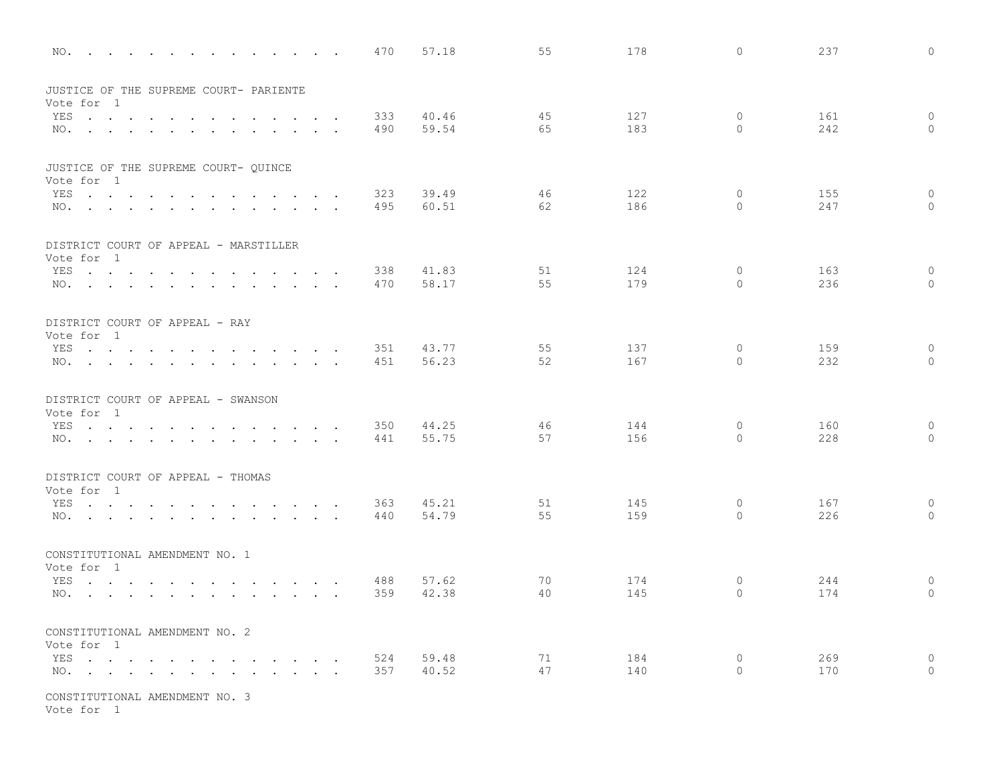|            | NO.                                    |                            |                      | 470        | 57.18          | 55       | 178        | $\circ$            | 237        | $\circ$                     |
|------------|----------------------------------------|----------------------------|----------------------|------------|----------------|----------|------------|--------------------|------------|-----------------------------|
| Vote for 1 | JUSTICE OF THE SUPREME COURT- PARIENTE |                            |                      |            |                |          |            |                    |            |                             |
| YES        | $\ddot{\phantom{a}}$<br>$\sim$<br>NO.  | $\sim$<br>$\sim$<br>$\sim$ | $\sim$               | 333<br>490 | 40.46<br>59.54 | 45<br>65 | 127<br>183 | 0<br>$\circ$       | 161<br>242 | $\mathbf 0$<br>$\circ$      |
| Vote for 1 | JUSTICE OF THE SUPREME COURT- QUINCE   |                            |                      |            |                |          |            |                    |            |                             |
|            | YES<br>NO.                             |                            |                      | 323<br>495 | 39.49<br>60.51 | 46<br>62 | 122<br>186 | 0<br>$\circ$       | 155<br>247 | 0<br>$\Omega$               |
| Vote for 1 | DISTRICT COURT OF APPEAL - MARSTILLER  |                            |                      |            |                |          |            |                    |            |                             |
|            | YES<br>NO.                             |                            |                      | 338<br>470 | 41.83<br>58.17 | 51<br>55 | 124<br>179 | 0<br>$\circ$       | 163<br>236 | $\mathbf 0$<br>$\circ$      |
| Vote for 1 | DISTRICT COURT OF APPEAL - RAY         |                            |                      |            |                |          |            |                    |            |                             |
|            | YES<br>NO.                             |                            |                      | 351<br>451 | 43.77<br>56.23 | 55<br>52 | 137<br>167 | 0<br>$\circ$       | 159<br>232 | $\mathbf 0$<br>$\Omega$     |
| Vote for 1 | DISTRICT COURT OF APPEAL - SWANSON     |                            |                      |            |                |          |            |                    |            |                             |
|            | YES<br>NO.                             |                            |                      | 350<br>441 | 44.25<br>55.75 | 46<br>57 | 144<br>156 | $\circ$<br>$\circ$ | 160<br>228 | $\mathbf 0$<br>$\circ$      |
| Vote for 1 | DISTRICT COURT OF APPEAL - THOMAS      |                            |                      |            |                |          |            |                    |            |                             |
|            | YES<br>NO.                             |                            | $\ddot{\phantom{1}}$ | 363<br>440 | 45.21<br>54.79 | 51<br>55 | 145<br>159 | 0<br>$\circ$       | 167<br>226 | $\mathbf 0$<br>$\Omega$     |
| Vote for 1 | CONSTITUTIONAL AMENDMENT NO. 1         |                            |                      |            |                |          |            |                    |            |                             |
|            | YES<br>NO.                             |                            |                      | 488<br>359 | 57.62<br>42.38 | 70<br>40 | 174<br>145 | $\circ$<br>$\circ$ | 244<br>174 | $\mathbf 0$<br>$\circ$      |
| Vote for 1 | CONSTITUTIONAL AMENDMENT NO. 2         |                            |                      |            |                |          |            |                    |            |                             |
|            | YES<br>NO.                             | $\sim$ 10 $\pm$<br>$\sim$  |                      | 524<br>357 | 59.48<br>40.52 | 71<br>47 | 184<br>140 | 0<br>$\circ$       | 269<br>170 | $\mathbf 0$<br>$\mathbf{0}$ |

CONSTITUTIONAL AMENDMENT NO. 3

Vote for 1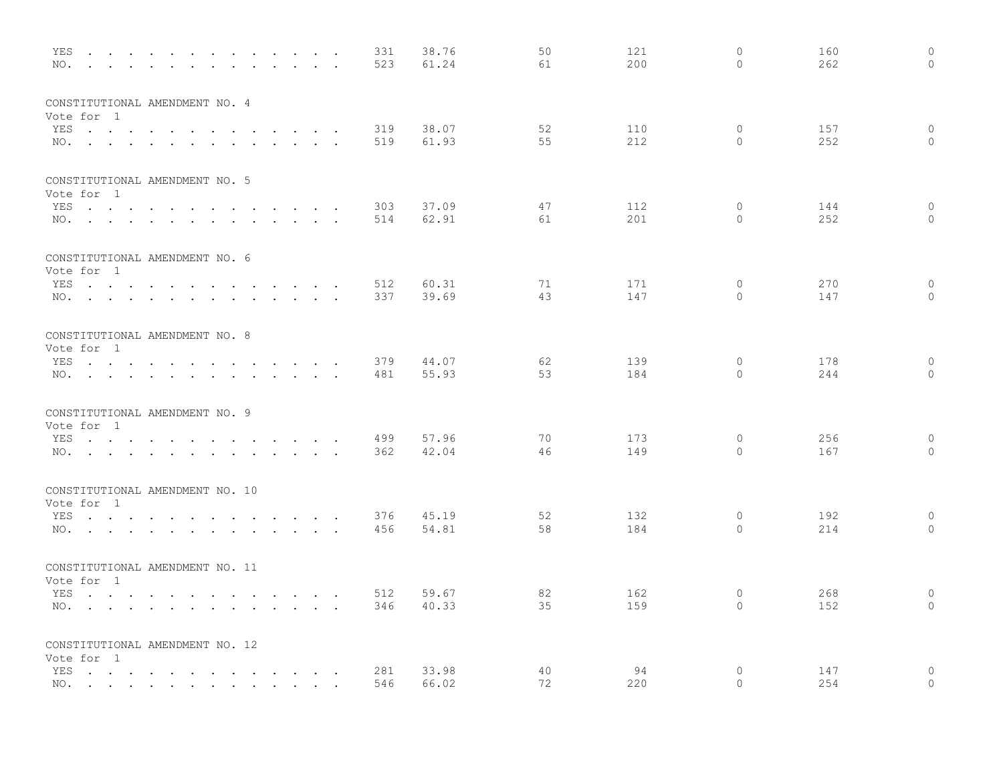| NO.<br>$\mathbf{r}$ , $\mathbf{r}$ , $\mathbf{r}$ , $\mathbf{r}$ , $\mathbf{r}$ , $\mathbf{r}$ | YES                                                 | $\ddot{\phantom{a}}$                                                                                                                                                                                                              |                                         |                                  | 331<br>523 | 38.76<br>61.24 | 50<br>61 | 121<br>200 | $\circ$<br>$\Omega$ | 160<br>262 | $\circ$<br>$\Omega$              |
|------------------------------------------------------------------------------------------------|-----------------------------------------------------|-----------------------------------------------------------------------------------------------------------------------------------------------------------------------------------------------------------------------------------|-----------------------------------------|----------------------------------|------------|----------------|----------|------------|---------------------|------------|----------------------------------|
| Vote for 1<br>YES                                                                              | CONSTITUTIONAL AMENDMENT NO. 4<br>$\sim$<br>NO.     |                                                                                                                                                                                                                                   | $\cdot$ $\cdot$ $\cdot$ $\cdot$ $\cdot$ |                                  | 319<br>519 | 38.07<br>61.93 | 52<br>55 | 110<br>212 | $\circ$<br>$\Omega$ | 157<br>252 | $\circ$<br>$\Omega$              |
| Vote for 1<br>YES                                                                              | CONSTITUTIONAL AMENDMENT NO. 5<br>NO.               | and the contract of the contract of                                                                                                                                                                                               |                                         |                                  | 303<br>514 | 37.09<br>62.91 | 47<br>61 | 112<br>201 | $\circ$<br>$\circ$  | 144<br>252 | $\overline{0}$<br>$\overline{0}$ |
| Vote for 1                                                                                     | CONSTITUTIONAL AMENDMENT NO. 6<br>YES<br>NO.        |                                                                                                                                                                                                                                   |                                         | $\cdot$ $\cdot$                  | 512<br>337 | 60.31<br>39.69 | 71<br>43 | 171<br>147 | 0<br>$\Omega$       | 270<br>147 | $\mathbf 0$<br>$\Omega$          |
| Vote for 1<br>YES                                                                              | CONSTITUTIONAL AMENDMENT NO. 8<br>NO.               | $\mathbf{r}$ . The contract of the contract of the contract of the contract of the contract of the contract of the contract of the contract of the contract of the contract of the contract of the contract of the contract of th |                                         |                                  | 379<br>481 | 44.07<br>55.93 | 62<br>53 | 139<br>184 | $\circ$<br>$\Omega$ | 178<br>244 | $\mathbf{0}$<br>$\circ$          |
| Vote for 1                                                                                     | CONSTITUTIONAL AMENDMENT NO. 9<br>YES<br>NO.        |                                                                                                                                                                                                                                   |                                         | $\sim$ $\sim$ $\sim$             | 499<br>362 | 57.96<br>42.04 | 70<br>46 | 173<br>149 | 0<br>$\Omega$       | 256<br>167 | $\mathbf 0$<br>$\Omega$          |
| Vote for 1<br>YES<br>and the contract of the contract of<br>$NO.$ $\cdots$ $\cdots$ $\cdots$   | CONSTITUTIONAL AMENDMENT NO. 10<br>$\sim$<br>$\sim$ | and the contract of the contract of the<br>$\ddot{\phantom{a}}$                                                                                                                                                                   | $\sim$                                  | $\cdot$ $\cdot$<br>$\sim$ $\sim$ | 376<br>456 | 45.19<br>54.81 | 52<br>58 | 132<br>184 | $\circ$<br>$\Omega$ | 192<br>214 | $\circ$<br>$\Omega$              |
| Vote for 1<br>$NO.$ $\cdots$ $\cdots$ $\cdots$                                                 | CONSTITUTIONAL AMENDMENT NO. 11<br>YES              | $\mathbf{r} = \mathbf{r} + \mathbf{r}$ . The set of $\mathbf{r}$                                                                                                                                                                  |                                         | $\sim$ $\sim$                    | 512<br>346 | 59.67<br>40.33 | 82<br>35 | 162<br>159 | $\circ$<br>$\Omega$ | 268<br>152 | $\circ$<br>$\Omega$              |
| Vote for 1<br>YES<br>and the contract of the state of                                          | CONSTITUTIONAL AMENDMENT NO. 12<br>$\sim$<br>NO.    | and a strong control of the strong strong                                                                                                                                                                                         |                                         |                                  | 281<br>546 | 33.98<br>66.02 | 40<br>72 | 94<br>220  | $\circ$<br>$\circ$  | 147<br>254 | $\mathbf 0$<br>$\circ$           |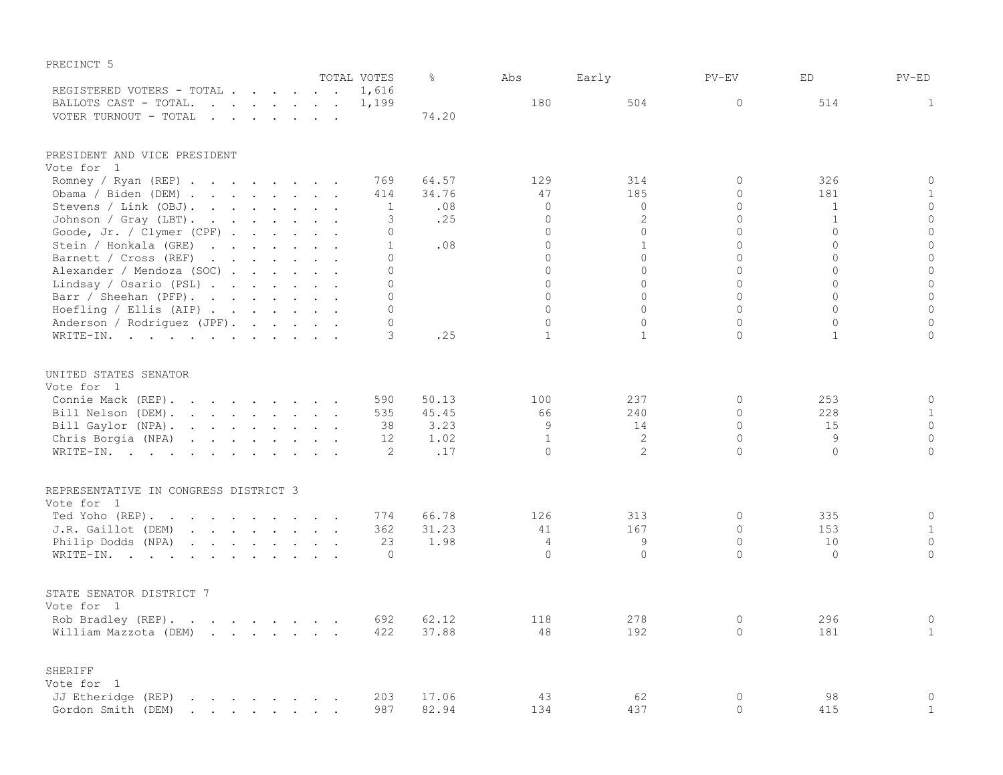| PRECINCT 5                                                                                                                                                                                                                                                 |              |               |              |              |          |              |              |
|------------------------------------------------------------------------------------------------------------------------------------------------------------------------------------------------------------------------------------------------------------|--------------|---------------|--------------|--------------|----------|--------------|--------------|
|                                                                                                                                                                                                                                                            | TOTAL VOTES  | $\frac{6}{6}$ | Abs          | Early        | $PV-EV$  | ED           | $PV-ED$      |
| REGISTERED VOTERS - TOTAL                                                                                                                                                                                                                                  | 1,616        |               |              |              |          |              |              |
| BALLOTS CAST - TOTAL.<br>the contract of the contract of the                                                                                                                                                                                               | 1,199        |               | 180          | 504          | $\circ$  | 514          | $\mathbf{1}$ |
| VOTER TURNOUT - TOTAL<br>$\mathbf{r}$ . The set of the set of the set of the set of the set of the set of the set of the set of the set of the set of the set of the set of the set of the set of the set of the set of the set of the set of the set of t |              | 74.20         |              |              |          |              |              |
| PRESIDENT AND VICE PRESIDENT                                                                                                                                                                                                                               |              |               |              |              |          |              |              |
| Vote for 1                                                                                                                                                                                                                                                 |              |               |              |              |          |              |              |
| Romney / Ryan (REP)                                                                                                                                                                                                                                        | 769          | 64.57         | 129          | 314          | $\circ$  | 326          | $\circ$      |
| Obama / Biden (DEM) $\cdots$ $\cdots$ $\cdots$                                                                                                                                                                                                             | 414          | 34.76         | 47           | 185          | $\circ$  | 181          | $\mathbf{1}$ |
| Stevens / Link (OBJ).                                                                                                                                                                                                                                      | 1            | .08           | $\mathbf 0$  | $\mathbf{0}$ | $\circ$  | $\mathbf{1}$ | $\circ$      |
| Johnson / Gray (LBT).                                                                                                                                                                                                                                      | 3            | .25           | $\Omega$     | 2            | $\Omega$ | $\mathbf{1}$ | $\circ$      |
| Goode, Jr. / Clymer (CPF)                                                                                                                                                                                                                                  | $\mathbf 0$  |               | $\Omega$     | $\circ$      | $\Omega$ | $\mathbf{0}$ | $\mathbf 0$  |
| Stein / Honkala (GRE)                                                                                                                                                                                                                                      | $\mathbf{1}$ | .08           | $\Omega$     | $\mathbf{1}$ | $\Omega$ | $\Omega$     | $\mathbf 0$  |
| Barnett / Cross (REF)                                                                                                                                                                                                                                      | $\Omega$     |               | $\Omega$     | $\Omega$     | $\Omega$ | $\Omega$     | $\Omega$     |
| Alexander / Mendoza (SOC)                                                                                                                                                                                                                                  | $\Omega$     |               | $\Omega$     | $\Omega$     | $\Omega$ | $\Omega$     | $\circ$      |
| Lindsay / Osario (PSL)                                                                                                                                                                                                                                     | $\Omega$     |               | $\Omega$     | $\Omega$     | $\Omega$ | $\Omega$     | $\mathbf 0$  |
| Barr / Sheehan (PFP).                                                                                                                                                                                                                                      | $\Omega$     |               | $\Omega$     | $\Omega$     | $\Omega$ | $\Omega$     | $\circ$      |
| Hoefling / Ellis (AIP) $\cdots$ $\cdots$ $\cdots$                                                                                                                                                                                                          | $\circ$      |               | $\mathbf{0}$ | $\mathbf{0}$ | $\circ$  | $\mathbf{0}$ | $\mathbf 0$  |
| Anderson / Rodriguez (JPF).                                                                                                                                                                                                                                | $\Omega$     |               | $\Omega$     | $\Omega$     | $\Omega$ | $\Omega$     | $\Omega$     |
| WRITE-IN.                                                                                                                                                                                                                                                  | 3            | .25           | $\mathbf{1}$ | $\mathbf{1}$ | $\Omega$ | $\mathbf{1}$ | $\circ$      |
| UNITED STATES SENATOR                                                                                                                                                                                                                                      |              |               |              |              |          |              |              |
| Vote for 1                                                                                                                                                                                                                                                 |              |               |              |              |          |              |              |
| Connie Mack (REP).                                                                                                                                                                                                                                         | 590          | 50.13         | 100          | 237          | 0        | 253          | $\mathbb O$  |
| Bill Nelson (DEM).                                                                                                                                                                                                                                         | 535          | 45.45         | 66           | 240          | $\circ$  | 228          | $\mathbf{1}$ |
| Bill Gaylor (NPA).                                                                                                                                                                                                                                         | 38           | 3.23          | 9            | 14           | $\Omega$ | 15           | $\Omega$     |
| Chris Borgia (NPA)                                                                                                                                                                                                                                         | 12           | 1.02          | 1            | 2            | $\Omega$ | 9            | $\Omega$     |
| WRITE-IN.                                                                                                                                                                                                                                                  | 2            | .17           | $\Omega$     | 2            | $\Omega$ | $\mathbf{0}$ | $\Omega$     |
|                                                                                                                                                                                                                                                            |              |               |              |              |          |              |              |
| REPRESENTATIVE IN CONGRESS DISTRICT 3                                                                                                                                                                                                                      |              |               |              |              |          |              |              |
| Vote for 1                                                                                                                                                                                                                                                 |              |               |              |              |          |              |              |
| Ted Yoho (REP).                                                                                                                                                                                                                                            | 774          | 66.78         | 126          | 313          | $\circ$  | 335          | $\circ$      |
| J.R. Gaillot (DEM)<br>the contract of the contract of the                                                                                                                                                                                                  | 362          | 31.23         | 41           | 167          | $\Omega$ | 153          | $\mathbf{1}$ |
| Philip Dodds (NPA)                                                                                                                                                                                                                                         | 23           | 1.98          | 4            | 9            | $\Omega$ | 10           | $\circ$      |
| WRITE-IN.                                                                                                                                                                                                                                                  | $\Omega$     |               | $\Omega$     | $\Omega$     | $\Omega$ | $\mathbf{0}$ | $\circ$      |
| STATE SENATOR DISTRICT 7                                                                                                                                                                                                                                   |              |               |              |              |          |              |              |
| Vote for 1                                                                                                                                                                                                                                                 |              |               |              |              |          |              |              |
| Rob Bradley (REP).                                                                                                                                                                                                                                         | 692          | 62.12         | 118          | 278          | $\circ$  | 296          | $\mathbf 0$  |
| William Mazzota (DEM)                                                                                                                                                                                                                                      | 422          | 37.88         | 48           | 192          | $\Omega$ | 181          | $\mathbf{1}$ |
| SHERIFF                                                                                                                                                                                                                                                    |              |               |              |              |          |              |              |
| Vote for 1                                                                                                                                                                                                                                                 |              |               |              |              |          |              |              |
| JJ Etheridge (REP)<br>the contract of the contract of the                                                                                                                                                                                                  | 203          | 17.06         | 43           | 62           | $\circ$  | 98           | $\mathbf 0$  |
| Gordon Smith (DEM)<br>the contract of the contract of the contract of the contract of the contract of                                                                                                                                                      | 987          | 82.94         | 134          | 437          | $\Omega$ | 415          | $\mathbf{1}$ |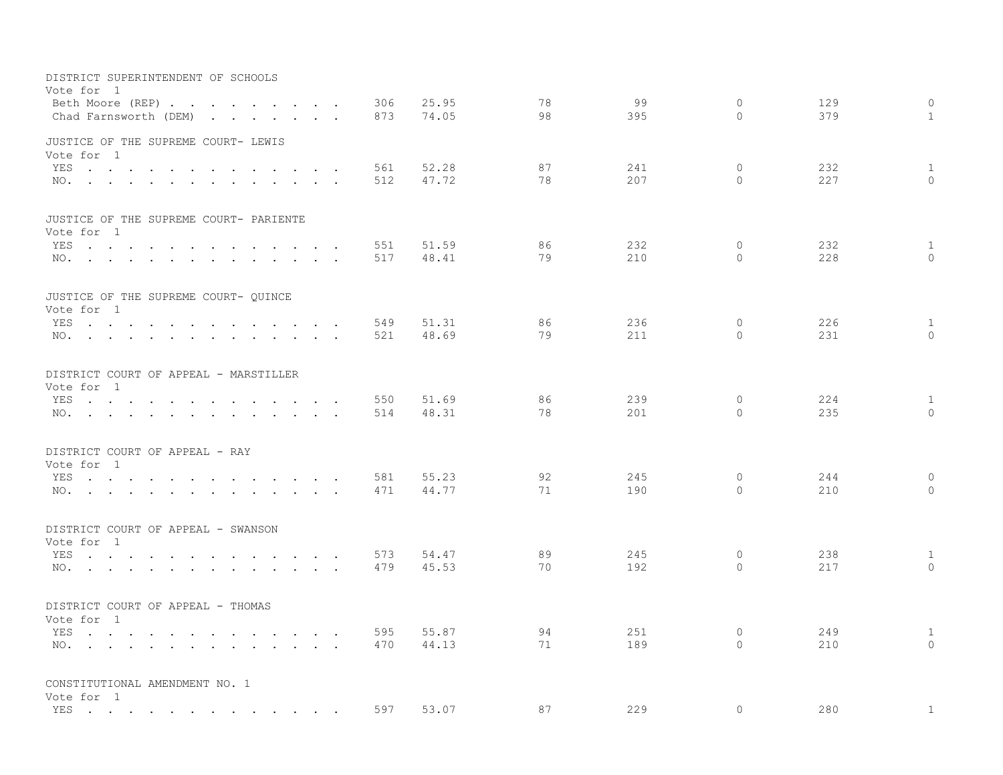| DISTRICT SUPERINTENDENT OF SCHOOLS<br>Vote for 1    |            |                |          |            |                     |            |                         |
|-----------------------------------------------------|------------|----------------|----------|------------|---------------------|------------|-------------------------|
| Beth Moore (REP)<br>Chad Farnsworth (DEM)           | 306<br>873 | 25.95<br>74.05 | 78<br>98 | 99<br>395  | $\circ$<br>$\Omega$ | 129<br>379 | $\overline{0}$<br>1     |
| JUSTICE OF THE SUPREME COURT- LEWIS                 |            |                |          |            |                     |            |                         |
| Vote for 1                                          |            |                |          |            |                     |            |                         |
| YES<br>NO.                                          | 561<br>512 | 52.28<br>47.72 | 87<br>78 | 241<br>207 | $\circ$<br>$\Omega$ | 232<br>227 | $\mathbf{1}$<br>$\circ$ |
| JUSTICE OF THE SUPREME COURT- PARIENTE              |            |                |          |            |                     |            |                         |
| Vote for 1<br>YES                                   | 551        | 51.59          | 86       | 232        | 0                   | 232        | $\mathbf{1}$            |
| NO.                                                 | 517        | 48.41          | 79       | 210        | 0                   | 228        | $\circ$                 |
| JUSTICE OF THE SUPREME COURT- QUINCE<br>Vote for 1  |            |                |          |            |                     |            |                         |
| YES                                                 | 549        | 51.31          | 86       | 236        | 0                   | 226        | $\mathbf{1}$            |
| NO.                                                 | 521        | 48.69          | 79       | 211        | $\Omega$            | 231        | $\Omega$                |
| DISTRICT COURT OF APPEAL - MARSTILLER<br>Vote for 1 |            |                |          |            |                     |            |                         |
| YES.<br>$\sim$ $\sim$ $\sim$                        | 550        | 51.69          | 86       | 239        | $\circ$             | 224        | 1                       |
| NO.                                                 | 514        | 48.31          | 78       | 201        | $\circ$             | 235        | $\circ$                 |
| DISTRICT COURT OF APPEAL - RAY<br>Vote for 1        |            |                |          |            |                     |            |                         |
| YES                                                 | 581        | 55.23          | 92       | 245        | 0                   | 244        | $\overline{0}$          |
| NO.                                                 | 471        | 44.77          | 71       | 190        | $\Omega$            | 210        | $\circ$                 |
| DISTRICT COURT OF APPEAL - SWANSON<br>Vote for 1    |            |                |          |            |                     |            |                         |
| YES<br>$\cdot$ $\cdot$                              | 573        | 54.47          | 89       | 245        | $\circ$             | 238        | $\mathbf{1}$            |
| NO.                                                 | 479        | 45.53          | 70       | 192        | $\Omega$            | 217        | $\Omega$                |
| DISTRICT COURT OF APPEAL - THOMAS<br>Vote for 1     |            |                |          |            |                     |            |                         |
| YES.                                                | 595        | 55.87          | 94       | 251        | $\circ$             | 249        | $\mathbf{1}$            |
| NO.                                                 | 470        | 44.13          | 71       | 189        | $\Omega$            | 210        | $\Omega$                |
| CONSTITUTIONAL AMENDMENT NO. 1<br>Vote for 1        |            |                |          |            |                     |            |                         |
| YES                                                 | 597        | 53.07          | 87       | 229        | 0                   | 280        | 1                       |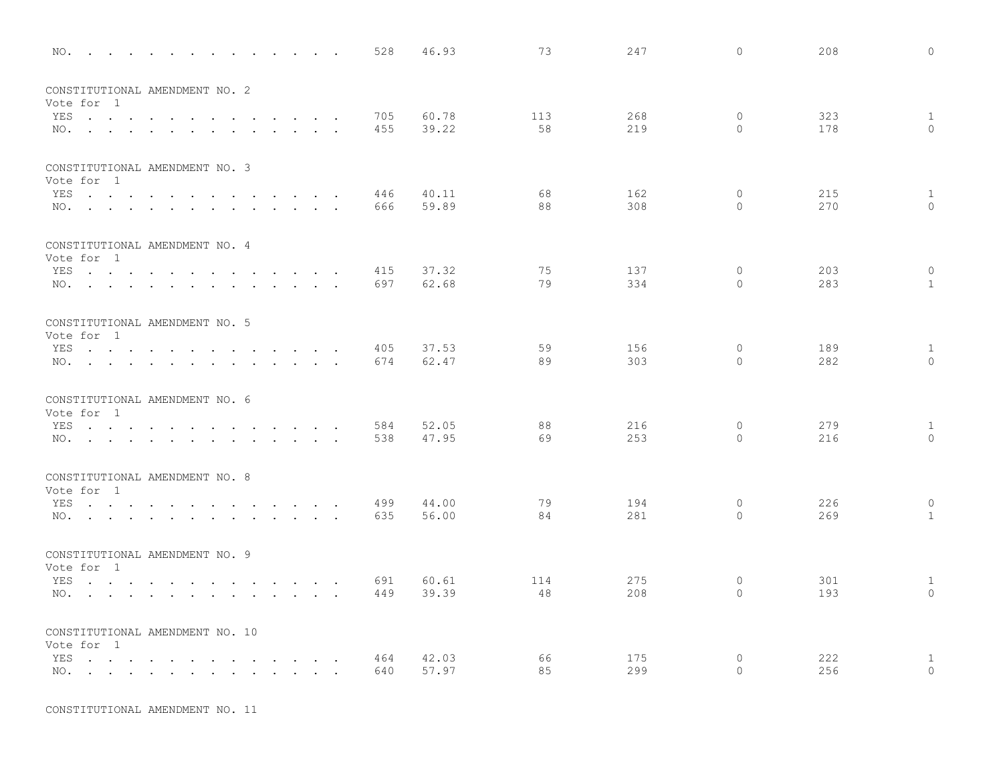|            | NO.                                                                                                                    |  |                          | 528        | 46.93          | 73        | 247        | $\circ$             | 208        | $\circ$                        |
|------------|------------------------------------------------------------------------------------------------------------------------|--|--------------------------|------------|----------------|-----------|------------|---------------------|------------|--------------------------------|
| Vote for 1 | CONSTITUTIONAL AMENDMENT NO. 2                                                                                         |  |                          |            |                |           |            |                     |            |                                |
| YES        | NO.                                                                                                                    |  | $\sim$ $\sim$ $\sim$     | 705<br>455 | 60.78<br>39.22 | 113<br>58 | 268<br>219 | $\circ$<br>$\Omega$ | 323<br>178 | $\mathbf{1}$<br>$\overline{0}$ |
|            | CONSTITUTIONAL AMENDMENT NO. 3                                                                                         |  |                          |            |                |           |            |                     |            |                                |
| Vote for 1 | YES<br>NO.                                                                                                             |  |                          | 446<br>666 | 40.11<br>59.89 | 68<br>88  | 162<br>308 | $\circ$<br>$\circ$  | 215<br>270 | $\mathbf{1}$<br>$\Omega$       |
| Vote for 1 | CONSTITUTIONAL AMENDMENT NO. 4                                                                                         |  |                          |            |                |           |            |                     |            |                                |
|            | YES<br>NO.                                                                                                             |  |                          | 415<br>697 | 37.32<br>62.68 | 75<br>79  | 137<br>334 | $\circ$<br>$\Omega$ | 203<br>283 | $\overline{0}$<br>$\mathbf{1}$ |
| Vote for 1 | CONSTITUTIONAL AMENDMENT NO. 5                                                                                         |  |                          |            |                |           |            |                     |            |                                |
|            | YES<br>NO.                                                                                                             |  | $\sim$ $\sim$ $\sim$     | 405<br>674 | 37.53<br>62.47 | 59<br>89  | 156<br>303 | $\circ$<br>$\Omega$ | 189<br>282 | $\mathbf{1}$<br>$\Omega$       |
| Vote for 1 | CONSTITUTIONAL AMENDMENT NO. 6                                                                                         |  |                          |            |                |           |            |                     |            |                                |
|            | YES<br>NO.                                                                                                             |  |                          | 584<br>538 | 52.05<br>47.95 | 88<br>69  | 216<br>253 | $\circ$<br>$\Omega$ | 279<br>216 | $\mathbf{1}$<br>$\Omega$       |
| Vote for 1 | CONSTITUTIONAL AMENDMENT NO. 8                                                                                         |  |                          |            |                |           |            |                     |            |                                |
|            | YES.<br>NO.                                                                                                            |  | <b>Contract Contract</b> | 499<br>635 | 44.00<br>56.00 | 79<br>84  | 194<br>281 | $\circ$<br>$\Omega$ | 226<br>269 | $\circ$<br>$\mathbf{1}$        |
| Vote for 1 | CONSTITUTIONAL AMENDMENT NO. 9                                                                                         |  |                          |            |                |           |            |                     |            |                                |
|            | YES<br>NO.                                                                                                             |  |                          | 691<br>449 | 60.61<br>39.39 | 114<br>48 | 275<br>208 | $\circ$<br>$\Omega$ | 301<br>193 | $\mathbf{1}$<br>$\circ$        |
| Vote for 1 | CONSTITUTIONAL AMENDMENT NO. 10                                                                                        |  |                          |            |                |           |            |                     |            |                                |
| YES        | the contract of the contract of the contract of the contract of the contract of the contract of the contract of<br>NO. |  | $\sim$                   | 464<br>640 | 42.03<br>57.97 | 66<br>85  | 175<br>299 | $\circ$<br>$\circ$  | 222<br>256 | $\mathbf{1}$<br>$\overline{0}$ |

CONSTITUTIONAL AMENDMENT NO. 11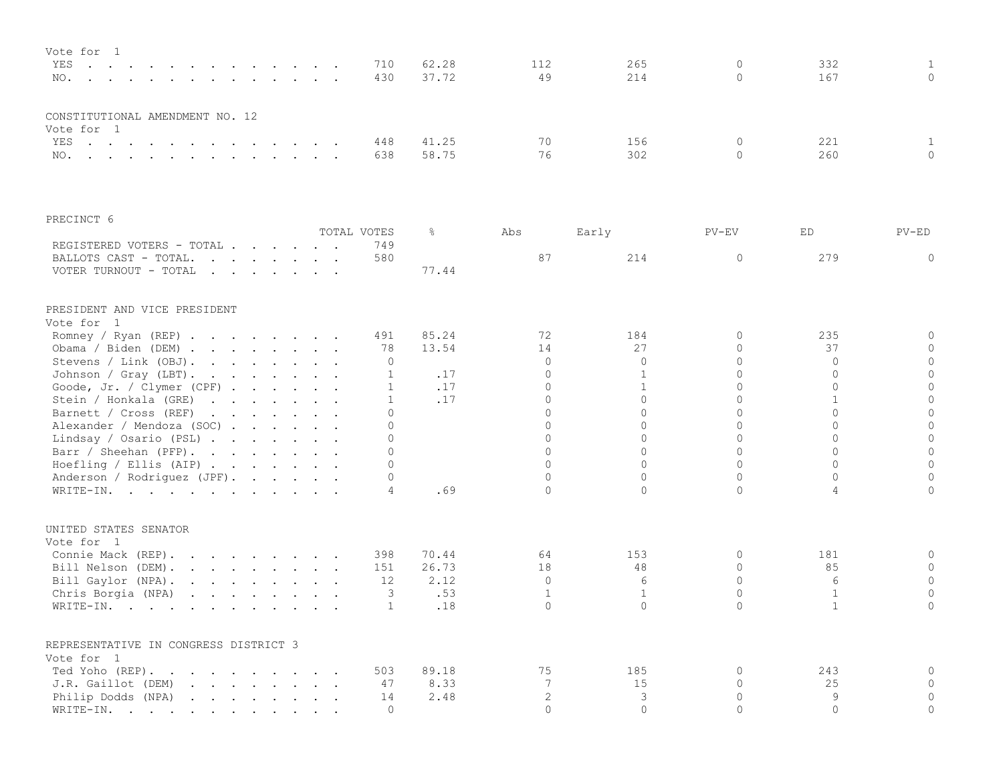| Vote for 1                                    |  |  |  |  |  |  |  | YES 710 62.28<br>NO. 430 37.72 | 49       | 265<br>214 | $\cap$ | 332<br>167 |  |
|-----------------------------------------------|--|--|--|--|--|--|--|--------------------------------|----------|------------|--------|------------|--|
| CONSTITUTIONAL AMENDMENT NO. 12<br>Vote for 1 |  |  |  |  |  |  |  | YES 448 41.25<br>NO. 638 58.75 | 70<br>76 | 156<br>302 |        | 221<br>260 |  |

| $\epsilon$<br>PRECINCT |  |
|------------------------|--|
|------------------------|--|

| TOTAL VOTES<br>$\frac{6}{6}$<br>Abs<br>Early<br>$PV-EV$<br>ED<br>$PV-ED$<br>749<br>REGISTERED VOTERS - TOTAL<br>87<br>BALLOTS CAST - TOTAL.<br>580<br>214<br>0<br>279<br>$\mathbf 0$<br>$\mathbf{r}$ , and $\mathbf{r}$ , and $\mathbf{r}$ , and $\mathbf{r}$<br>VOTER TURNOUT - TOTAL<br>77.44<br>$\mathbf{r}$ , $\mathbf{r}$ , $\mathbf{r}$ , $\mathbf{r}$ , $\mathbf{r}$ , $\mathbf{r}$<br>PRESIDENT AND VICE PRESIDENT<br>Vote for 1<br>85.24<br>72<br>184<br>235<br>Romney / Ryan (REP) $\cdots$ $\cdots$ $\cdots$<br>491<br>$\Omega$<br>$\Omega$<br>27<br>$\Omega$<br>37<br>Obama / Biden (DEM)<br>78<br>13.54<br>14<br>$\Omega$<br>$\mathbf{0}$<br>$\circ$<br>$\circ$<br>Stevens / Link $(OBJ)$ .<br>$\circ$<br>$\circ$<br>$\Omega$<br>$\bigcap$<br>$\mathbf{1}$<br>$\Omega$<br>$\Omega$<br>$\Omega$<br>Johnson / Gray (LBT).<br>$\mathbf{1}$<br>.17<br>$\mathbf{1}$<br>.17<br>$\Omega$<br>$\Omega$<br>$\Omega$<br>$\Omega$<br>Goode, Jr. / Clymer (CPF)<br>$\mathbf{1}$<br>.17<br>$\Omega$<br>$\mathbf{1}$<br>$\Omega$<br>Stein / Honkala (GRE)<br>$\circ$<br>$\Omega$<br>$\mathbf{1}$<br>$\Omega$<br>$\Omega$<br>$\Omega$<br>$\Omega$<br>Barnett / Cross (REF)<br>$\Omega$<br>$\Omega$<br>$\circ$<br>$\circ$<br>$\Omega$<br>$\Omega$<br>Alexander / Mendoza (SOC)<br>$\Omega$<br>$\Omega$<br>$\Omega$<br>$\Omega$<br>$\Omega$<br>$\Omega$<br>Lindsay / Osario (PSL)<br>$\Omega$<br>$\Omega$<br>$\Omega$<br>Barr / Sheehan (PFP).<br>$\Omega$<br>$\Omega$<br>$\Omega$<br>$\Omega$<br>$\Omega$<br>$\Omega$<br>$\Omega$<br>$\Omega$<br>$\Omega$<br>$\Omega$<br>Hoefling / Ellis (AIP)<br>$\cap$<br>$\Omega$<br>Anderson / Rodriquez (JPF).<br>$\Omega$<br>$\bigcap$<br>$\Omega$<br>$\Omega$<br>$\Omega$<br>$\Omega$<br>$\Omega$<br>$\Omega$<br>$\overline{4}$<br>$\Omega$<br>WRITE-IN.<br>4<br>.69<br>UNITED STATES SENATOR<br>Vote for 1<br>0<br>181<br>$\mathbf 0$<br>Connie Mack (REP).<br>398<br>70.44<br>64<br>153<br>$\circ$<br>85<br>$\circ$<br>151<br>26.73<br>18<br>48<br>Bill Nelson (DEM).<br>$\Omega$<br>$\Omega$<br>2.12<br>$\circ$<br>6<br>6<br>Bill Gaylor (NPA).<br>12<br>$\Omega$<br>$\Omega$<br>Chris Borgia (NPA)<br>.53<br>1<br>$\mathbf{1}$<br>$\mathbf{1}$<br>3<br>.18<br>$\Omega$<br>$\Omega$<br>$\Omega$<br>$\mathbf{1}$<br>$\Omega$<br>WRITE-IN.<br>1.<br>REPRESENTATIVE IN CONGRESS DISTRICT 3<br>Vote for 1<br>Ted Yoho (REP).<br>89.18<br>75<br>185<br>0<br>243<br>503<br>$\Omega$<br>15<br>J.R. Gaillot (DEM)<br>8.33<br>7<br>0<br>25<br>$\Omega$<br>47<br>2<br>3<br>0<br>Philip Dodds (NPA)<br>2.48<br>9<br>$\Omega$<br>14<br>$\Omega$<br>$\Omega$<br>$\Omega$<br>$\Omega$<br>$\Omega$<br>WRITE-IN.<br>$\Omega$ | PRECINCT 6 |  |  |  |  |  |  |
|-----------------------------------------------------------------------------------------------------------------------------------------------------------------------------------------------------------------------------------------------------------------------------------------------------------------------------------------------------------------------------------------------------------------------------------------------------------------------------------------------------------------------------------------------------------------------------------------------------------------------------------------------------------------------------------------------------------------------------------------------------------------------------------------------------------------------------------------------------------------------------------------------------------------------------------------------------------------------------------------------------------------------------------------------------------------------------------------------------------------------------------------------------------------------------------------------------------------------------------------------------------------------------------------------------------------------------------------------------------------------------------------------------------------------------------------------------------------------------------------------------------------------------------------------------------------------------------------------------------------------------------------------------------------------------------------------------------------------------------------------------------------------------------------------------------------------------------------------------------------------------------------------------------------------------------------------------------------------------------------------------------------------------------------------------------------------------------------------------------------------------------------------------------------------------------------------------------------------------------------------------------------------------------------------------------------------------------------------------------------------------------------------------------------------------------------------------------------------------------------------------------------------------------------------------------------------------------------------------------------------------------------------------|------------|--|--|--|--|--|--|
|                                                                                                                                                                                                                                                                                                                                                                                                                                                                                                                                                                                                                                                                                                                                                                                                                                                                                                                                                                                                                                                                                                                                                                                                                                                                                                                                                                                                                                                                                                                                                                                                                                                                                                                                                                                                                                                                                                                                                                                                                                                                                                                                                                                                                                                                                                                                                                                                                                                                                                                                                                                                                                                     |            |  |  |  |  |  |  |
|                                                                                                                                                                                                                                                                                                                                                                                                                                                                                                                                                                                                                                                                                                                                                                                                                                                                                                                                                                                                                                                                                                                                                                                                                                                                                                                                                                                                                                                                                                                                                                                                                                                                                                                                                                                                                                                                                                                                                                                                                                                                                                                                                                                                                                                                                                                                                                                                                                                                                                                                                                                                                                                     |            |  |  |  |  |  |  |
|                                                                                                                                                                                                                                                                                                                                                                                                                                                                                                                                                                                                                                                                                                                                                                                                                                                                                                                                                                                                                                                                                                                                                                                                                                                                                                                                                                                                                                                                                                                                                                                                                                                                                                                                                                                                                                                                                                                                                                                                                                                                                                                                                                                                                                                                                                                                                                                                                                                                                                                                                                                                                                                     |            |  |  |  |  |  |  |
|                                                                                                                                                                                                                                                                                                                                                                                                                                                                                                                                                                                                                                                                                                                                                                                                                                                                                                                                                                                                                                                                                                                                                                                                                                                                                                                                                                                                                                                                                                                                                                                                                                                                                                                                                                                                                                                                                                                                                                                                                                                                                                                                                                                                                                                                                                                                                                                                                                                                                                                                                                                                                                                     |            |  |  |  |  |  |  |
|                                                                                                                                                                                                                                                                                                                                                                                                                                                                                                                                                                                                                                                                                                                                                                                                                                                                                                                                                                                                                                                                                                                                                                                                                                                                                                                                                                                                                                                                                                                                                                                                                                                                                                                                                                                                                                                                                                                                                                                                                                                                                                                                                                                                                                                                                                                                                                                                                                                                                                                                                                                                                                                     |            |  |  |  |  |  |  |
|                                                                                                                                                                                                                                                                                                                                                                                                                                                                                                                                                                                                                                                                                                                                                                                                                                                                                                                                                                                                                                                                                                                                                                                                                                                                                                                                                                                                                                                                                                                                                                                                                                                                                                                                                                                                                                                                                                                                                                                                                                                                                                                                                                                                                                                                                                                                                                                                                                                                                                                                                                                                                                                     |            |  |  |  |  |  |  |
|                                                                                                                                                                                                                                                                                                                                                                                                                                                                                                                                                                                                                                                                                                                                                                                                                                                                                                                                                                                                                                                                                                                                                                                                                                                                                                                                                                                                                                                                                                                                                                                                                                                                                                                                                                                                                                                                                                                                                                                                                                                                                                                                                                                                                                                                                                                                                                                                                                                                                                                                                                                                                                                     |            |  |  |  |  |  |  |
|                                                                                                                                                                                                                                                                                                                                                                                                                                                                                                                                                                                                                                                                                                                                                                                                                                                                                                                                                                                                                                                                                                                                                                                                                                                                                                                                                                                                                                                                                                                                                                                                                                                                                                                                                                                                                                                                                                                                                                                                                                                                                                                                                                                                                                                                                                                                                                                                                                                                                                                                                                                                                                                     |            |  |  |  |  |  |  |
|                                                                                                                                                                                                                                                                                                                                                                                                                                                                                                                                                                                                                                                                                                                                                                                                                                                                                                                                                                                                                                                                                                                                                                                                                                                                                                                                                                                                                                                                                                                                                                                                                                                                                                                                                                                                                                                                                                                                                                                                                                                                                                                                                                                                                                                                                                                                                                                                                                                                                                                                                                                                                                                     |            |  |  |  |  |  |  |
|                                                                                                                                                                                                                                                                                                                                                                                                                                                                                                                                                                                                                                                                                                                                                                                                                                                                                                                                                                                                                                                                                                                                                                                                                                                                                                                                                                                                                                                                                                                                                                                                                                                                                                                                                                                                                                                                                                                                                                                                                                                                                                                                                                                                                                                                                                                                                                                                                                                                                                                                                                                                                                                     |            |  |  |  |  |  |  |
|                                                                                                                                                                                                                                                                                                                                                                                                                                                                                                                                                                                                                                                                                                                                                                                                                                                                                                                                                                                                                                                                                                                                                                                                                                                                                                                                                                                                                                                                                                                                                                                                                                                                                                                                                                                                                                                                                                                                                                                                                                                                                                                                                                                                                                                                                                                                                                                                                                                                                                                                                                                                                                                     |            |  |  |  |  |  |  |
|                                                                                                                                                                                                                                                                                                                                                                                                                                                                                                                                                                                                                                                                                                                                                                                                                                                                                                                                                                                                                                                                                                                                                                                                                                                                                                                                                                                                                                                                                                                                                                                                                                                                                                                                                                                                                                                                                                                                                                                                                                                                                                                                                                                                                                                                                                                                                                                                                                                                                                                                                                                                                                                     |            |  |  |  |  |  |  |
|                                                                                                                                                                                                                                                                                                                                                                                                                                                                                                                                                                                                                                                                                                                                                                                                                                                                                                                                                                                                                                                                                                                                                                                                                                                                                                                                                                                                                                                                                                                                                                                                                                                                                                                                                                                                                                                                                                                                                                                                                                                                                                                                                                                                                                                                                                                                                                                                                                                                                                                                                                                                                                                     |            |  |  |  |  |  |  |
|                                                                                                                                                                                                                                                                                                                                                                                                                                                                                                                                                                                                                                                                                                                                                                                                                                                                                                                                                                                                                                                                                                                                                                                                                                                                                                                                                                                                                                                                                                                                                                                                                                                                                                                                                                                                                                                                                                                                                                                                                                                                                                                                                                                                                                                                                                                                                                                                                                                                                                                                                                                                                                                     |            |  |  |  |  |  |  |
|                                                                                                                                                                                                                                                                                                                                                                                                                                                                                                                                                                                                                                                                                                                                                                                                                                                                                                                                                                                                                                                                                                                                                                                                                                                                                                                                                                                                                                                                                                                                                                                                                                                                                                                                                                                                                                                                                                                                                                                                                                                                                                                                                                                                                                                                                                                                                                                                                                                                                                                                                                                                                                                     |            |  |  |  |  |  |  |
|                                                                                                                                                                                                                                                                                                                                                                                                                                                                                                                                                                                                                                                                                                                                                                                                                                                                                                                                                                                                                                                                                                                                                                                                                                                                                                                                                                                                                                                                                                                                                                                                                                                                                                                                                                                                                                                                                                                                                                                                                                                                                                                                                                                                                                                                                                                                                                                                                                                                                                                                                                                                                                                     |            |  |  |  |  |  |  |
|                                                                                                                                                                                                                                                                                                                                                                                                                                                                                                                                                                                                                                                                                                                                                                                                                                                                                                                                                                                                                                                                                                                                                                                                                                                                                                                                                                                                                                                                                                                                                                                                                                                                                                                                                                                                                                                                                                                                                                                                                                                                                                                                                                                                                                                                                                                                                                                                                                                                                                                                                                                                                                                     |            |  |  |  |  |  |  |
|                                                                                                                                                                                                                                                                                                                                                                                                                                                                                                                                                                                                                                                                                                                                                                                                                                                                                                                                                                                                                                                                                                                                                                                                                                                                                                                                                                                                                                                                                                                                                                                                                                                                                                                                                                                                                                                                                                                                                                                                                                                                                                                                                                                                                                                                                                                                                                                                                                                                                                                                                                                                                                                     |            |  |  |  |  |  |  |
|                                                                                                                                                                                                                                                                                                                                                                                                                                                                                                                                                                                                                                                                                                                                                                                                                                                                                                                                                                                                                                                                                                                                                                                                                                                                                                                                                                                                                                                                                                                                                                                                                                                                                                                                                                                                                                                                                                                                                                                                                                                                                                                                                                                                                                                                                                                                                                                                                                                                                                                                                                                                                                                     |            |  |  |  |  |  |  |
|                                                                                                                                                                                                                                                                                                                                                                                                                                                                                                                                                                                                                                                                                                                                                                                                                                                                                                                                                                                                                                                                                                                                                                                                                                                                                                                                                                                                                                                                                                                                                                                                                                                                                                                                                                                                                                                                                                                                                                                                                                                                                                                                                                                                                                                                                                                                                                                                                                                                                                                                                                                                                                                     |            |  |  |  |  |  |  |
|                                                                                                                                                                                                                                                                                                                                                                                                                                                                                                                                                                                                                                                                                                                                                                                                                                                                                                                                                                                                                                                                                                                                                                                                                                                                                                                                                                                                                                                                                                                                                                                                                                                                                                                                                                                                                                                                                                                                                                                                                                                                                                                                                                                                                                                                                                                                                                                                                                                                                                                                                                                                                                                     |            |  |  |  |  |  |  |
|                                                                                                                                                                                                                                                                                                                                                                                                                                                                                                                                                                                                                                                                                                                                                                                                                                                                                                                                                                                                                                                                                                                                                                                                                                                                                                                                                                                                                                                                                                                                                                                                                                                                                                                                                                                                                                                                                                                                                                                                                                                                                                                                                                                                                                                                                                                                                                                                                                                                                                                                                                                                                                                     |            |  |  |  |  |  |  |
|                                                                                                                                                                                                                                                                                                                                                                                                                                                                                                                                                                                                                                                                                                                                                                                                                                                                                                                                                                                                                                                                                                                                                                                                                                                                                                                                                                                                                                                                                                                                                                                                                                                                                                                                                                                                                                                                                                                                                                                                                                                                                                                                                                                                                                                                                                                                                                                                                                                                                                                                                                                                                                                     |            |  |  |  |  |  |  |
|                                                                                                                                                                                                                                                                                                                                                                                                                                                                                                                                                                                                                                                                                                                                                                                                                                                                                                                                                                                                                                                                                                                                                                                                                                                                                                                                                                                                                                                                                                                                                                                                                                                                                                                                                                                                                                                                                                                                                                                                                                                                                                                                                                                                                                                                                                                                                                                                                                                                                                                                                                                                                                                     |            |  |  |  |  |  |  |
|                                                                                                                                                                                                                                                                                                                                                                                                                                                                                                                                                                                                                                                                                                                                                                                                                                                                                                                                                                                                                                                                                                                                                                                                                                                                                                                                                                                                                                                                                                                                                                                                                                                                                                                                                                                                                                                                                                                                                                                                                                                                                                                                                                                                                                                                                                                                                                                                                                                                                                                                                                                                                                                     |            |  |  |  |  |  |  |
|                                                                                                                                                                                                                                                                                                                                                                                                                                                                                                                                                                                                                                                                                                                                                                                                                                                                                                                                                                                                                                                                                                                                                                                                                                                                                                                                                                                                                                                                                                                                                                                                                                                                                                                                                                                                                                                                                                                                                                                                                                                                                                                                                                                                                                                                                                                                                                                                                                                                                                                                                                                                                                                     |            |  |  |  |  |  |  |
|                                                                                                                                                                                                                                                                                                                                                                                                                                                                                                                                                                                                                                                                                                                                                                                                                                                                                                                                                                                                                                                                                                                                                                                                                                                                                                                                                                                                                                                                                                                                                                                                                                                                                                                                                                                                                                                                                                                                                                                                                                                                                                                                                                                                                                                                                                                                                                                                                                                                                                                                                                                                                                                     |            |  |  |  |  |  |  |
|                                                                                                                                                                                                                                                                                                                                                                                                                                                                                                                                                                                                                                                                                                                                                                                                                                                                                                                                                                                                                                                                                                                                                                                                                                                                                                                                                                                                                                                                                                                                                                                                                                                                                                                                                                                                                                                                                                                                                                                                                                                                                                                                                                                                                                                                                                                                                                                                                                                                                                                                                                                                                                                     |            |  |  |  |  |  |  |
|                                                                                                                                                                                                                                                                                                                                                                                                                                                                                                                                                                                                                                                                                                                                                                                                                                                                                                                                                                                                                                                                                                                                                                                                                                                                                                                                                                                                                                                                                                                                                                                                                                                                                                                                                                                                                                                                                                                                                                                                                                                                                                                                                                                                                                                                                                                                                                                                                                                                                                                                                                                                                                                     |            |  |  |  |  |  |  |
|                                                                                                                                                                                                                                                                                                                                                                                                                                                                                                                                                                                                                                                                                                                                                                                                                                                                                                                                                                                                                                                                                                                                                                                                                                                                                                                                                                                                                                                                                                                                                                                                                                                                                                                                                                                                                                                                                                                                                                                                                                                                                                                                                                                                                                                                                                                                                                                                                                                                                                                                                                                                                                                     |            |  |  |  |  |  |  |
|                                                                                                                                                                                                                                                                                                                                                                                                                                                                                                                                                                                                                                                                                                                                                                                                                                                                                                                                                                                                                                                                                                                                                                                                                                                                                                                                                                                                                                                                                                                                                                                                                                                                                                                                                                                                                                                                                                                                                                                                                                                                                                                                                                                                                                                                                                                                                                                                                                                                                                                                                                                                                                                     |            |  |  |  |  |  |  |
|                                                                                                                                                                                                                                                                                                                                                                                                                                                                                                                                                                                                                                                                                                                                                                                                                                                                                                                                                                                                                                                                                                                                                                                                                                                                                                                                                                                                                                                                                                                                                                                                                                                                                                                                                                                                                                                                                                                                                                                                                                                                                                                                                                                                                                                                                                                                                                                                                                                                                                                                                                                                                                                     |            |  |  |  |  |  |  |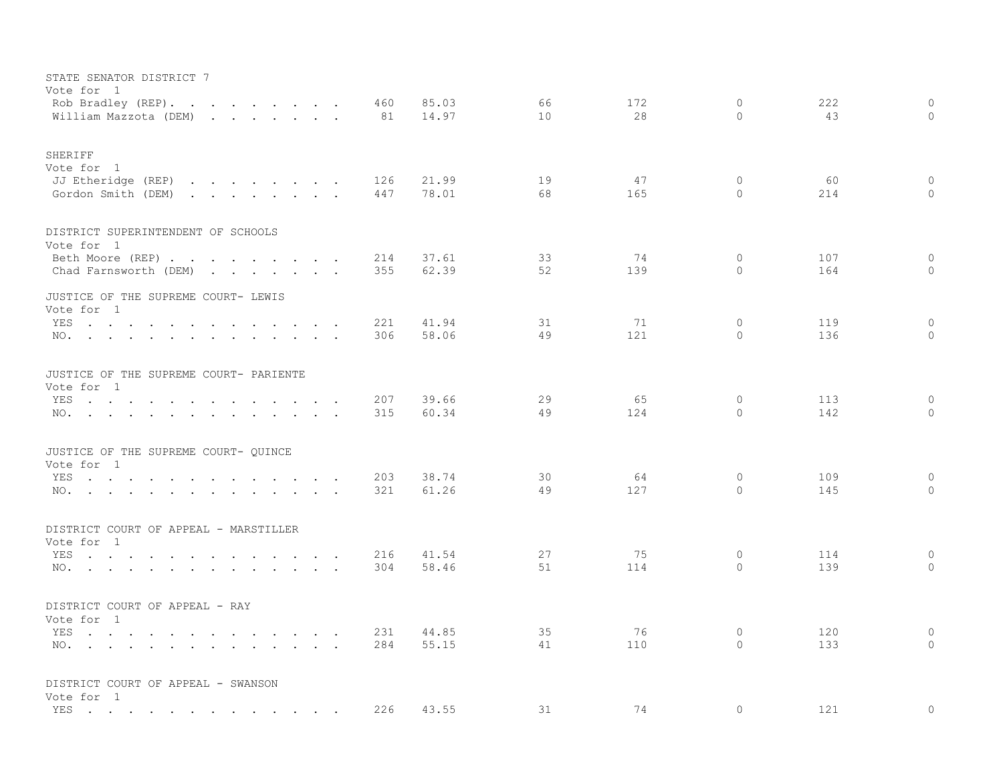| STATE SENATOR DISTRICT 7<br>Vote for 1                                                                                                |           |                |          |           |                     |           |                          |
|---------------------------------------------------------------------------------------------------------------------------------------|-----------|----------------|----------|-----------|---------------------|-----------|--------------------------|
| Rob Bradley (REP).<br>William Mazzota (DEM)                                                                                           | 460<br>81 | 85.03<br>14.97 | 66<br>10 | 172<br>28 | $\circ$<br>$\Omega$ | 222<br>43 | $\mathbf{0}$<br>$\Omega$ |
| <b>SHERIFF</b><br>Vote for 1                                                                                                          |           |                |          |           |                     |           |                          |
| JJ Etheridge (REP)<br>$\mathcal{A}$ . The set of the set of the set of the $\mathcal{A}$                                              | 126       | 21.99          | 19       | 47        | 0                   | 60        | $\mathbf 0$              |
| Gordon Smith (DEM)<br>the contract of the contract of the contract of the contract of the contract of the contract of the contract of | 447       | 78.01          | 68       | 165       | $\circ$             | 214       | $\circ$                  |
| DISTRICT SUPERINTENDENT OF SCHOOLS<br>Vote for 1                                                                                      |           |                |          |           |                     |           |                          |
| Beth Moore (REP)                                                                                                                      | 214       | 37.61          | 33       | 74        | $\circ$             | 107       | $\mathbf 0$              |
| Chad Farnsworth (DEM)                                                                                                                 | 355       | 62.39          | 52       | 139       | $\Omega$            | 164       | $\Omega$                 |
| JUSTICE OF THE SUPREME COURT- LEWIS<br>Vote for 1                                                                                     |           |                |          |           |                     |           |                          |
| YES                                                                                                                                   | 221       | 41.94          | 31       | 71        | $\circ$             | 119       | $\mathbf 0$              |
| NO.                                                                                                                                   | 306       | 58.06          | 49       | 121       | $\Omega$            | 136       | $\Omega$                 |
| JUSTICE OF THE SUPREME COURT- PARIENTE<br>Vote for 1                                                                                  |           |                |          |           |                     |           |                          |
| YES<br>$\cdots$<br>$\sim$ $\sim$                                                                                                      | 207       | 39.66          | 29       | 65        | $\circ$             | 113       | $\mathbf{0}$             |
| NO.                                                                                                                                   | 315       | 60.34          | 49       | 124       | $\circ$             | 142       | $\circ$                  |
| JUSTICE OF THE SUPREME COURT- QUINCE<br>Vote for 1                                                                                    |           |                |          |           |                     |           |                          |
| YES                                                                                                                                   | 203       | 38.74          | 30       | 64        | 0                   | 109       | $\circ$                  |
| NO.                                                                                                                                   | 321       | 61.26          | 49       | 127       | $\Omega$            | 145       | $\circ$                  |
| DISTRICT COURT OF APPEAL - MARSTILLER<br>Vote for 1                                                                                   |           |                |          |           |                     |           |                          |
| YES<br>$\sim$ $\sim$                                                                                                                  | 216       | 41.54          | 27       | 75        | 0                   | 114       | $\circ$                  |
| NO.                                                                                                                                   | 304       | 58.46          | 51       | 114       | $\circ$             | 139       | $\mathbf{0}$             |
| DISTRICT COURT OF APPEAL - RAY<br>Vote for 1                                                                                          |           |                |          |           |                     |           |                          |
| YES                                                                                                                                   | 231       | 44.85          | 35       | 76        | 0                   | 120       | $\mathbf 0$              |
| NO.                                                                                                                                   | 284       | 55.15          | 41       | 110       | $\Omega$            | 133       | $\Omega$                 |
| DISTRICT COURT OF APPEAL - SWANSON<br>Vote for 1                                                                                      |           |                |          |           |                     |           |                          |
| YES                                                                                                                                   | 226       | 43.55          | 31       | 74        | 0                   | 121       | $\mathbf 0$              |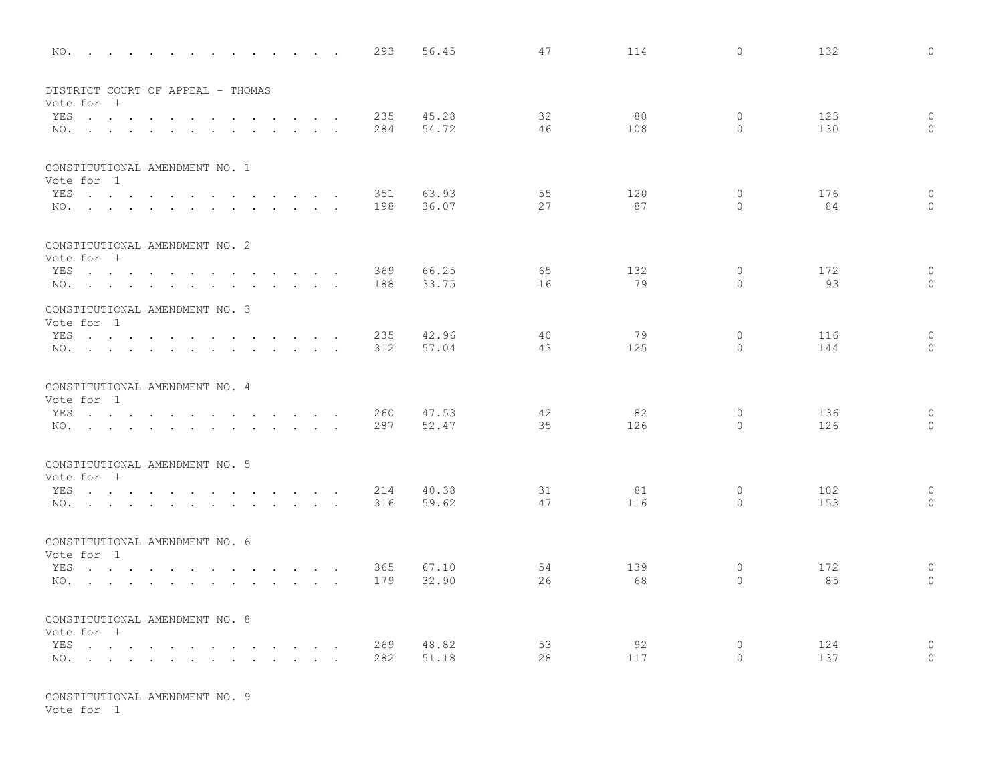|                                                        | NO.                                                                                                                                                                                                                                   |                                                           |                                                        | 293        | 56.45          | 47       | 114       | 0                    | 132        | $\circ$                  |
|--------------------------------------------------------|---------------------------------------------------------------------------------------------------------------------------------------------------------------------------------------------------------------------------------------|-----------------------------------------------------------|--------------------------------------------------------|------------|----------------|----------|-----------|----------------------|------------|--------------------------|
| DISTRICT COURT OF APPEAL - THOMAS<br>Vote for 1<br>YES | $\sim$ $\sim$<br>NO.                                                                                                                                                                                                                  | $\cdots$ $\cdots$                                         | $\cdot$ $\cdot$                                        | 235<br>284 | 45.28<br>54.72 | 32<br>46 | 80<br>108 | $\Omega$<br>$\Omega$ | 123<br>130 | $\mathbf 0$<br>$\Omega$  |
| CONSTITUTIONAL AMENDMENT NO. 1<br>Vote for 1           | YES<br>NO.                                                                                                                                                                                                                            |                                                           |                                                        | 351<br>198 | 63.93<br>36.07 | 55<br>27 | 120<br>87 | $\circ$<br>$\Omega$  | 176<br>84  | $\Omega$<br>$\Omega$     |
| CONSTITUTIONAL AMENDMENT NO. 2<br>Vote for 1           | YES<br>NO.                                                                                                                                                                                                                            | $\mathbf{r}$ , $\mathbf{r}$ , $\mathbf{r}$ , $\mathbf{r}$ |                                                        | 369<br>188 | 66.25<br>33.75 | 65<br>16 | 132<br>79 | $\circ$<br>$\Omega$  | 172<br>93  | $\Omega$<br>$\Omega$     |
| CONSTITUTIONAL AMENDMENT NO. 3<br>Vote for 1           | YES<br>NO.                                                                                                                                                                                                                            |                                                           |                                                        | 235<br>312 | 42.96<br>57.04 | 40<br>43 | 79<br>125 | $\circ$<br>$\Omega$  | 116<br>144 | $\mathbf 0$<br>$\Omega$  |
| CONSTITUTIONAL AMENDMENT NO. 4<br>Vote for 1           | YES<br>NO.                                                                                                                                                                                                                            |                                                           | $\sim$ $\sim$                                          | 260<br>287 | 47.53<br>52.47 | 42<br>35 | 82<br>126 | $\circ$<br>$\Omega$  | 136<br>126 | $\mathbf{0}$<br>$\Omega$ |
| CONSTITUTIONAL AMENDMENT NO. 5<br>Vote for 1           | YES<br>NO.                                                                                                                                                                                                                            |                                                           |                                                        | 214<br>316 | 40.38<br>59.62 | 31<br>47 | 81<br>116 | 0<br>$\Omega$        | 102<br>153 | $\mathbf{0}$<br>$\Omega$ |
| CONSTITUTIONAL AMENDMENT NO. 6<br>Vote for 1           | YES<br>NO.                                                                                                                                                                                                                            |                                                           |                                                        | 365<br>179 | 67.10<br>32.90 | 54<br>26 | 139<br>68 | $\circ$<br>$\Omega$  | 172<br>85  | $\circ$<br>$\Omega$      |
| CONSTITUTIONAL AMENDMENT NO. 8<br>Vote for 1<br>YES    | and the contract of the contract of the contract of the contract of the contract of the contract of the contract of the contract of the contract of the contract of the contract of the contract of the contract of the contra<br>NO. |                                                           | $\ddot{\phantom{1}}$<br>$\sim$<br>$\ddot{\phantom{a}}$ | 269<br>282 | 48.82<br>51.18 | 53<br>28 | 92<br>117 | $\circ$<br>0         | 124<br>137 | $\mathbf 0$<br>$\circ$   |

CONSTITUTIONAL AMENDMENT NO. 9 Vote for 1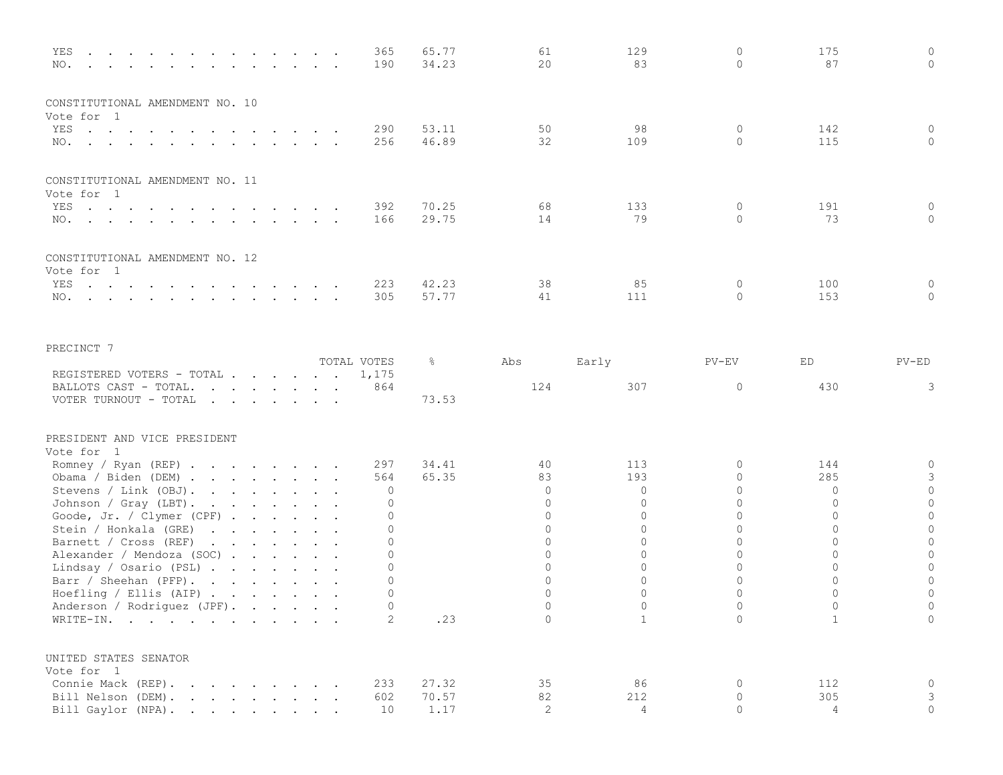| YES<br>the contract of the contract of the contract of the contract of the contract of the contract of the contract of<br>NO.<br>$\mathbf{r}$ , $\mathbf{r}$ , $\mathbf{r}$ , $\mathbf{r}$ , $\mathbf{r}$                                                                                                     |  | 365<br>190    | 65.77<br>34.23 | 61<br>20          | 129<br>83            | 0<br>$\circ$        | 175<br>87           | $\circ$<br>$\Omega$ |
|---------------------------------------------------------------------------------------------------------------------------------------------------------------------------------------------------------------------------------------------------------------------------------------------------------------|--|---------------|----------------|-------------------|----------------------|---------------------|---------------------|---------------------|
| CONSTITUTIONAL AMENDMENT NO. 10<br>Vote for 1                                                                                                                                                                                                                                                                 |  |               |                |                   |                      |                     |                     |                     |
| YES                                                                                                                                                                                                                                                                                                           |  | 290           | 53.11          | 50                | 98                   | 0                   | 142                 | 0                   |
| NO.                                                                                                                                                                                                                                                                                                           |  | 256           | 46.89          | 32                | 109                  | $\circ$             | 115                 | $\Omega$            |
| CONSTITUTIONAL AMENDMENT NO. 11<br>Vote for 1                                                                                                                                                                                                                                                                 |  |               |                |                   |                      |                     |                     |                     |
| YES                                                                                                                                                                                                                                                                                                           |  | 392           | 70.25          | 68                | 133                  | 0                   | 191                 | 0                   |
| NO.                                                                                                                                                                                                                                                                                                           |  | 166           | 29.75          | 14                | 79                   | $\Omega$            | 73                  | 0                   |
| CONSTITUTIONAL AMENDMENT NO. 12<br>Vote for 1                                                                                                                                                                                                                                                                 |  |               |                |                   |                      |                     |                     |                     |
| YES                                                                                                                                                                                                                                                                                                           |  | 223           | 42.23          | 38                | 85                   | 0                   | 100                 | 0                   |
| the contract of the contract of the contract of the contract of the contract of the contract of the contract of<br>NO.                                                                                                                                                                                        |  | 305           | 57.77          | 41                | 111                  | $\circ$             | 153                 | $\Omega$            |
| PRECINCT 7                                                                                                                                                                                                                                                                                                    |  |               |                |                   |                      |                     |                     |                     |
|                                                                                                                                                                                                                                                                                                               |  | TOTAL VOTES   | ိင             | Abs               | Early                | PV-EV               | ED                  | $PV-ED$             |
| REGISTERED VOTERS - TOTAL<br>BALLOTS CAST - TOTAL.<br>and the contract of the contract of the contract of the contract of the contract of the contract of the contract of the contract of the contract of the contract of the contract of the contract of the contract of the contra<br>VOTER TURNOUT - TOTAL |  | 1,175<br>864  | 73.53          | 124               | 307                  | 0                   | 430                 | 3                   |
| PRESIDENT AND VICE PRESIDENT                                                                                                                                                                                                                                                                                  |  |               |                |                   |                      |                     |                     |                     |
| Vote for 1                                                                                                                                                                                                                                                                                                    |  |               |                |                   |                      |                     |                     |                     |
| Romney / Ryan (REP)                                                                                                                                                                                                                                                                                           |  | 297           | 34.41          | 40                | 113                  | 0                   | 144                 | 0                   |
| Obama / Biden (DEM)<br>Stevens / Link (OBJ).                                                                                                                                                                                                                                                                  |  | 564<br>0      | 65.35          | 83<br>$\circ$     | 193<br>0             | $\circ$<br>0        | 285<br>0            | 3<br>0              |
| Johnson / Gray (LBT).                                                                                                                                                                                                                                                                                         |  | 0             |                | $\circ$           | $\mathbf 0$          | $\circ$             | $\circ$             | 0                   |
| Goode, Jr. / Clymer (CPF)                                                                                                                                                                                                                                                                                     |  | $\Omega$      |                | $\Omega$          | $\mathbf 0$          | $\circ$             | $\circ$             | $\Omega$            |
| Stein / Honkala (GRE)                                                                                                                                                                                                                                                                                         |  | 0             |                | $\circ$           | 0                    | $\circ$             | 0                   | 0                   |
| Barnett / Cross (REF)<br>the contract of the contract of the contract of the contract of the contract of the contract of the contract of                                                                                                                                                                      |  | 0             |                | $\circ$           | $\circ$              | $\circ$             | $\circ$             | 0                   |
| Alexander / Mendoza (SOC)                                                                                                                                                                                                                                                                                     |  | 0             |                | $\Omega$          | $\mathbf 0$          | 0                   | $\circ$             | 0                   |
| Lindsay / Osario (PSL)                                                                                                                                                                                                                                                                                        |  | 0             |                | $\circ$           | $\mathbf 0$          | $\circ$             | $\circ$             | 0                   |
| Barr / Sheehan (PFP).                                                                                                                                                                                                                                                                                         |  | 0             |                | $\circ$           | $\mathbf 0$          | $\circ$             | $\circ$             | 0                   |
| Hoefling / Ellis (AIP) $\cdots$ $\cdots$ $\cdots$                                                                                                                                                                                                                                                             |  | 0<br>$\Omega$ |                | $\circ$<br>$\cap$ | $\Omega$<br>$\Omega$ | $\circ$<br>$\Omega$ | $\circ$<br>$\Omega$ | 0<br>$\cap$         |
| Anderson / Rodriguez (JPF).<br>$\mathtt{WRTTE}\text{-}\mathtt{IN.}\quad.\quad.\quad.\quad.\quad.\quad.\quad.\quad.\quad.\quad.\quad.\quad.\quad.\quad.\quad.\quad.\quad.\quad.\quad.$                                                                                                                         |  | 2             | .23            | $\circ$           | $\mathbf{1}$         | $\circ$             | $\mathbf{1}$        | $\circ$             |
| UNITED STATES SENATOR                                                                                                                                                                                                                                                                                         |  |               |                |                   |                      |                     |                     |                     |
| Vote for 1                                                                                                                                                                                                                                                                                                    |  |               |                |                   |                      |                     |                     |                     |
| Connie Mack (REP).<br>Bill Nelson (DEM).                                                                                                                                                                                                                                                                      |  |               |                |                   |                      |                     |                     |                     |
|                                                                                                                                                                                                                                                                                                               |  | 233<br>602    | 27.32<br>70.57 | 35<br>82          | 86<br>212            | 0<br>0              | 112<br>305          | 0<br>3              |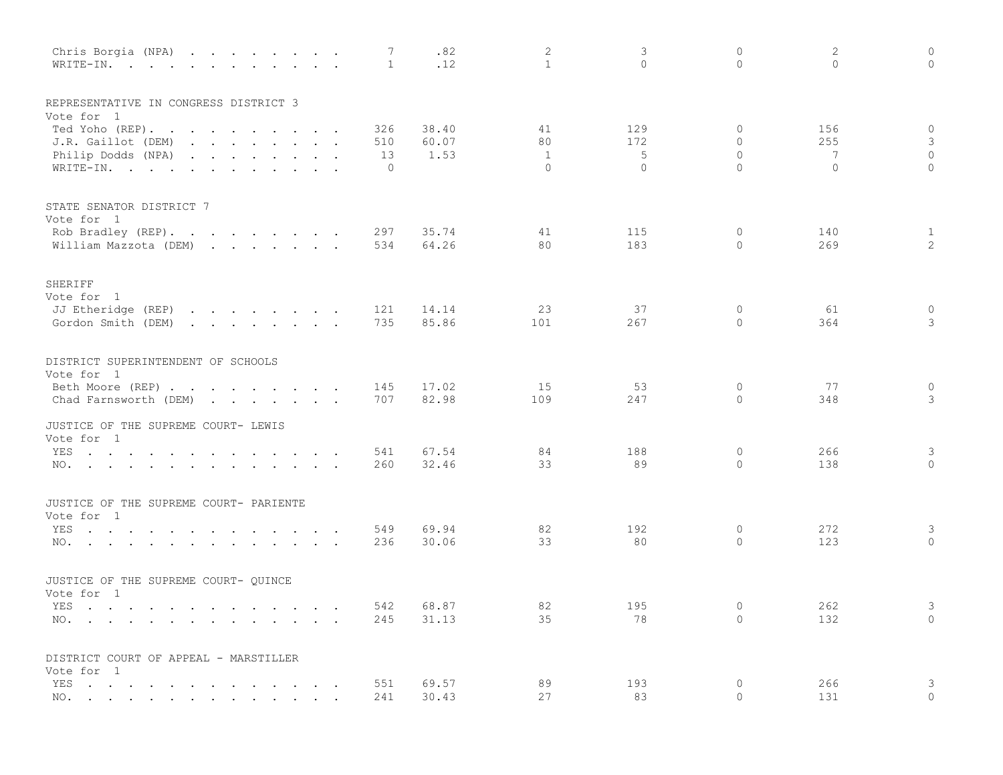| Chris Borgia (NPA)<br>WRITE-IN.                                                                                                                                                                                                                                                                                                                                                                                                                                  | 7<br>1            | .82<br>.12     | 2<br>$\mathbf{1}$ | 3<br>$\circ$  | $\circ$<br>$\circ$  | 2<br>$\Omega$               | $\mathbf{0}$<br>$\circ$ |
|------------------------------------------------------------------------------------------------------------------------------------------------------------------------------------------------------------------------------------------------------------------------------------------------------------------------------------------------------------------------------------------------------------------------------------------------------------------|-------------------|----------------|-------------------|---------------|---------------------|-----------------------------|-------------------------|
| REPRESENTATIVE IN CONGRESS DISTRICT 3<br>Vote for 1                                                                                                                                                                                                                                                                                                                                                                                                              |                   |                |                   |               |                     |                             |                         |
| Ted Yoho (REP).                                                                                                                                                                                                                                                                                                                                                                                                                                                  | 326               | 38.40          | 41                | 129           | 0                   | 156                         | $\circ$                 |
| J.R. Gaillot (DEM)<br>$\mathbf{r}$ . The contract of the contract of the contract of the contract of the contract of the contract of the contract of the contract of the contract of the contract of the contract of the contract of the contract of th                                                                                                                                                                                                          | 510               | 60.07          | 80                | 172           | $\Omega$            | 255                         | $\mathsf 3$             |
| Philip Dodds (NPA)<br>WRITE-IN.                                                                                                                                                                                                                                                                                                                                                                                                                                  | 13<br>$\mathbf 0$ | 1.53           | 1<br>$\Omega$     | 5<br>$\Omega$ | $\circ$<br>$\Omega$ | $7\phantom{.0}$<br>$\Omega$ | $\circ$<br>$\circ$      |
| STATE SENATOR DISTRICT 7                                                                                                                                                                                                                                                                                                                                                                                                                                         |                   |                |                   |               |                     |                             |                         |
| Vote for 1<br>Rob Bradley (REP).                                                                                                                                                                                                                                                                                                                                                                                                                                 | 297               | 35.74          | 41                | 115           | 0                   | 140                         | $\mathbf{1}$            |
| William Mazzota (DEM)                                                                                                                                                                                                                                                                                                                                                                                                                                            | 534               | 64.26          | 80                | 183           | 0                   | 269                         | 2                       |
| SHERIFF                                                                                                                                                                                                                                                                                                                                                                                                                                                          |                   |                |                   |               |                     |                             |                         |
| Vote for 1<br>JJ Etheridge (REP)<br>$\mathbf{r} = \mathbf{r} + \mathbf{r} + \mathbf{r} + \mathbf{r} + \mathbf{r} + \mathbf{r} + \mathbf{r} + \mathbf{r} + \mathbf{r} + \mathbf{r} + \mathbf{r} + \mathbf{r} + \mathbf{r} + \mathbf{r} + \mathbf{r} + \mathbf{r} + \mathbf{r} + \mathbf{r} + \mathbf{r} + \mathbf{r} + \mathbf{r} + \mathbf{r} + \mathbf{r} + \mathbf{r} + \mathbf{r} + \mathbf{r} + \mathbf{r} + \mathbf{r} + \mathbf{r} + \mathbf{r} + \mathbf$ | 121               | 14.14          | 23                | 37            | 0                   | 61                          | $\mathbf 0$             |
| Gordon Smith (DEM)<br>the contract of the contract of the contract of the contract of the contract of the contract of the contract of                                                                                                                                                                                                                                                                                                                            | 735               | 85.86          | 101               | 267           | 0                   | 364                         | 3                       |
| DISTRICT SUPERINTENDENT OF SCHOOLS                                                                                                                                                                                                                                                                                                                                                                                                                               |                   |                |                   |               |                     |                             |                         |
| Vote for 1<br>Beth Moore (REP)                                                                                                                                                                                                                                                                                                                                                                                                                                   | 145               | 17.02          | 15                | 53            | 0                   | 77                          | $\circ$                 |
| Chad Farnsworth (DEM)                                                                                                                                                                                                                                                                                                                                                                                                                                            | 707               | 82.98          | 109               | 247           | 0                   | 348                         | 3                       |
| JUSTICE OF THE SUPREME COURT- LEWIS<br>Vote for 1                                                                                                                                                                                                                                                                                                                                                                                                                |                   |                |                   |               |                     |                             |                         |
| YES<br>the contract of the contract of the contract of the contract of the contract of the contract of the contract of<br>$\sim$ $\sim$                                                                                                                                                                                                                                                                                                                          | 541               | 67.54          | 84                | 188           | $\circ$             | 266                         | 3                       |
| NO.                                                                                                                                                                                                                                                                                                                                                                                                                                                              | 260               | 32.46          | 33                | 89            | 0                   | 138                         | $\circ$                 |
| JUSTICE OF THE SUPREME COURT- PARIENTE                                                                                                                                                                                                                                                                                                                                                                                                                           |                   |                |                   |               |                     |                             |                         |
| Vote for 1<br>YES<br>the contract of the contract of                                                                                                                                                                                                                                                                                                                                                                                                             | 549               | 69.94          | 82                | 192           | 0                   | 272                         | 3                       |
| NO.<br>the contract of the contract of the contract of the contract of                                                                                                                                                                                                                                                                                                                                                                                           | 236               | 30.06          | 33                | 80            | 0                   | 123                         | $\circ$                 |
| JUSTICE OF THE SUPREME COURT- QUINCE                                                                                                                                                                                                                                                                                                                                                                                                                             |                   |                |                   |               |                     |                             |                         |
| Vote for 1                                                                                                                                                                                                                                                                                                                                                                                                                                                       |                   |                |                   | 195           |                     | 262                         |                         |
| YES<br>.<br>NO.                                                                                                                                                                                                                                                                                                                                                                                                                                                  | 542<br>245        | 68.87<br>31.13 | 82<br>35          | 78            | $\circ$<br>0        | 132                         | 3<br>$\circ$            |
| DISTRICT COURT OF APPEAL - MARSTILLER                                                                                                                                                                                                                                                                                                                                                                                                                            |                   |                |                   |               |                     |                             |                         |
| Vote for 1                                                                                                                                                                                                                                                                                                                                                                                                                                                       |                   |                |                   |               |                     |                             |                         |
| YES<br>$\cdot$ $\cdot$                                                                                                                                                                                                                                                                                                                                                                                                                                           | 551               | 69.57          | 89                | 193           | 0                   | 266                         | 3<br>$\circ$            |
| NO.                                                                                                                                                                                                                                                                                                                                                                                                                                                              | 241               | 30.43          | 27                | 83            | 0                   | 131                         |                         |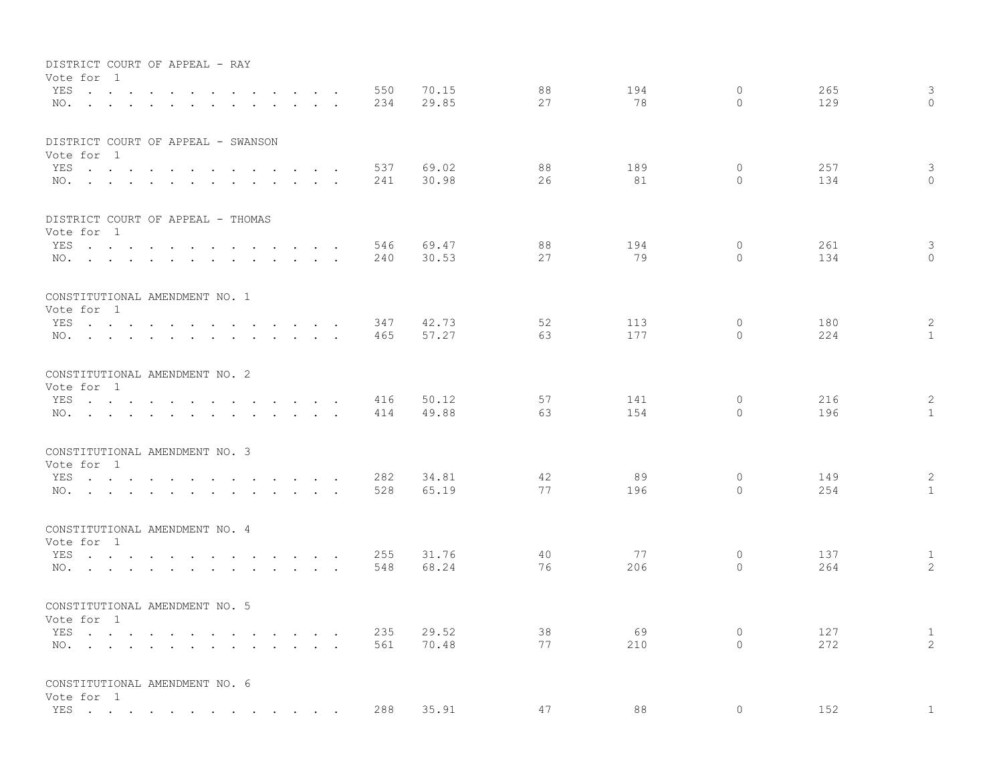| DISTRICT COURT OF APPEAL - RAY<br>Vote for 1    |                                                                                                                 |                                                                                            |                                                               |                      |            |                |          |           |                     |            |                              |
|-------------------------------------------------|-----------------------------------------------------------------------------------------------------------------|--------------------------------------------------------------------------------------------|---------------------------------------------------------------|----------------------|------------|----------------|----------|-----------|---------------------|------------|------------------------------|
| YES<br>NO.                                      | $\ddot{\phantom{a}}$                                                                                            | $\sim$                                                                                     | $\sim$ $\sim$ $\sim$ $\sim$ $\sim$<br>$\sim$ $\sim$<br>$\sim$ |                      | 550<br>234 | 70.15<br>29.85 | 88<br>27 | 194<br>78 | $\circ$<br>$\Omega$ | 265<br>129 | $\mathsf 3$<br>$\Omega$      |
| DISTRICT COURT OF APPEAL - SWANSON              |                                                                                                                 |                                                                                            |                                                               |                      |            |                |          |           |                     |            |                              |
| Vote for 1<br>YES                               |                                                                                                                 | $\sim$ $\sim$ $\sim$ $\sim$ $\sim$                                                         | $\ddot{\phantom{a}}$                                          |                      | 537        | 69.02          | 88       | 189       | $\mathbf{0}$        | 257        | 3                            |
|                                                 | NO.                                                                                                             | $\sim$ $\sim$                                                                              | $\sim$                                                        | $\sim$ $\sim$        | 241        | 30.98          | 26       | 81        | $\circ$             | 134        | $\circ$                      |
| DISTRICT COURT OF APPEAL - THOMAS<br>Vote for 1 |                                                                                                                 |                                                                                            |                                                               |                      |            |                |          |           |                     |            |                              |
|                                                 | YES                                                                                                             |                                                                                            |                                                               |                      | 546        | 69.47          | 88       | 194       | $\circ$             | 261        | 3                            |
|                                                 | NO.                                                                                                             |                                                                                            |                                                               |                      | 240        | 30.53          | 27       | 79        | $\Omega$            | 134        | $\circ$                      |
| CONSTITUTIONAL AMENDMENT NO. 1                  |                                                                                                                 |                                                                                            |                                                               |                      |            |                |          |           |                     |            |                              |
| Vote for 1                                      | YES                                                                                                             |                                                                                            |                                                               |                      | 347        | 42.73          | 52       | 113       | $\circ$             | 180        | $\mathbf{2}$                 |
|                                                 | NO.                                                                                                             |                                                                                            |                                                               |                      | 465        | 57.27          | 63       | 177       | $\Omega$            | 224        | $\mathbf{1}$                 |
| CONSTITUTIONAL AMENDMENT NO. 2                  |                                                                                                                 |                                                                                            |                                                               |                      |            |                |          |           |                     |            |                              |
| Vote for 1                                      | YES                                                                                                             |                                                                                            |                                                               |                      | 416        | 50.12          | 57       | 141       | $\mathbf{0}$        | 216        | $\mathbf{2}$                 |
|                                                 | NO.                                                                                                             |                                                                                            |                                                               |                      | 414        | 49.88          | 63       | 154       | $\circ$             | 196        | $\mathbf{1}$                 |
| CONSTITUTIONAL AMENDMENT NO. 3                  |                                                                                                                 |                                                                                            |                                                               |                      |            |                |          |           |                     |            |                              |
| Vote for 1                                      | YES                                                                                                             |                                                                                            |                                                               |                      | 282        | 34.81          | 42       | 89        | $\mathbf{0}$        | 149        |                              |
|                                                 | NO.                                                                                                             | $\mathbf{r} = \mathbf{r} + \mathbf{r} + \mathbf{r} + \mathbf{r} + \mathbf{r} + \mathbf{r}$ |                                                               |                      | 528        | 65.19          | 77       | 196       | $\Omega$            | 254        | $\mathbf{2}$<br>$\mathbf{1}$ |
| CONSTITUTIONAL AMENDMENT NO. 4                  |                                                                                                                 |                                                                                            |                                                               |                      |            |                |          |           |                     |            |                              |
| Vote for 1                                      |                                                                                                                 |                                                                                            |                                                               |                      | 255        | 31.76          | 40       | 77        | $\circ$             | 137        | $\mathbf{1}$                 |
| YES<br>$NO.$                                    |                                                                                                                 | and the state of the state of                                                              | $\mathbf{r}$ , $\mathbf{r}$ , $\mathbf{r}$                    | $\sim$ $\sim$ $\sim$ | 548        | 68.24          | 76       | 206       | $\circ$             | 264        | 2                            |
| CONSTITUTIONAL AMENDMENT NO. 5                  |                                                                                                                 |                                                                                            |                                                               |                      |            |                |          |           |                     |            |                              |
| Vote for 1                                      |                                                                                                                 |                                                                                            |                                                               |                      |            |                |          |           |                     |            |                              |
|                                                 | YES<br>NO.                                                                                                      |                                                                                            |                                                               |                      | 235<br>561 | 29.52<br>70.48 | 38<br>77 | 69<br>210 | $\circ$<br>$\Omega$ | 127<br>272 | $\mathbf{1}$<br>2            |
| CONSTITUTIONAL AMENDMENT NO. 6<br>Vote for 1    |                                                                                                                 |                                                                                            |                                                               |                      |            |                |          |           |                     |            |                              |
| YES                                             | the contract of the contract of the contract of the contract of the contract of the contract of the contract of |                                                                                            |                                                               |                      | 288        | 35.91          | 47       | 88        | $\circ$             | 152        | $\mathbf{1}$                 |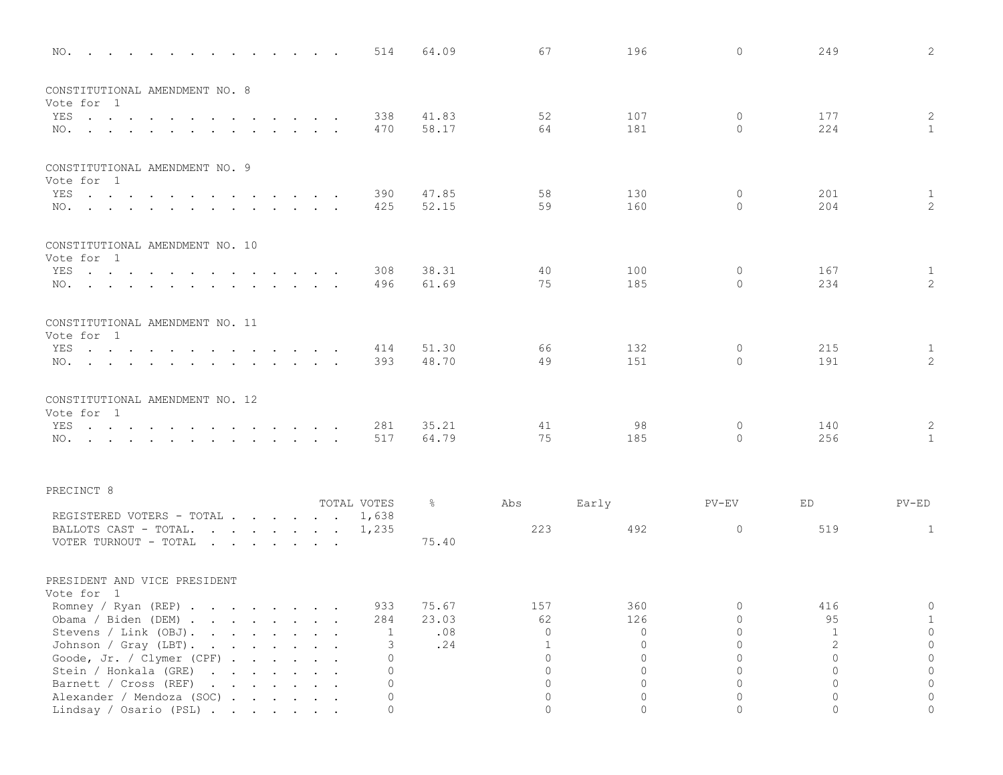| NO.                                                                                                                                                                                                                                                     |        |               |                      | 514                  | 64.09 | 67           | 196          | 0            | 249                | 2                   |
|---------------------------------------------------------------------------------------------------------------------------------------------------------------------------------------------------------------------------------------------------------|--------|---------------|----------------------|----------------------|-------|--------------|--------------|--------------|--------------------|---------------------|
| CONSTITUTIONAL AMENDMENT NO. 8                                                                                                                                                                                                                          |        |               |                      |                      |       |              |              |              |                    |                     |
| Vote for 1                                                                                                                                                                                                                                              |        |               |                      |                      |       |              |              |              |                    |                     |
| YES<br>$\sim$                                                                                                                                                                                                                                           |        |               |                      | 338                  | 41.83 | 52           | 107          | $\mathbf{0}$ | 177                | $\overline{c}$      |
| NO.                                                                                                                                                                                                                                                     |        |               | $\sim$               | 470                  | 58.17 | 64           | 181          | $\Omega$     | 224                | $\mathbf{1}$        |
| CONSTITUTIONAL AMENDMENT NO. 9                                                                                                                                                                                                                          |        |               |                      |                      |       |              |              |              |                    |                     |
| Vote for 1                                                                                                                                                                                                                                              |        |               |                      |                      |       |              |              |              |                    |                     |
| YES                                                                                                                                                                                                                                                     |        |               |                      | 390                  | 47.85 | 58           | 130          | 0            | 201                | $\mathbf{1}$        |
| $NO.$                                                                                                                                                                                                                                                   |        |               | $\sim$ $\sim$        | 425                  | 52.15 | 59           | 160          | 0            | 204                | 2                   |
| CONSTITUTIONAL AMENDMENT NO. 10                                                                                                                                                                                                                         |        |               |                      |                      |       |              |              |              |                    |                     |
| Vote for 1                                                                                                                                                                                                                                              |        |               |                      |                      |       |              |              |              |                    |                     |
| YES<br>$\sim$ $\sim$                                                                                                                                                                                                                                    | $\sim$ |               | $\sim$ $\sim$        | 308                  | 38.31 | 40           | 100          | $\mathbf{0}$ | 167                | $\mathbf{1}$        |
| NO.<br>$\sim 10^{-11}$                                                                                                                                                                                                                                  |        | $\sim$ $\sim$ | $\sim$ $\sim$        | 496                  | 61.69 | 75           | 185          | 0            | 234                | 2                   |
| CONSTITUTIONAL AMENDMENT NO. 11                                                                                                                                                                                                                         |        |               |                      |                      |       |              |              |              |                    |                     |
| Vote for 1                                                                                                                                                                                                                                              |        |               |                      |                      |       |              |              |              |                    |                     |
| YES<br>and the contract of the contract of<br>the contract of the contract of the                                                                                                                                                                       |        |               |                      | 414                  | 51.30 | 66           | 132          | $\circ$      | 215                | $\mathbf{1}$        |
| NO.<br>. The contract of the contract of the contract of the contract of the contract of the contract of the contract of the contract of the contract of the contract of the contract of the contract of the contract of the contrac                    |        |               |                      | 393                  | 48.70 | 49           | 151          | 0            | 191                | 2                   |
| CONSTITUTIONAL AMENDMENT NO. 12                                                                                                                                                                                                                         |        |               |                      |                      |       |              |              |              |                    |                     |
| Vote for 1                                                                                                                                                                                                                                              |        |               |                      |                      |       |              |              |              |                    |                     |
| YES<br>the contract of the contract of the                                                                                                                                                                                                              |        |               |                      | 281                  | 35.21 | 41           | 98           | 0            | 140                | $\overline{c}$      |
| NO.                                                                                                                                                                                                                                                     |        |               |                      | 517                  | 64.79 | 75           | 185          | 0            | 256                | $\mathbf{1}$        |
|                                                                                                                                                                                                                                                         |        |               |                      |                      |       |              |              |              |                    |                     |
| PRECINCT 8                                                                                                                                                                                                                                              |        |               |                      | TOTAL VOTES          | ိဝ    | Abs          | Early        | $PV-EV$      | ED                 | $PV-ED$             |
| REGISTERED VOTERS - TOTAL                                                                                                                                                                                                                               |        |               |                      | 1,638                |       |              |              |              |                    |                     |
| BALLOTS CAST - TOTAL.<br>and the contract of the contract of the contract of the contract of the contract of the contract of the contract of the contract of the contract of the contract of the contract of the contract of the contract of the contra |        |               | $\ddot{\phantom{1}}$ | 1,235                |       | 223          | 492          | $\circ$      | 519                | 1                   |
| VOTER TURNOUT - TOTAL<br>$\sim$ $\sim$ $\sim$<br>$\sim$ $\sim$                                                                                                                                                                                          |        | $\sim$ $\sim$ |                      |                      | 75.40 |              |              |              |                    |                     |
| PRESIDENT AND VICE PRESIDENT                                                                                                                                                                                                                            |        |               |                      |                      |       |              |              |              |                    |                     |
| Vote for 1                                                                                                                                                                                                                                              |        |               |                      |                      |       |              |              |              |                    |                     |
| Romney / Ryan (REP)                                                                                                                                                                                                                                     |        |               |                      | 933                  | 75.67 | 157          | 360          | 0            | 416                | 0                   |
| Obama / Biden (DEM)                                                                                                                                                                                                                                     |        |               |                      | 284                  | 23.03 | 62           | 126          | 0            | 95                 |                     |
| Stevens / Link (OBJ).                                                                                                                                                                                                                                   |        |               |                      | $\mathbf{1}$         | .08   | $\circ$      | $\circ$      | 0            | $\mathbf{1}$       | $\circ$             |
| Johnson / Gray (LBT).                                                                                                                                                                                                                                   |        |               |                      | 3                    | .24   | $\mathbf{1}$ | $\Omega$     | $\Omega$     | $\overline{2}$     | $\Omega$            |
| Goode, Jr. / Clymer (CPF)                                                                                                                                                                                                                               |        |               |                      | 0                    |       | 0            | 0            | 0            | $\circ$            | $\Omega$            |
| Stein / Honkala (GRE)                                                                                                                                                                                                                                   |        |               |                      | $\Omega$             |       | $\Omega$     | $\Omega$     | $\Omega$     | $\Omega$           | $\circ$             |
| Barnett / Cross (REF)                                                                                                                                                                                                                                   |        |               |                      | $\Omega$             |       | $\cap$       | $\Omega$     | $\Omega$     | $\Omega$           | $\circ$             |
| Alexander / Mendoza (SOC)                                                                                                                                                                                                                               |        |               |                      | $\Omega$<br>$\Omega$ |       | 0<br>0       | 0<br>$\circ$ | 0<br>0       | $\circ$<br>$\circ$ | $\circ$<br>$\Omega$ |
| Lindsay / Osario (PSL)                                                                                                                                                                                                                                  |        |               |                      |                      |       |              |              |              |                    |                     |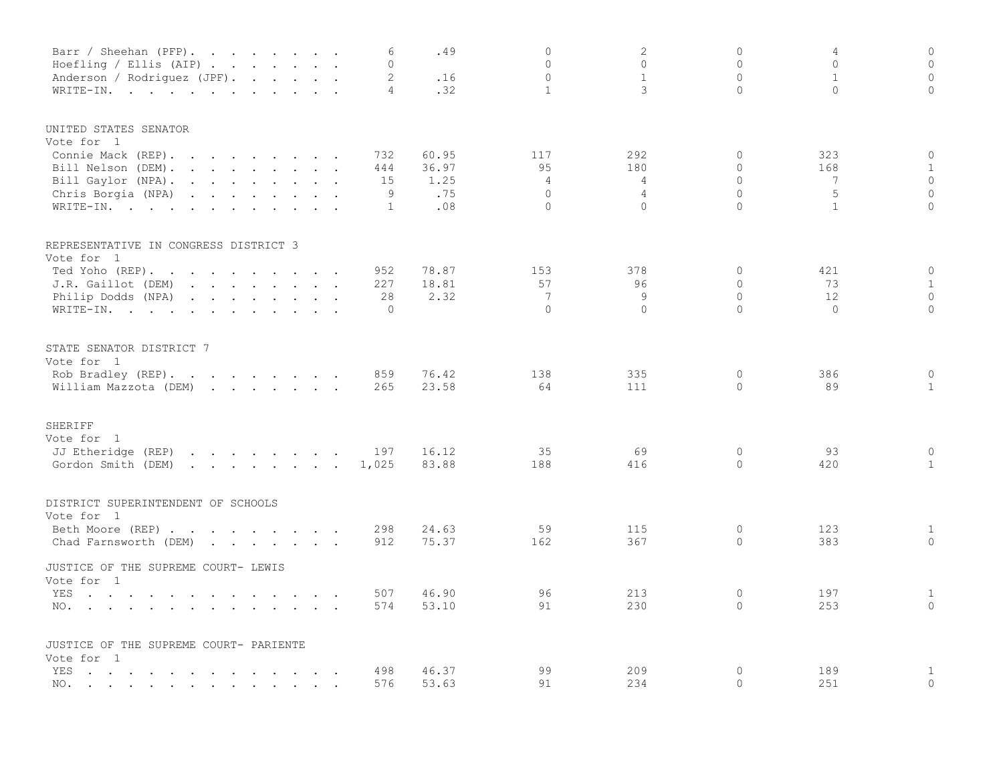| Barr / Sheehan (PFP).<br>Hoefling / Ellis (AIP) $\cdots$ $\cdots$ $\cdots$                                                                  | .49<br>6<br>0                    | 0<br>0                   | 2<br>$\circ$      | $\circ$<br>$\circ$ | $\overline{4}$<br>$\circ$ | $\mathbf{0}$<br>$\circ$      |
|---------------------------------------------------------------------------------------------------------------------------------------------|----------------------------------|--------------------------|-------------------|--------------------|---------------------------|------------------------------|
| Anderson / Rodriguez (JPF).<br>WRITE-IN.                                                                                                    | 2<br>.16<br>.32<br>4             | $\Omega$<br>$\mathbf{1}$ | $\mathbf{1}$<br>3 | $\circ$<br>$\circ$ | $\mathbf{1}$<br>$\circ$   | $\mathbf{0}$<br>$\mathbf{0}$ |
| UNITED STATES SENATOR<br>Vote for 1                                                                                                         |                                  |                          |                   |                    |                           |                              |
| Connie Mack (REP).<br>732                                                                                                                   | 60.95                            | 117                      | 292               | $\circ$            | 323                       | $\mathbf 0$                  |
| Bill Nelson (DEM).<br>444                                                                                                                   | 36.97                            | 95                       | 180               | $\Omega$           | 168                       | $\mathbf{1}$                 |
| Bill Gaylor (NPA).<br>the contract of the contract of the contract of the contract of the contract of the contract of the contract of<br>15 | 1.25                             | 4                        | $\overline{4}$    | $\Omega$           | $\overline{7}$            | $\mathbf{0}$                 |
| Chris Borgia (NPA)                                                                                                                          | .75<br>9                         | $\Omega$                 | $\overline{4}$    | $\Omega$           | 5                         | $\circ$                      |
| WRITE-IN.                                                                                                                                   | $\boldsymbol{\mathsf{.08}}$<br>1 | $\Omega$                 | $\Omega$          | $\Omega$           | $\mathbf{1}$              | $\Omega$                     |
| REPRESENTATIVE IN CONGRESS DISTRICT 3                                                                                                       |                                  |                          |                   |                    |                           |                              |
| Vote for 1                                                                                                                                  |                                  |                          |                   |                    |                           |                              |
| Ted Yoho (REP).<br>952<br>the contract of the contract of the contract of the contract of the contract of the contract of the contract of   | 78.87                            | 153                      | 378               | $\circ$            | 421                       | $\mathbf 0$                  |
| 227<br>J.R. Gaillot (DEM)<br>$\mathbf{r}$ , $\mathbf{r}$ , $\mathbf{r}$ , $\mathbf{r}$ , $\mathbf{r}$ , $\mathbf{r}$                        | 18.81                            | 57                       | 96                | $\Omega$           | 73                        | $\mathbf{1}$                 |
| Philip Dodds (NPA)<br>28<br>the contract of the contract of the contract of                                                                 | 2.32                             | $7\phantom{.0}$          | 9                 | $\circ$            | 12                        | $\circ$                      |
| WRITE-IN.                                                                                                                                   | $\mathbf{0}$                     | $\Omega$                 | $\Omega$          | $\Omega$           | $\circ$                   | $\mathbf{0}$                 |
| STATE SENATOR DISTRICT 7<br>Vote for 1                                                                                                      |                                  |                          |                   |                    |                           |                              |
| Rob Bradley (REP).<br>859                                                                                                                   | 76.42                            | 138                      | 335               | $\circ$            | 386                       | $\mathbf{0}$                 |
| William Mazzota (DEM)<br>265                                                                                                                | 23.58                            | 64                       | 111               | 0                  | 89                        | $\mathbf{1}$                 |
| <b>SHERIFF</b><br>Vote for 1                                                                                                                |                                  |                          |                   |                    |                           |                              |
| JJ Etheridge (REP)<br>197                                                                                                                   | 16.12                            | 35                       | 69                | $\circ$            | 93                        | $\circ$                      |
| Gordon Smith (DEM)<br>$\mathbf{r}$ , and $\mathbf{r}$ , and $\mathbf{r}$ , and $\mathbf{r}$<br>1,025                                        | 83.88                            | 188                      | 416               | $\Omega$           | 420                       | $\mathbf{1}$                 |
| DISTRICT SUPERINTENDENT OF SCHOOLS<br>Vote for 1                                                                                            |                                  |                          |                   |                    |                           |                              |
| Beth Moore (REP)<br>298                                                                                                                     | 24.63                            | 59                       | 115               | $\circ$            | 123                       | $\mathbf{1}$                 |
| Chad Farnsworth (DEM)<br>912                                                                                                                | 75.37                            | 162                      | 367               | $\circ$            | 383                       | $\mathbf{0}$                 |
| JUSTICE OF THE SUPREME COURT- LEWIS<br>Vote for 1                                                                                           |                                  |                          |                   |                    |                           |                              |
| 507<br>YES<br>والمتناول والمتناول والمتناول والمتناول والمتناول                                                                             | 46.90                            | 96                       | 213               | $\circ$            | 197                       | $\mathbf{1}$                 |
| 574<br>NO.                                                                                                                                  | 53.10                            | 91                       | 230               | $\Omega$           | 253                       | $\Omega$                     |
| JUSTICE OF THE SUPREME COURT- PARIENTE<br>Vote for 1                                                                                        |                                  |                          |                   |                    |                           |                              |
| YES<br>498<br>the contract of the contract of the<br>and the contract of the contract of the                                                | 46.37                            | 99                       | 209               | $\circ$            | 189                       | $\mathbf{1}$                 |
| 576<br>NO.<br>$\mathbf{r}$ , and $\mathbf{r}$ , and $\mathbf{r}$ , and $\mathbf{r}$ , and $\mathbf{r}$ , and $\mathbf{r}$                   | 53.63                            | 91                       | 234               | $\circ$            | 251                       | $\mathbf{0}$                 |
|                                                                                                                                             |                                  |                          |                   |                    |                           |                              |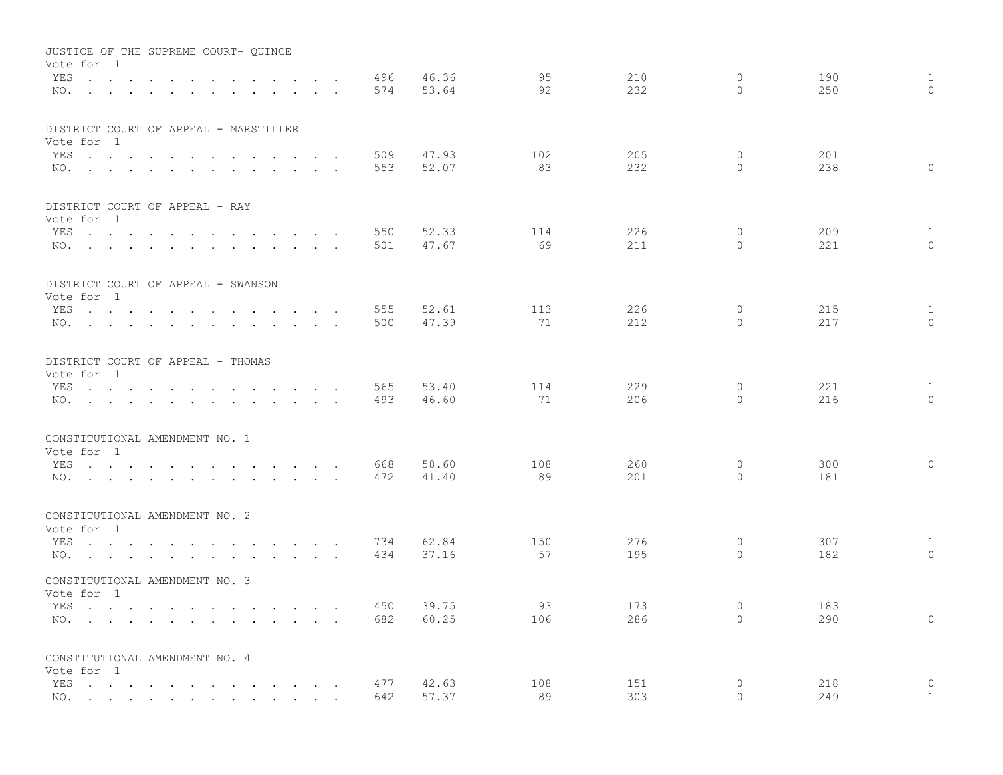| Vote for 1 | JUSTICE OF THE SUPREME COURT- QUINCE  |                                                                                                 |            |                             |            |                    |            |                          |
|------------|---------------------------------------|-------------------------------------------------------------------------------------------------|------------|-----------------------------|------------|--------------------|------------|--------------------------|
|            | YES<br>NO.                            | $\sim$                                                                                          | 496<br>574 | 46.36<br>95<br>53.64<br>92  | 210<br>232 | 0<br>$\Omega$      | 190<br>250 | $\mathbf{1}$<br>$\Omega$ |
|            | DISTRICT COURT OF APPEAL - MARSTILLER |                                                                                                 |            |                             |            |                    |            |                          |
| Vote for 1 |                                       |                                                                                                 |            |                             |            |                    |            |                          |
| YES        | $\sim$ $\sim$ $\sim$ $\sim$ $\sim$    | $\ddot{\phantom{1}}$                                                                            | 509<br>553 | 102<br>47.93<br>83<br>52.07 | 205<br>232 | $\circ$<br>$\circ$ | 201<br>238 | $\mathbf{1}$<br>$\circ$  |
|            | NO.                                   | $\sim$ $\sim$<br>$\cdot$ $\cdot$                                                                |            |                             |            |                    |            |                          |
|            | DISTRICT COURT OF APPEAL - RAY        |                                                                                                 |            |                             |            |                    |            |                          |
| Vote for 1 |                                       |                                                                                                 |            |                             |            |                    |            |                          |
|            | YES                                   |                                                                                                 | 550        | 52.33<br>114<br>47.67<br>69 | 226<br>211 | $\circ$<br>0       | 209<br>221 | $\mathbf{1}$<br>$\circ$  |
|            | NO.                                   |                                                                                                 | 501        |                             |            |                    |            |                          |
|            | DISTRICT COURT OF APPEAL - SWANSON    |                                                                                                 |            |                             |            |                    |            |                          |
| Vote for 1 |                                       |                                                                                                 |            |                             |            |                    |            |                          |
|            | YES                                   |                                                                                                 | 555        | 52.61<br>113                | 226        | 0<br>$\Omega$      | 215<br>217 | $\mathbf{1}$<br>$\Omega$ |
|            | NO.                                   |                                                                                                 | 500        | 47.39<br>71                 | 212        |                    |            |                          |
|            | DISTRICT COURT OF APPEAL - THOMAS     |                                                                                                 |            |                             |            |                    |            |                          |
| Vote for 1 |                                       |                                                                                                 |            |                             |            |                    |            |                          |
| YES        | $\sim$ $\sim$                         | $\mathbf{r}$ , and $\mathbf{r}$ , and $\mathbf{r}$ , and $\mathbf{r}$                           | 565        | 53.40<br>114                | 229        | $\circ$            | 221        | $\mathbf{1}$             |
|            | NO.                                   |                                                                                                 | 493        | 46.60<br>71                 | 206        | $\Omega$           | 216        | $\Omega$                 |
|            | CONSTITUTIONAL AMENDMENT NO. 1        |                                                                                                 |            |                             |            |                    |            |                          |
| Vote for 1 |                                       |                                                                                                 |            |                             |            |                    |            |                          |
|            | YES                                   |                                                                                                 | 668        | 58.60<br>108                | 260        | $\circ$            | 300        | $\mathbf 0$              |
|            | NO.                                   |                                                                                                 | 472        | 89<br>41.40                 | 201        | $\Omega$           | 181        | $\mathbf{1}$             |
|            | CONSTITUTIONAL AMENDMENT NO. 2        |                                                                                                 |            |                             |            |                    |            |                          |
| Vote for 1 |                                       |                                                                                                 |            |                             |            |                    |            |                          |
| YES        |                                       | and the contract of the contract of the contract of the contract of the contract of             | 734        | 62.84<br>150                | 276        | $\circ$            | 307        | $\mathbf{1}$             |
| NO.        |                                       | $\mathcal{A}^{\mathcal{A}}$ , and $\mathcal{A}^{\mathcal{A}}$ , and $\mathcal{A}^{\mathcal{A}}$ | 434        | 57<br>37.16                 | 195        | $\circ$            | 182        | $\mathbf{0}$             |
| Vote for 1 | CONSTITUTIONAL AMENDMENT NO. 3        |                                                                                                 |            |                             |            |                    |            |                          |
|            | YES                                   |                                                                                                 | 450        | 39.75<br>93                 | 173        | 0                  | 183        | $\mathbf{1}$             |
|            | NO.                                   |                                                                                                 | 682        | 60.25<br>106                | 286        | $\Omega$           | 290        | $\Omega$                 |
|            | CONSTITUTIONAL AMENDMENT NO. 4        |                                                                                                 |            |                             |            |                    |            |                          |
| Vote for 1 |                                       |                                                                                                 |            |                             |            |                    |            |                          |
|            | YES                                   |                                                                                                 | 477        | 108<br>42.63                | 151        | $\circ$            | 218        | $\mathbf 0$              |
|            | NO.                                   |                                                                                                 | 642        | 57.37<br>89                 | 303        | $\circ$            | 249        | $\mathbf{1}$             |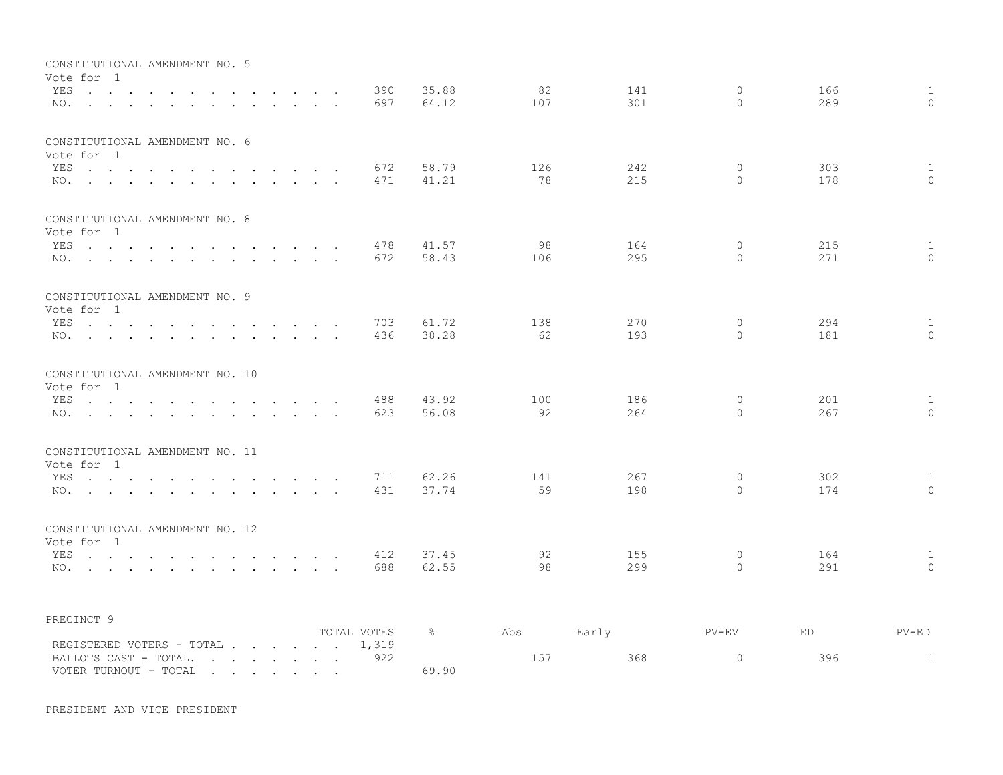| CONSTITUTIONAL AMENDMENT NO. 5<br>Vote for 1<br>YES<br>NO.  |                                                                                                                                                                                                                                | $\mathbf{r}$ , $\mathbf{r}$ , $\mathbf{r}$ , $\mathbf{r}$ , $\mathbf{r}$ , $\mathbf{r}$ | $\sim$                           | 390<br>697           | 35.88<br>64.12 | 82<br>107 | 141<br>301 | $\circ$<br>$\Omega$ | 166<br>289 | $\mathbf{1}$<br>$\Omega$ |
|-------------------------------------------------------------|--------------------------------------------------------------------------------------------------------------------------------------------------------------------------------------------------------------------------------|-----------------------------------------------------------------------------------------|----------------------------------|----------------------|----------------|-----------|------------|---------------------|------------|--------------------------|
| CONSTITUTIONAL AMENDMENT NO. 6<br>Vote for 1<br>YES<br>NO.  |                                                                                                                                                                                                                                |                                                                                         |                                  | 672<br>471           | 58.79<br>41.21 | 126<br>78 | 242<br>215 | $\circ$<br>$\Omega$ | 303<br>178 | 1<br>$\Omega$            |
| CONSTITUTIONAL AMENDMENT NO. 8<br>Vote for 1<br>YES<br>NO.  |                                                                                                                                                                                                                                |                                                                                         |                                  | 478<br>672           | 41.57<br>58.43 | 98<br>106 | 164<br>295 | 0<br>$\circ$        | 215<br>271 | $\mathbf{1}$<br>$\Omega$ |
| CONSTITUTIONAL AMENDMENT NO. 9<br>Vote for 1<br>YES<br>NO.  |                                                                                                                                                                                                                                |                                                                                         |                                  | 703<br>436           | 61.72<br>38.28 | 138<br>62 | 270<br>193 | $\circ$<br>$\Omega$ | 294<br>181 | $\mathbf{1}$<br>$\Omega$ |
| CONSTITUTIONAL AMENDMENT NO. 10<br>Vote for 1<br>YES<br>NO. |                                                                                                                                                                                                                                |                                                                                         |                                  | 488<br>623           | 43.92<br>56.08 | 100<br>92 | 186<br>264 | 0<br>$\Omega$       | 201<br>267 | $\mathbf{1}$<br>$\Omega$ |
| CONSTITUTIONAL AMENDMENT NO. 11<br>Vote for 1<br>YES<br>NO. | and the contract of the contract of the contract of the contract of the contract of the contract of the contract of the contract of the contract of the contract of the contract of the contract of the contract of the contra |                                                                                         |                                  | 711<br>431           | 62.26<br>37.74 | 141<br>59 | 267<br>198 | $\circ$<br>$\Omega$ | 302<br>174 | $\mathbf{1}$<br>$\Omega$ |
| CONSTITUTIONAL AMENDMENT NO. 12<br>Vote for 1<br>YES<br>NO. |                                                                                                                                                                                                                                |                                                                                         | $\cdot$ $\cdot$<br>$\sim$ $\sim$ | 412<br>688           | 37.45<br>62.55 | 92<br>98  | 155<br>299 | $\circ$<br>$\Omega$ | 164<br>291 | 1<br>$\Omega$            |
| PRECINCT 9<br>REGISTERED VOTERS - TOTAL                     |                                                                                                                                                                                                                                |                                                                                         |                                  | TOTAL VOTES<br>1,319 | ိဝ             | Abs       | Early      | $PV-EV$             | ED         | $PV-ED$                  |
| BALLOTS CAST - TOTAL.<br>VOTER TURNOUT - TOTAL              | the contract of the contract of the                                                                                                                                                                                            |                                                                                         |                                  | 922                  | 69.90          | 157       | 368        | $\circ$             | 396        | 1                        |

PRESIDENT AND VICE PRESIDENT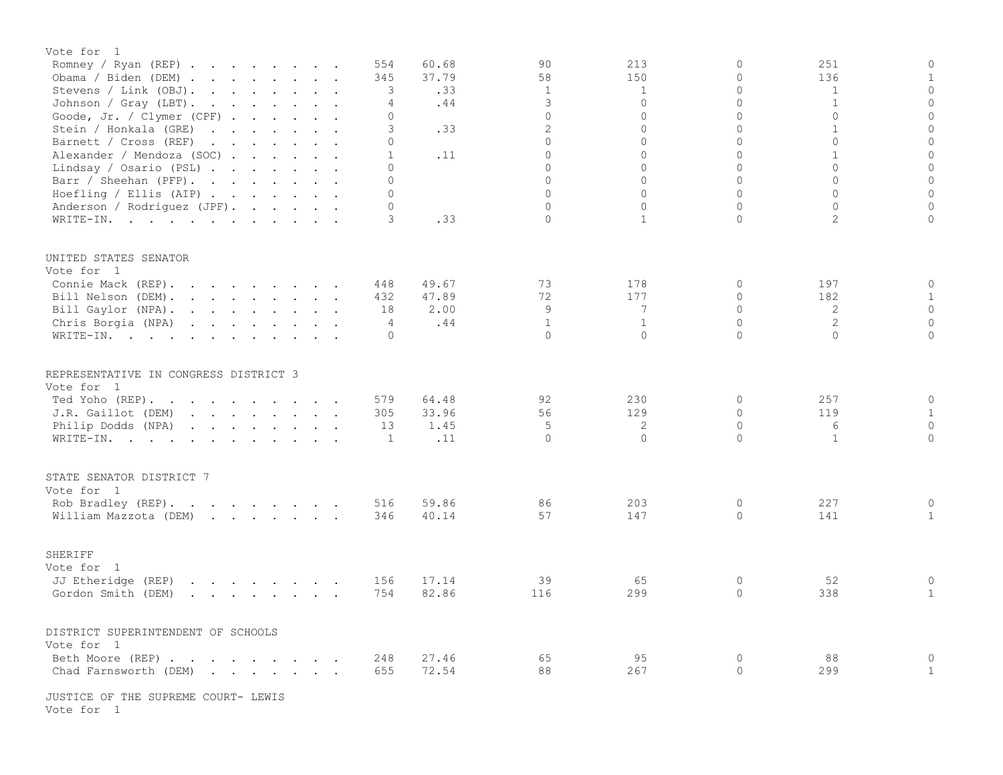| Vote for 1<br>Romney / Ryan (REP) $\cdots$ $\cdots$ $\cdots$<br>Obama / Biden (DEM)<br>Stevens / Link (OBJ).<br>Johnson / Gray (LBT).<br>Goode, Jr. / Clymer (CPF)<br>Stein / Honkala (GRE)<br>Barnett / Cross (REF)<br>Alexander / Mendoza (SOC)<br>Lindsay / Osario (PSL)<br>Barr / Sheehan (PFP).<br>Hoefling / Ellis (AIP) $\cdots$ $\cdots$ $\cdots$<br>Anderson / Rodriguez (JPF).<br>WRITE-IN. | and the contract of the contract of<br>the contract of the contract of the                                                                                                                                                                                                                                                                                                                                                                                                                                                                                                                                                                                 |                                                       | 554<br>345<br>3<br>4<br>$\Omega$<br>3<br>$\Omega$<br>$\mathbf{1}$<br>$\Omega$<br>$\Omega$<br>$\Omega$<br>$\Omega$<br>3 | 60.68<br>37.79<br>.33<br>.44<br>.33<br>.11<br>.33 | 90<br>58<br>$\mathbf{1}$<br>3<br>$\Omega$<br>$\overline{2}$<br>$\Omega$<br>$\Omega$<br>$\Omega$<br>$\Omega$<br>$\Omega$<br>$\Omega$<br>$\Omega$ | 213<br>150<br>$\mathbf{1}$<br>$\Omega$<br>$\Omega$<br>$\Omega$<br>$\Omega$<br>$\Omega$<br>$\Omega$<br>$\Omega$<br>$\Omega$<br>$\Omega$<br>$\mathbf{1}$ | 0<br>$\Omega$<br>$\Omega$<br>$\Omega$<br>$\Omega$<br>$\Omega$<br>$\Omega$<br>$\Omega$<br>$\Omega$<br>$\Omega$<br>$\Omega$<br>$\Omega$<br>$\Omega$ | 251<br>136<br>$\mathbf{1}$<br>$\mathbf{1}$<br>$\Omega$<br>$\mathbf{1}$<br>$\Omega$<br>$\mathbf{1}$<br>$\Omega$<br>$\Omega$<br>$\Omega$<br>$\Omega$<br>$\mathfrak{D}$ | $\circ$<br>$\,1\,$<br>$\circ$<br>$\mathbb O$<br>$\mathbf{0}$<br>$\mathbf{0}$<br>$\mathbf{0}$<br>$\circ$<br>$\mathbf{0}$<br>$\mathbf{0}$<br>$\mathbf{0}$<br>$\mathbf{0}$<br>$\Omega$ |
|-------------------------------------------------------------------------------------------------------------------------------------------------------------------------------------------------------------------------------------------------------------------------------------------------------------------------------------------------------------------------------------------------------|------------------------------------------------------------------------------------------------------------------------------------------------------------------------------------------------------------------------------------------------------------------------------------------------------------------------------------------------------------------------------------------------------------------------------------------------------------------------------------------------------------------------------------------------------------------------------------------------------------------------------------------------------------|-------------------------------------------------------|------------------------------------------------------------------------------------------------------------------------|---------------------------------------------------|-------------------------------------------------------------------------------------------------------------------------------------------------|--------------------------------------------------------------------------------------------------------------------------------------------------------|---------------------------------------------------------------------------------------------------------------------------------------------------|----------------------------------------------------------------------------------------------------------------------------------------------------------------------|-------------------------------------------------------------------------------------------------------------------------------------------------------------------------------------|
| UNITED STATES SENATOR<br>Vote for 1<br>Connie Mack (REP).<br>Bill Nelson (DEM).<br>Bill Gaylor (NPA).<br>Chris Borgia (NPA)<br>WRITE-IN.                                                                                                                                                                                                                                                              | $\mathbf{r}$ . The set of the set of the set of the set of the set of the set of the set of the set of the set of the set of the set of the set of the set of the set of the set of the set of the set of the set of the set of t<br>the contract of the contract of the contract of<br>$\mathcal{L}^{\mathcal{A}}$ . The set of the set of the set of the set of the set of the set of the set of the set of the set of the set of the set of the set of the set of the set of the set of the set of the set of the set of the s<br>$\mathbf{r} = \mathbf{r} + \mathbf{r} + \mathbf{r} + \mathbf{r} + \mathbf{r} + \mathbf{r}$<br>$\cdot$ $\cdot$ $\cdot$ | <b>Contract Contract</b><br>$\sim 10^{-1}$ km $^{-1}$ | 448<br>432<br>18<br>$\overline{4}$<br>0                                                                                | 49.67<br>47.89<br>2.00<br>.44                     | 73<br>72<br>9<br>$\mathbf{1}$<br>$\mathbf{0}$                                                                                                   | 178<br>177<br>7<br>$\mathbf{1}$<br>$\mathbf{0}$                                                                                                        | $\circ$<br>$\circ$<br>$\circ$<br>$\Omega$<br>0                                                                                                    | 197<br>182<br>$\overline{2}$<br>$\overline{2}$<br>$\circ$                                                                                                            | $\mathbf 0$<br>$\mathbf{1}$<br>$\mathbf{0}$<br>$\mathbf{0}$<br>$\mathbf{0}$                                                                                                         |
| REPRESENTATIVE IN CONGRESS DISTRICT 3<br>Vote for 1<br>Ted Yoho (REP).<br>J.R. Gaillot (DEM)<br>Philip Dodds (NPA)<br>WRITE-IN.                                                                                                                                                                                                                                                                       | and a strong control of the state of                                                                                                                                                                                                                                                                                                                                                                                                                                                                                                                                                                                                                       |                                                       | 579<br>305<br>13<br>$\mathbf{1}$                                                                                       | 64.48<br>33.96<br>1.45<br>.11                     | 92<br>56<br>5<br>$\mathbf{0}$                                                                                                                   | 230<br>129<br>2<br>$\mathbf{0}$                                                                                                                        | $\circ$<br>$\circ$<br>$\Omega$<br>$\circ$                                                                                                         | 257<br>119<br>6<br>$\mathbf{1}$                                                                                                                                      | $\mathbf 0$<br>$\mathbf{1}$<br>$\circ$<br>$\circ$                                                                                                                                   |
| STATE SENATOR DISTRICT 7<br>Vote for 1<br>Rob Bradley (REP).<br>William Mazzota (DEM)                                                                                                                                                                                                                                                                                                                 |                                                                                                                                                                                                                                                                                                                                                                                                                                                                                                                                                                                                                                                            |                                                       | 516<br>346                                                                                                             | 59.86<br>40.14                                    | 86<br>57                                                                                                                                        | 203<br>147                                                                                                                                             | $\circ$<br>$\Omega$                                                                                                                               | 227<br>141                                                                                                                                                           | $\mathbf 0$<br>$\mathbf{1}$                                                                                                                                                         |
| SHERIFF<br>Vote for 1<br>JJ Etheridge (REP)<br>Gordon Smith (DEM)                                                                                                                                                                                                                                                                                                                                     | $\mathbf{r} = \mathbf{r} + \mathbf{r} + \mathbf{r} + \mathbf{r} + \mathbf{r} + \mathbf{r} + \mathbf{r} + \mathbf{r}$<br>$\mathbf{r}$ , $\mathbf{r}$ , $\mathbf{r}$ , $\mathbf{r}$ , $\mathbf{r}$ , $\mathbf{r}$                                                                                                                                                                                                                                                                                                                                                                                                                                            |                                                       | 156<br>754                                                                                                             | 17.14<br>82.86                                    | 39<br>116                                                                                                                                       | 65<br>299                                                                                                                                              | 0<br>$\circ$                                                                                                                                      | 52<br>338                                                                                                                                                            | 0<br>$\mathbf{1}$                                                                                                                                                                   |
| DISTRICT SUPERINTENDENT OF SCHOOLS<br>Vote for 1<br>Beth Moore (REP)<br>Chad Farnsworth (DEM)                                                                                                                                                                                                                                                                                                         |                                                                                                                                                                                                                                                                                                                                                                                                                                                                                                                                                                                                                                                            | <b>Contract Contract Street</b>                       | 248<br>655                                                                                                             | 27.46<br>72.54                                    | 65<br>88                                                                                                                                        | 95<br>267                                                                                                                                              | 0<br>$\circ$                                                                                                                                      | 88<br>299                                                                                                                                                            | $\circ$<br>$1\,$                                                                                                                                                                    |

JUSTICE OF THE SUPREME COURT- LEWIS

Vote for 1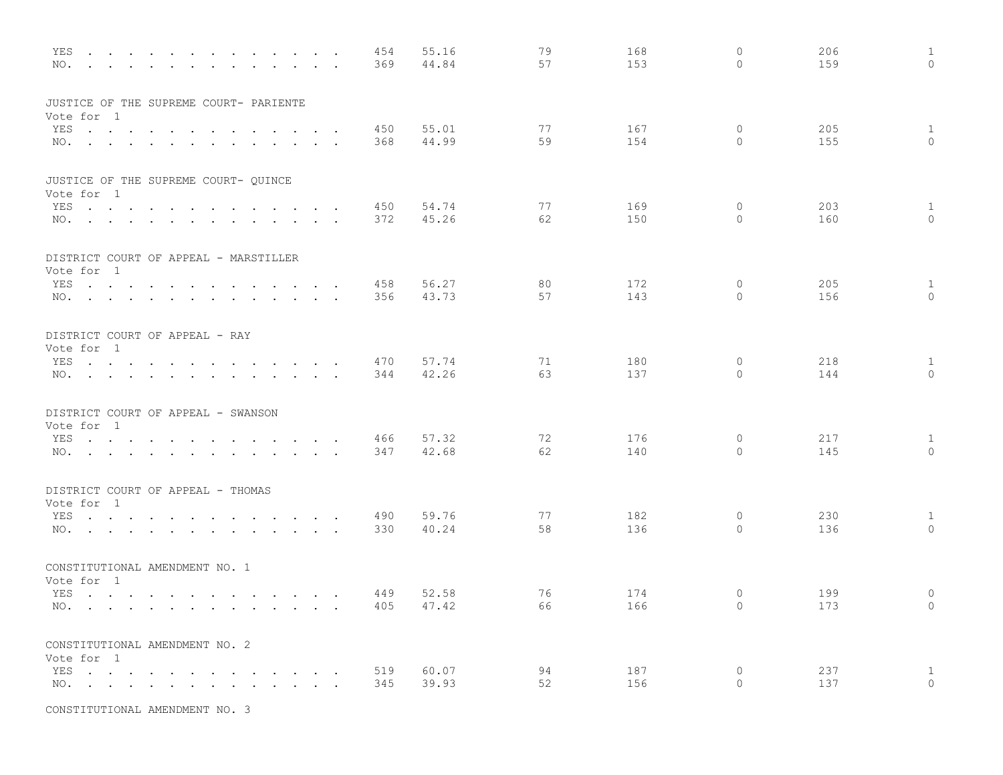| YES<br>NO.<br>$\mathbf{r}$ , $\mathbf{r}$ , $\mathbf{r}$ , $\mathbf{r}$ | the contract of the contract of the contract of the contract of the contract of the contract of the contract of |                                                                                                                 |                 | 454<br>369 | 55.16<br>44.84 | 79<br>57 | 168<br>153 | $\circ$<br>$\Omega$ | 206<br>159 | $\mathbf{1}$<br>$\Omega$ |
|-------------------------------------------------------------------------|-----------------------------------------------------------------------------------------------------------------|-----------------------------------------------------------------------------------------------------------------|-----------------|------------|----------------|----------|------------|---------------------|------------|--------------------------|
| Vote for 1                                                              | JUSTICE OF THE SUPREME COURT- PARIENTE                                                                          |                                                                                                                 |                 |            |                |          |            |                     |            |                          |
| YES                                                                     |                                                                                                                 | the contract of the contract of the contract of the contract of the contract of the contract of the contract of |                 | 450        | 55.01          | 77       | 167        | $\circ$             | 205        | $\mathbf{1}$             |
|                                                                         | NO.                                                                                                             |                                                                                                                 |                 | 368        | 44.99          | 59       | 154        | $\Omega$            | 155        | $\Omega$                 |
|                                                                         | JUSTICE OF THE SUPREME COURT- QUINCE                                                                            |                                                                                                                 |                 |            |                |          |            |                     |            |                          |
| Vote for 1                                                              |                                                                                                                 |                                                                                                                 |                 | 450        | 54.74          | 77       | 169        | 0                   | 203        |                          |
|                                                                         | YES<br>NO.                                                                                                      |                                                                                                                 | $\cdot$ $\cdot$ | 372        | 45.26          | 62       | 150        | $\Omega$            | 160        | $\mathbf{1}$<br>$\Omega$ |
| Vote for 1                                                              | DISTRICT COURT OF APPEAL - MARSTILLER                                                                           |                                                                                                                 |                 |            |                |          |            |                     |            |                          |
|                                                                         | YES                                                                                                             |                                                                                                                 | $\sim$          | 458        | 56.27          | 80       | 172        | 0                   | 205        | $\mathbf{1}$             |
|                                                                         | NO.                                                                                                             |                                                                                                                 |                 | 356        | 43.73          | 57       | 143        | $\circ$             | 156        | $\mathbf{0}$             |
| Vote for 1                                                              | DISTRICT COURT OF APPEAL - RAY                                                                                  |                                                                                                                 |                 |            |                |          |            |                     |            |                          |
|                                                                         | YES                                                                                                             |                                                                                                                 | $\sim$ $\sim$   | 470        | 57.74          | 71       | 180        | 0                   | 218        | $\mathbf{1}$             |
|                                                                         | NO.                                                                                                             |                                                                                                                 |                 | 344        | 42.26          | 63       | 137        | 0                   | 144        | $\circ$                  |
| Vote for 1                                                              | DISTRICT COURT OF APPEAL - SWANSON                                                                              |                                                                                                                 |                 |            |                |          |            |                     |            |                          |
| YES                                                                     |                                                                                                                 | and the contract of the contract of                                                                             | $\sim$ $\sim$   | 466        | 57.32          | 72       | 176        | 0                   | 217        | $\mathbf{1}$             |
|                                                                         | NO.                                                                                                             |                                                                                                                 |                 | 347        | 42.68          | 62       | 140        | 0                   | 145        | $\Omega$                 |
| Vote for 1                                                              | DISTRICT COURT OF APPEAL - THOMAS                                                                               |                                                                                                                 |                 |            |                |          |            |                     |            |                          |
| YES                                                                     | the contract of the contract of the contract of the contract of the contract of the contract of the contract of |                                                                                                                 |                 | 490        | 59.76          | 77       | 182        | 0                   | 230        | $\mathbf{1}$             |
|                                                                         | NO.                                                                                                             |                                                                                                                 |                 | 330        | 40.24          | 58       | 136        | 0                   | 136        | $\circ$                  |
| Vote for 1                                                              | CONSTITUTIONAL AMENDMENT NO. 1                                                                                  |                                                                                                                 |                 |            |                |          |            |                     |            |                          |
|                                                                         | YES $\cdots$                                                                                                    |                                                                                                                 |                 | 449        | 52.58          | 76       | 174        | 0                   | 199        | $\circ$                  |
|                                                                         | NO.                                                                                                             |                                                                                                                 |                 | 405        | 47.42          | 66       | 166        | $\Omega$            | 173        | $\circ$                  |
| Vote for 1                                                              | CONSTITUTIONAL AMENDMENT NO. 2                                                                                  |                                                                                                                 |                 |            |                |          |            |                     |            |                          |
|                                                                         | YES                                                                                                             |                                                                                                                 |                 | 519        | 60.07          | 94       | 187        | 0                   | 237        | $\mathbf{1}$             |
|                                                                         | NO.                                                                                                             |                                                                                                                 |                 | 345        | 39.93          | 52       | 156        | $\Omega$            | 137        | $\circ$                  |
| CONSTITUTIONAL AMENDMENT NO. 3                                          |                                                                                                                 |                                                                                                                 |                 |            |                |          |            |                     |            |                          |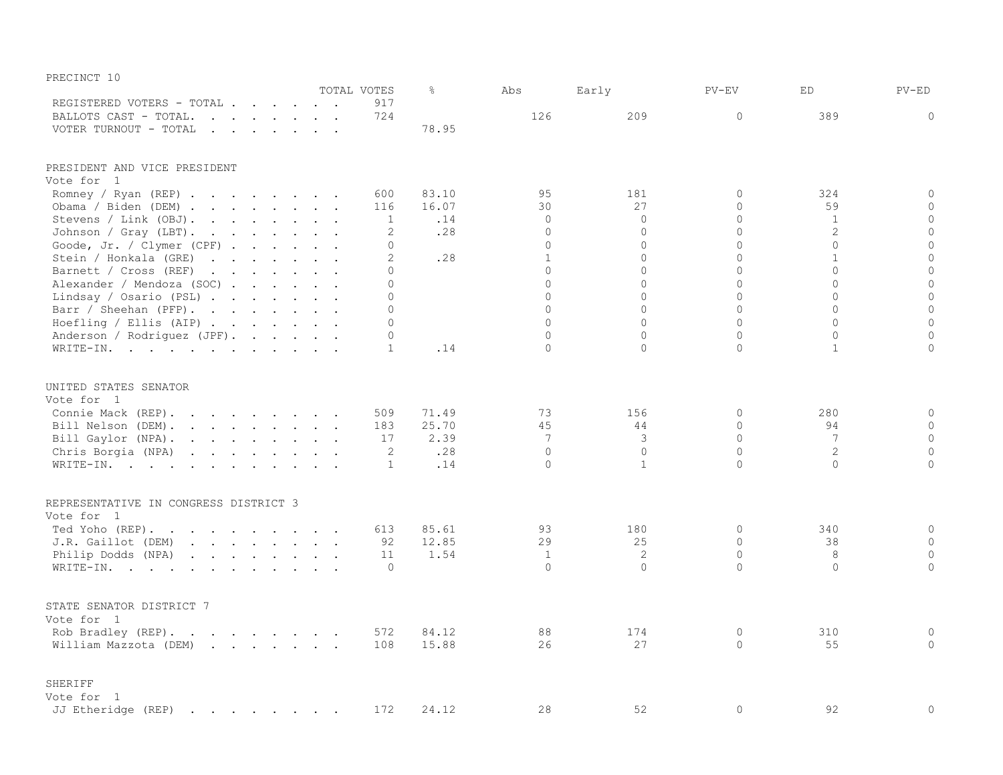| PRECINCT 10                                                                                                                                                                                                                                                |  |  |                |       |                 |              |          |                 |             |
|------------------------------------------------------------------------------------------------------------------------------------------------------------------------------------------------------------------------------------------------------------|--|--|----------------|-------|-----------------|--------------|----------|-----------------|-------------|
|                                                                                                                                                                                                                                                            |  |  | TOTAL VOTES    | ိင    | Abs             | Early        | $PV-EV$  | ED              | $PV-ED$     |
| REGISTERED VOTERS - TOTAL                                                                                                                                                                                                                                  |  |  | 917            |       |                 |              |          |                 |             |
| BALLOTS CAST - TOTAL.<br>$\mathbf{r}$ . The set of the set of the set of the set of the set of the set of the set of the set of the set of the set of the set of the set of the set of the set of the set of the set of the set of the set of the set of t |  |  | 724            |       | 126             | 209          | $\circ$  | 389             | $\circ$     |
| VOTER TURNOUT - TOTAL<br>$\mathbf{r}$ . The set of the set of the set of the set of the set of the set of the set of the set of the set of the set of the set of the set of the set of the set of the set of the set of the set of the set of the set of t |  |  |                | 78.95 |                 |              |          |                 |             |
| PRESIDENT AND VICE PRESIDENT                                                                                                                                                                                                                               |  |  |                |       |                 |              |          |                 |             |
| Vote for 1                                                                                                                                                                                                                                                 |  |  |                |       |                 |              |          |                 |             |
| Romney / Ryan (REP) $\cdot \cdot \cdot \cdot \cdot \cdot \cdot$                                                                                                                                                                                            |  |  | 600            | 83.10 | 95              | 181          | 0        | 324             | 0           |
| Obama / Biden (DEM)                                                                                                                                                                                                                                        |  |  | 116            | 16.07 | 30              | 27           | $\Omega$ | 59              | $\Omega$    |
| Stevens / Link (OBJ).                                                                                                                                                                                                                                      |  |  | 1              | .14   | $\mathbf{0}$    | $\mathbf 0$  | $\circ$  | $\mathbf{1}$    | $\Omega$    |
| Johnson / Gray (LBT).                                                                                                                                                                                                                                      |  |  | $\overline{c}$ | .28   | $\Omega$        | $\Omega$     | $\Omega$ | $\overline{2}$  | $\Omega$    |
| Goode, Jr. / Clymer (CPF)                                                                                                                                                                                                                                  |  |  | $\Omega$       |       | $\Omega$        | $\Omega$     | $\Omega$ | $\Omega$        | $\Omega$    |
| Stein / Honkala (GRE)                                                                                                                                                                                                                                      |  |  | 2              | .28   | $\mathbf{1}$    | $\mathbf{0}$ | $\circ$  | $\mathbf{1}$    | $\circ$     |
| Barnett / Cross (REF)<br>and the contract of the contract of                                                                                                                                                                                               |  |  | $\Omega$       |       | $\Omega$        | $\Omega$     | $\circ$  | $\circ$         | $\circ$     |
| Alexander / Mendoza (SOC)                                                                                                                                                                                                                                  |  |  | $\Omega$       |       | $\Omega$        | $\Omega$     | $\Omega$ | $\Omega$        | $\mathbf 0$ |
| Lindsay / Osario (PSL)                                                                                                                                                                                                                                     |  |  | $\Omega$       |       | $\Omega$        | $\Omega$     | $\Omega$ | $\Omega$        | $\Omega$    |
| Barr / Sheehan (PFP).                                                                                                                                                                                                                                      |  |  | $\Omega$       |       | $\circ$         | $\circ$      | $\circ$  | 0               | $\circ$     |
| Hoefling / Ellis (AIP) $\cdots$ $\cdots$ $\cdots$                                                                                                                                                                                                          |  |  | $\Omega$       |       | $\Omega$        | $\Omega$     | $\Omega$ | $\Omega$        | $\circ$     |
| Anderson / Rodriguez (JPF).                                                                                                                                                                                                                                |  |  | $\Omega$       |       | $\Omega$        | $\mathbf 0$  | $\circ$  | $\circ$         | $\circ$     |
| WRITE-IN.                                                                                                                                                                                                                                                  |  |  | $\mathbf{1}$   | .14   | $\Omega$        | $\Omega$     | $\Omega$ | $\mathbf{1}$    | $\Omega$    |
|                                                                                                                                                                                                                                                            |  |  |                |       |                 |              |          |                 |             |
| UNITED STATES SENATOR                                                                                                                                                                                                                                      |  |  |                |       |                 |              |          |                 |             |
| Vote for 1                                                                                                                                                                                                                                                 |  |  |                |       |                 |              |          |                 |             |
| Connie Mack (REP).                                                                                                                                                                                                                                         |  |  | 509            | 71.49 | 73              | 156          | $\circ$  | 280             | $\mathbb O$ |
| Bill Nelson (DEM).                                                                                                                                                                                                                                         |  |  | 183            | 25.70 | 45              | 44           | $\circ$  | 94              | $\mathbf 0$ |
| Bill Gaylor (NPA).                                                                                                                                                                                                                                         |  |  | 17             | 2.39  | $7\phantom{.0}$ | 3            | $\Omega$ | $7\overline{ }$ | $\circ$     |
| Chris Borgia (NPA)                                                                                                                                                                                                                                         |  |  | 2              | .28   | $\Omega$        | $\circ$      | $\Omega$ | $\overline{2}$  | $\Omega$    |
| WRITE-IN.                                                                                                                                                                                                                                                  |  |  | 1              | .14   | $\Omega$        | $\mathbf{1}$ | $\Omega$ | $\Omega$        | $\Omega$    |
| REPRESENTATIVE IN CONGRESS DISTRICT 3                                                                                                                                                                                                                      |  |  |                |       |                 |              |          |                 |             |
| Vote for 1                                                                                                                                                                                                                                                 |  |  |                |       |                 |              |          |                 |             |
| Ted Yoho (REP).                                                                                                                                                                                                                                            |  |  | 613            | 85.61 | 93              | 180          | 0        | 340             | 0           |
| J.R. Gaillot (DEM)<br>$\mathbf{r}$ . The contract of the contract of the contract of the contract of the contract of the contract of the contract of the contract of the contract of the contract of the contract of the contract of the contract of th    |  |  | 92             | 12.85 | 29              | 25           | $\circ$  | 38              | $\circ$     |
|                                                                                                                                                                                                                                                            |  |  | 11             | 1.54  | $\mathbf{1}$    | 2            | $\Omega$ | 8               | $\Omega$    |
| Philip Dodds (NPA)<br>WRITE-IN.                                                                                                                                                                                                                            |  |  | $\circ$        |       | $\Omega$        | $\Omega$     | $\Omega$ | $\Omega$        | $\Omega$    |
|                                                                                                                                                                                                                                                            |  |  |                |       |                 |              |          |                 |             |
| STATE SENATOR DISTRICT 7                                                                                                                                                                                                                                   |  |  |                |       |                 |              |          |                 |             |
| Vote for 1                                                                                                                                                                                                                                                 |  |  |                |       |                 |              |          |                 |             |
| Rob Bradley (REP).                                                                                                                                                                                                                                         |  |  | 572            | 84.12 | 88              | 174          | 0        | 310             | 0           |
| William Mazzota (DEM)                                                                                                                                                                                                                                      |  |  | 108            | 15.88 | 26              | 27           | $\Omega$ | 55              | $\Omega$    |
| SHERIFF                                                                                                                                                                                                                                                    |  |  |                |       |                 |              |          |                 |             |
| Vote for 1                                                                                                                                                                                                                                                 |  |  |                |       |                 |              |          |                 |             |
| JJ Etheridge (REP)                                                                                                                                                                                                                                         |  |  | 172            | 24.12 | 28              | 52           | $\Omega$ | 92              | $\Omega$    |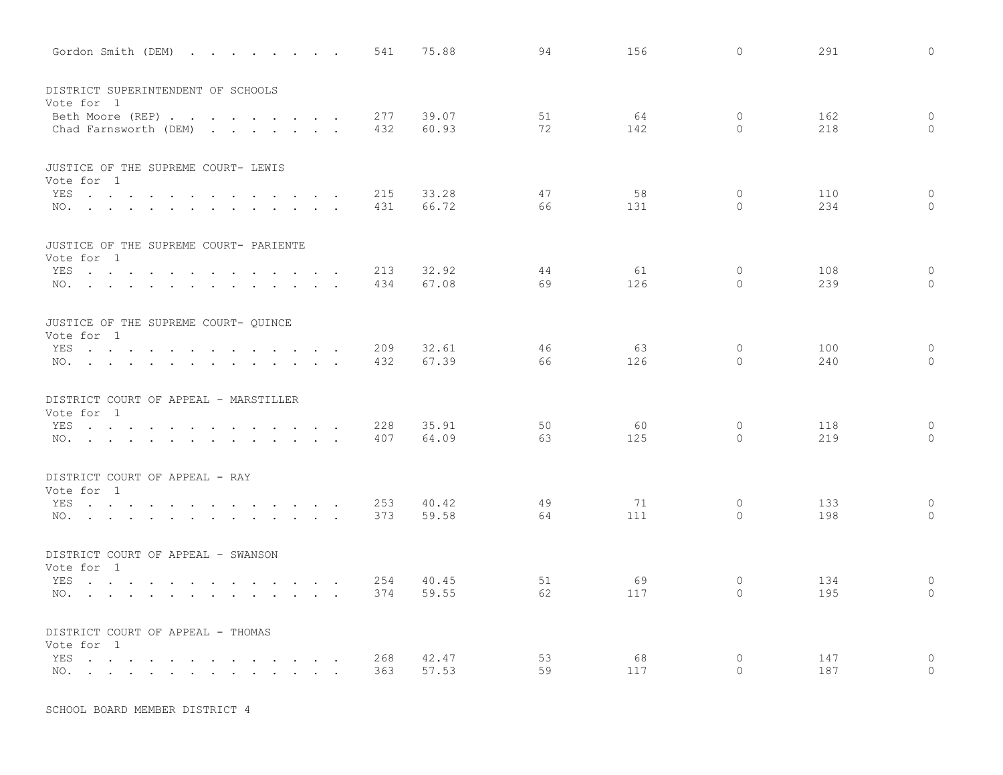| Gordon Smith (DEM)                     | 541        | 75.88          | 94       | 156       | $\circ$             | 291        | $\circ$                  |
|----------------------------------------|------------|----------------|----------|-----------|---------------------|------------|--------------------------|
| DISTRICT SUPERINTENDENT OF SCHOOLS     |            |                |          |           |                     |            |                          |
| Vote for 1<br>Beth Moore (REP)         | 277        | 39.07          | 51       | 64        | $\Omega$            | 162        | $\mathbf{0}$             |
| Chad Farnsworth (DEM)                  | 432        | 60.93          | 72       | 142       | $\Omega$            | 218        | $\Omega$                 |
|                                        |            |                |          |           |                     |            |                          |
| JUSTICE OF THE SUPREME COURT- LEWIS    |            |                |          |           |                     |            |                          |
| Vote for 1                             |            |                |          |           |                     |            |                          |
| YES<br>NO.                             | 215<br>431 | 33.28<br>66.72 | 47<br>66 | 58<br>131 | 0<br>$\Omega$       | 110<br>234 | $\mathbf{0}$<br>$\Omega$ |
|                                        |            |                |          |           |                     |            |                          |
| JUSTICE OF THE SUPREME COURT- PARIENTE |            |                |          |           |                     |            |                          |
| Vote for 1                             |            |                |          |           |                     |            |                          |
| YES                                    | 213        | 32.92          | 44<br>69 | 61<br>126 | $\circ$<br>$\Omega$ | 108<br>239 | $\mathbf 0$<br>$\Omega$  |
| NO.                                    | 434        | 67.08          |          |           |                     |            |                          |
| JUSTICE OF THE SUPREME COURT- QUINCE   |            |                |          |           |                     |            |                          |
| Vote for 1                             |            |                |          |           |                     |            |                          |
| YES                                    | 209        | 32.61          | 46       | 63        | $\circ$             | 100        | $\mathbf{0}$             |
| NO.                                    | 432        | 67.39          | 66       | 126       | $\Omega$            | 240        | $\Omega$                 |
| DISTRICT COURT OF APPEAL - MARSTILLER  |            |                |          |           |                     |            |                          |
| Vote for 1                             |            |                |          |           |                     |            |                          |
| YES                                    | 228        | 35.91          | 50       | 60        | $\circ$             | 118        | $\circ$                  |
| NO.                                    | 407        | 64.09          | 63       | 125       | $\Omega$            | 219        | $\Omega$                 |
| DISTRICT COURT OF APPEAL - RAY         |            |                |          |           |                     |            |                          |
| Vote for 1                             |            |                |          |           |                     |            |                          |
| YES.                                   | 253        | 40.42          | 49       | 71        | $\circ$             | 133        | $\circ$                  |
| NO.                                    | 373        | 59.58          | 64       | 111       | $\Omega$            | 198        | $\Omega$                 |
| DISTRICT COURT OF APPEAL - SWANSON     |            |                |          |           |                     |            |                          |
| Vote for 1                             |            |                |          |           |                     |            |                          |
| YES                                    | 254        | 40.45          | 51       | 69        | $\circ$             | 134        | $\mathbf 0$              |
| NO.                                    | 374        | 59.55          | 62       | 117       | 0                   | 195        | $\Omega$                 |
| DISTRICT COURT OF APPEAL - THOMAS      |            |                |          |           |                     |            |                          |
| Vote for 1                             |            |                |          |           |                     |            |                          |
| YES                                    | 268        | 42.47          | 53       | 68        | $\circ$             | 147        | $\mathbf 0$              |
| NO.<br>$\ddot{\phantom{a}}$            | 363        | 57.53          | 59       | 117       | $\circ$             | 187        | $\circ$                  |

SCHOOL BOARD MEMBER DISTRICT 4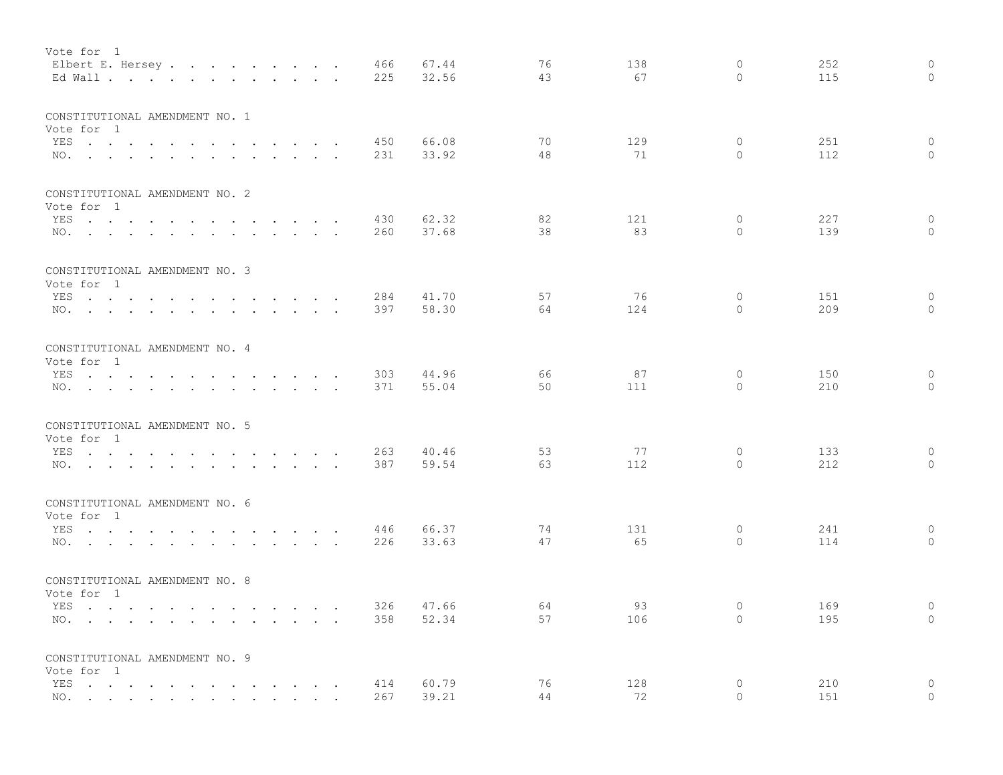| Vote for 1<br>Elbert E. Hersey<br>Ed Wall                                                                                     |                                                                                                                                                                                                                                |                                           |                                   | 466<br>225 | 67.44<br>32.56 | 76<br>43 | 138<br>67 | $\circ$<br>$\Omega$    | 252<br>115 | $\overline{0}$<br>$\Omega$ |
|-------------------------------------------------------------------------------------------------------------------------------|--------------------------------------------------------------------------------------------------------------------------------------------------------------------------------------------------------------------------------|-------------------------------------------|-----------------------------------|------------|----------------|----------|-----------|------------------------|------------|----------------------------|
| CONSTITUTIONAL AMENDMENT NO. 1<br>Vote for 1                                                                                  |                                                                                                                                                                                                                                |                                           |                                   |            |                |          |           |                        |            |                            |
| YES<br>NO.                                                                                                                    | $\sim$ $\sim$                                                                                                                                                                                                                  |                                           |                                   | 450<br>231 | 66.08<br>33.92 | 70<br>48 | 129<br>71 | $\circ$<br>$\Omega$    | 251<br>112 | $\circ$<br>$\Omega$        |
| CONSTITUTIONAL AMENDMENT NO. 2<br>Vote for 1                                                                                  |                                                                                                                                                                                                                                |                                           |                                   |            |                |          |           |                        |            |                            |
| YES<br>NO.                                                                                                                    |                                                                                                                                                                                                                                |                                           |                                   | 430<br>260 | 62.32<br>37.68 | 82<br>38 | 121<br>83 | $\circ$<br>$\Omega$    | 227<br>139 | $\circ$<br>$\Omega$        |
| CONSTITUTIONAL AMENDMENT NO. 3<br>Vote for 1                                                                                  |                                                                                                                                                                                                                                |                                           |                                   |            |                |          |           |                        |            |                            |
| YES<br>NO.                                                                                                                    | the contract of the contract of the contract of the contract of the contract of the contract of the contract of the contract of the contract of the contract of the contract of the contract of the contract of the contract o |                                           | $\sim$ $\sim$<br>$\sim$ $\sim$    | 284<br>397 | 41.70<br>58.30 | 57<br>64 | 76<br>124 | $\circ$<br>$\Omega$    | 151<br>209 | $\overline{0}$<br>$\Omega$ |
| CONSTITUTIONAL AMENDMENT NO. 4<br>Vote for 1                                                                                  |                                                                                                                                                                                                                                |                                           |                                   |            |                |          |           |                        |            |                            |
| YES<br>NO.                                                                                                                    |                                                                                                                                                                                                                                |                                           | $\sim$ $\sim$ $\sim$              | 303<br>371 | 44.96<br>55.04 | 66<br>50 | 87<br>111 | $\circ$<br>$\Omega$    | 150<br>210 | $\circ$<br>$\circ$         |
| CONSTITUTIONAL AMENDMENT NO. 5<br>Vote for 1                                                                                  |                                                                                                                                                                                                                                |                                           |                                   |            |                |          |           |                        |            |                            |
| YES<br>NO.                                                                                                                    |                                                                                                                                                                                                                                |                                           | $\sim$                            | 263<br>387 | 40.46<br>59.54 | 53<br>63 | 77<br>112 | $\circ$<br>$\Omega$    | 133<br>212 | $\circ$<br>$\Omega$        |
| CONSTITUTIONAL AMENDMENT NO. 6<br>Vote for 1                                                                                  |                                                                                                                                                                                                                                |                                           |                                   |            |                |          |           |                        |            |                            |
| YES<br>NO.                                                                                                                    |                                                                                                                                                                                                                                |                                           |                                   | 446<br>226 | 66.37<br>33.63 | 74<br>47 | 131<br>65 | $\circ$<br>$\Omega$    | 241<br>114 | $\mathsf{O}$<br>$\Omega$   |
| CONSTITUTIONAL AMENDMENT NO. 8<br>Vote for 1                                                                                  |                                                                                                                                                                                                                                |                                           |                                   |            |                |          |           |                        |            |                            |
| YES<br>NO.                                                                                                                    | the contract of the contract of the contract of the contract of the contract of the contract of the contract of                                                                                                                |                                           | <b>Contract Contract Contract</b> | 326<br>358 | 47.66<br>52.34 | 64<br>57 | 93<br>106 | $\circ$<br>$\circ$     | 169<br>195 | $\circ$<br>$\circ$         |
| CONSTITUTIONAL AMENDMENT NO. 9<br>Vote for 1                                                                                  |                                                                                                                                                                                                                                |                                           |                                   |            |                |          |           |                        |            |                            |
| YES<br>the contract of the contract of the contract of the contract of the contract of the contract of the contract of<br>NO. |                                                                                                                                                                                                                                | $\sim$ $\sim$ $\sim$ $\sim$ $\sim$ $\sim$ | $\sim$ $\sim$ $\sim$<br>$\sim$    | 414<br>267 | 60.79<br>39.21 | 76<br>44 | 128<br>72 | $\circ$<br>$\mathbf 0$ | 210<br>151 | $\mathbb O$<br>$\circ$     |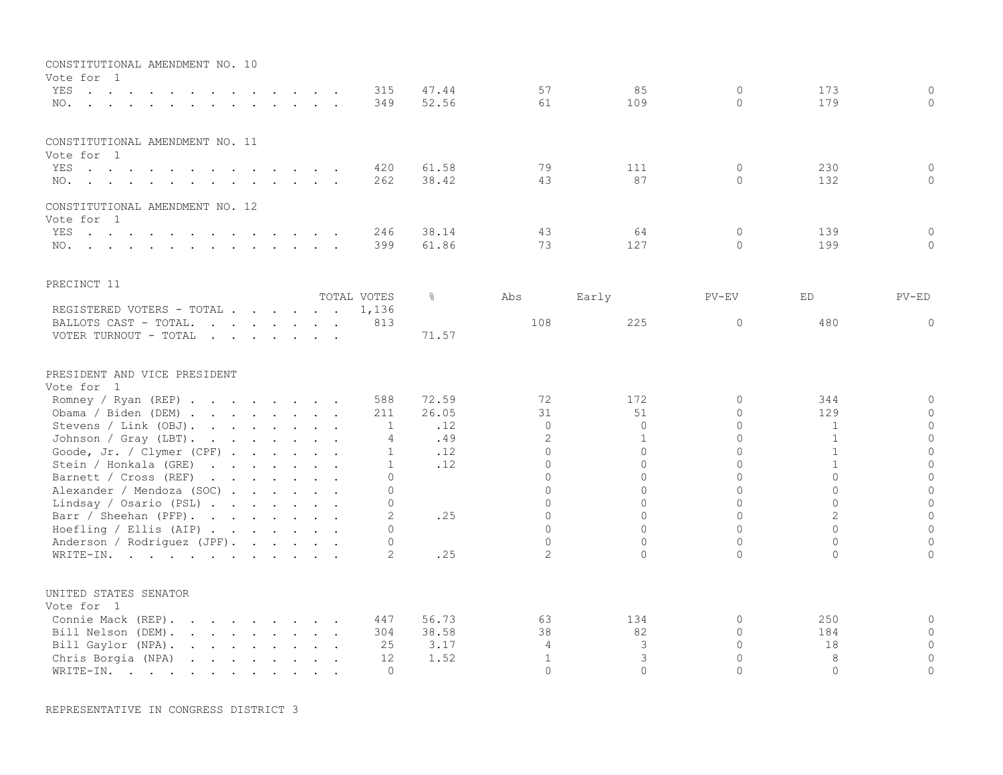| CONSTITUTIONAL AMENDMENT NO. 10<br>Vote for 1<br>YES<br>NO.                                                                                                                                                                                                                                                                                                                                                                                                                                                                                                                                                                    | $\sim$ | $\sim$ $\sim$   |               | $\sim$ $\sim$ | 315<br>349                                                                                                                     | 47.44<br>52.56                                           | 57<br>61                                                                                                                                                     | 85<br>109                                                                                                                                                   | $\circ$<br>$\circ$                                                                                                                         | 173<br>179                                                                                                                                                           | $\mathbf{0}$<br>$\mathbf{0}$                                                                                                                                                                    |
|--------------------------------------------------------------------------------------------------------------------------------------------------------------------------------------------------------------------------------------------------------------------------------------------------------------------------------------------------------------------------------------------------------------------------------------------------------------------------------------------------------------------------------------------------------------------------------------------------------------------------------|--------|-----------------|---------------|---------------|--------------------------------------------------------------------------------------------------------------------------------|----------------------------------------------------------|--------------------------------------------------------------------------------------------------------------------------------------------------------------|-------------------------------------------------------------------------------------------------------------------------------------------------------------|--------------------------------------------------------------------------------------------------------------------------------------------|----------------------------------------------------------------------------------------------------------------------------------------------------------------------|-------------------------------------------------------------------------------------------------------------------------------------------------------------------------------------------------|
| CONSTITUTIONAL AMENDMENT NO. 11<br>Vote for 1<br>YES<br>. The contribution of the contribution of the contribution of $\mathcal{A}$<br>NO.                                                                                                                                                                                                                                                                                                                                                                                                                                                                                     |        | $\cdot$ $\cdot$ |               |               | 420<br>262                                                                                                                     | 61.58<br>38.42                                           | 79<br>43                                                                                                                                                     | 111<br>87                                                                                                                                                   | $\circ$<br>$\Omega$                                                                                                                        | 230<br>132                                                                                                                                                           | $\circ$<br>$\Omega$                                                                                                                                                                             |
| CONSTITUTIONAL AMENDMENT NO. 12<br>Vote for 1<br>YES<br>. The simple state is a set of the simple state of $\mathcal{A}$ , and $\mathcal{A}$<br>NO.                                                                                                                                                                                                                                                                                                                                                                                                                                                                            |        |                 | $\sim$ $\sim$ |               | 246<br>399                                                                                                                     | 38.14<br>61.86                                           | 43<br>73                                                                                                                                                     | 64<br>127                                                                                                                                                   | $\circ$<br>$\circ$                                                                                                                         | 139<br>199                                                                                                                                                           | $\mathbf{0}$<br>$\mathbf{0}$                                                                                                                                                                    |
| PRECINCT 11<br>REGISTERED VOTERS - TOTAL<br>BALLOTS CAST - TOTAL.<br>the contract of the contract of the contract of the contract of the contract of the contract of the contract of<br>VOTER TURNOUT - TOTAL                                                                                                                                                                                                                                                                                                                                                                                                                  |        |                 |               |               | TOTAL VOTES<br>1,136<br>813                                                                                                    | $\frac{6}{5}$<br>71.57                                   | Abs<br>108                                                                                                                                                   | Early<br>225                                                                                                                                                | $PV-EV$<br>$\circ$                                                                                                                         | ED<br>480                                                                                                                                                            | $PV-ED$<br>$\circ$                                                                                                                                                                              |
| PRESIDENT AND VICE PRESIDENT<br>Vote for 1<br>Romney / Ryan (REP) $\cdots$ $\cdots$ $\cdots$<br>Obama / Biden (DEM)<br>Stevens / Link (OBJ).<br>and the contract of the contract of<br>Johnson / Gray (LBT).<br>Goode, Jr. / Clymer (CPF)<br>Stein / Honkala (GRE)<br>Barnett / Cross (REF)<br>$\mathbf{r}$ , $\mathbf{r}$ , $\mathbf{r}$ , $\mathbf{r}$ , $\mathbf{r}$ , $\mathbf{r}$<br>Alexander / Mendoza (SOC)<br>Lindsay / Osario (PSL)<br>Barr / Sheehan (PFP).<br>Hoefling / Ellis (AIP)<br>Anderson / Rodriguez (JPF).<br>WRITE-IN.                                                                                   |        |                 |               |               | 588<br>211<br>$\mathbf{1}$<br>4<br>$\mathbf{1}$<br>$\mathbf{1}$<br>$\Omega$<br>$\Omega$<br>$\Omega$<br>2<br>0<br>$\Omega$<br>2 | 72.59<br>26.05<br>.12<br>.49<br>.12<br>.12<br>.25<br>.25 | 72<br>31<br>$\mathbf{0}$<br>$\overline{c}$<br>$\Omega$<br>$\Omega$<br>$\Omega$<br>$\Omega$<br>$\Omega$<br>$\Omega$<br>$\Omega$<br>$\Omega$<br>$\overline{c}$ | 172<br>51<br>$\mathbf{0}$<br>$\mathbf{1}$<br>$\Omega$<br>$\Omega$<br>$\Omega$<br>$\Omega$<br>$\Omega$<br>$\Omega$<br>$\overline{0}$<br>$\Omega$<br>$\Omega$ | 0<br>$\Omega$<br>0<br>$\Omega$<br>$\Omega$<br>$\Omega$<br>$\Omega$<br>$\Omega$<br>$\Omega$<br>$\Omega$<br>$\Omega$<br>$\Omega$<br>$\Omega$ | 344<br>129<br>$\mathbf{1}$<br>$\mathbf{1}$<br>$\mathbf{1}$<br>$\mathbf{1}$<br>$\Omega$<br>$\Omega$<br>$\Omega$<br>$\overline{c}$<br>$\Omega$<br>$\Omega$<br>$\Omega$ | $\mathbf{0}$<br>$\mathbf{0}$<br>$\circ$<br>$\mathbb O$<br>$\mathbf{0}$<br>$\mathbb O$<br>$\mathbb O$<br>$\mathbf{0}$<br>$\mathbf{0}$<br>$\mathbf{0}$<br>$\mathbb O$<br>$\mathbf{0}$<br>$\Omega$ |
| UNITED STATES SENATOR<br>Vote for 1<br>Connie Mack (REP).<br>$\mathbf{r}$ , $\mathbf{r}$ , $\mathbf{r}$ , $\mathbf{r}$ , $\mathbf{r}$ , $\mathbf{r}$ , $\mathbf{r}$<br>Bill Nelson (DEM).<br>$\mathbf{r}$ , $\mathbf{r}$ , $\mathbf{r}$ , $\mathbf{r}$ , $\mathbf{r}$ , $\mathbf{r}$<br>Bill Gaylor (NPA).<br>$\mathbf{r} = \mathbf{r} + \mathbf{r} + \mathbf{r} + \mathbf{r} + \mathbf{r} + \mathbf{r} + \mathbf{r} + \mathbf{r}$<br>Chris Borgia (NPA)<br>the contract of the contract of the contract of<br>$\mathtt{WRTTE-IN.} \qquad \qquad \ldots \qquad \qquad \ldots \qquad \qquad \ldots \qquad \ldots \qquad \ldots$ |        |                 |               |               | 447<br>304<br>25<br>12<br>$\Omega$                                                                                             | 56.73<br>38.58<br>3.17<br>1.52                           | 63<br>38<br>$\overline{4}$<br>$\mathbf{1}$<br>$\Omega$                                                                                                       | 134<br>82<br>3<br>3<br>$\Omega$                                                                                                                             | $\circ$<br>$\Omega$<br>$\Omega$<br>0<br>$\Omega$                                                                                           | 250<br>184<br>18<br>8<br>$\Omega$                                                                                                                                    | $\circ$<br>$\mathbf{0}$<br>$\circ$<br>$\circ$<br>$\Omega$                                                                                                                                       |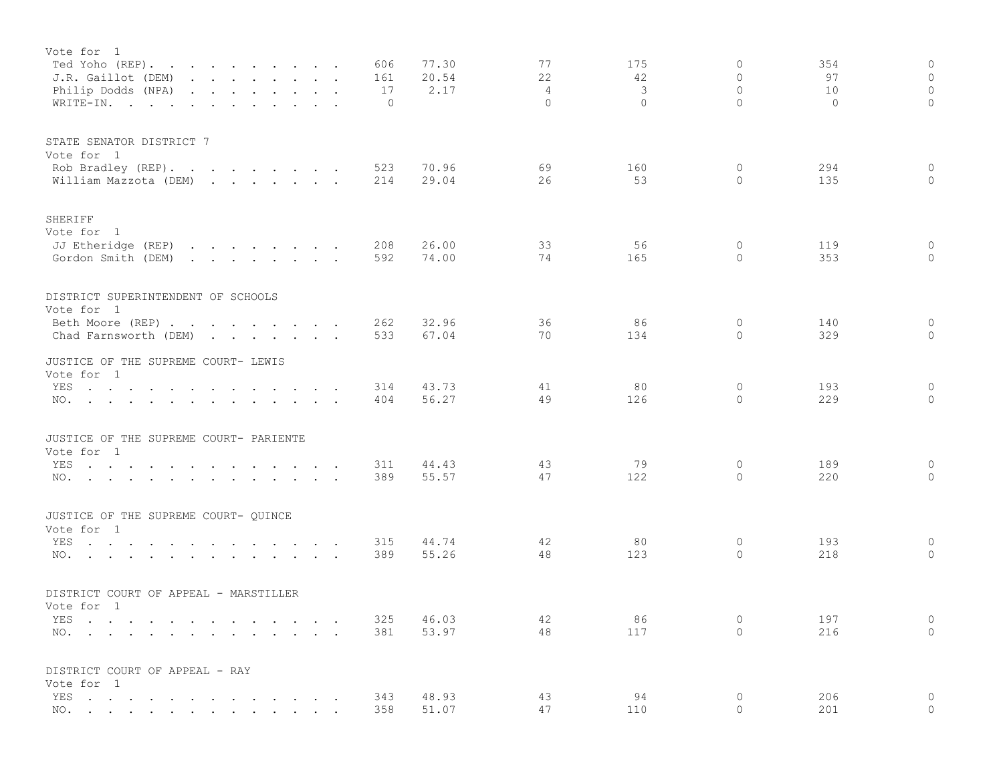| Vote for 1                                                                                                                                                                                                                                                             |            |                |                |           |                    |            |                         |
|------------------------------------------------------------------------------------------------------------------------------------------------------------------------------------------------------------------------------------------------------------------------|------------|----------------|----------------|-----------|--------------------|------------|-------------------------|
| Ted Yoho (REP).                                                                                                                                                                                                                                                        | 606        | 77.30          | 77             | 175       | 0                  | 354        | $\mathbf 0$             |
| J.R. Gaillot (DEM)                                                                                                                                                                                                                                                     | 161        | 20.54          | 22             | 42        | 0                  | 97         | $\circ$                 |
| Philip Dodds (NPA)<br>$\mathbf{r}$ , $\mathbf{r}$ , $\mathbf{r}$ , $\mathbf{r}$ , $\mathbf{r}$ , $\mathbf{r}$                                                                                                                                                          | 17         | 2.17           | $\overline{4}$ | 3         | $\circ$            | 10         | $\mathbf 0$             |
| WRITE-IN.<br>$\sim$ $\sim$                                                                                                                                                                                                                                             | $\Omega$   |                | $\Omega$       | $\Omega$  | $\Omega$           | $\Omega$   | $\Omega$                |
| STATE SENATOR DISTRICT 7                                                                                                                                                                                                                                               |            |                |                |           |                    |            |                         |
| Vote for 1                                                                                                                                                                                                                                                             |            |                |                |           |                    |            |                         |
| Rob Bradley (REP).<br>and the contract of the contract of the contract of the contract of the contract of the contract of the contract of the contract of the contract of the contract of the contract of the contract of the contract of the contra                   | 523        | 70.96          | 69             | 160       | 0                  | 294        | $\circ$                 |
| William Mazzota (DEM)                                                                                                                                                                                                                                                  | 214        | 29.04          | 26             | 53        | 0                  | 135        | $\circ$                 |
| SHERIFF<br>Vote for 1                                                                                                                                                                                                                                                  |            |                |                |           |                    |            |                         |
| JJ Etheridge (REP)                                                                                                                                                                                                                                                     | 208        | 26.00          | 33             | 56        | $\circ$            | 119        | $\circ$                 |
| Gordon Smith (DEM)<br>$\mathbf{r}$ , $\mathbf{r}$ , $\mathbf{r}$ , $\mathbf{r}$ , $\mathbf{r}$ , $\mathbf{r}$                                                                                                                                                          | 592        | 74.00          | 74             | 165       | 0                  | 353        | $\mathbf{0}$            |
| DISTRICT SUPERINTENDENT OF SCHOOLS                                                                                                                                                                                                                                     |            |                |                |           |                    |            |                         |
| Vote for 1                                                                                                                                                                                                                                                             |            |                |                |           |                    |            |                         |
| Beth Moore (REP)<br>$\ddot{\phantom{1}}$                                                                                                                                                                                                                               | 262        | 32.96          | 36             | 86        | 0                  | 140        | $\mathbf 0$             |
| Chad Farnsworth (DEM)                                                                                                                                                                                                                                                  | 533        | 67.04          | 70             | 134       | $\circ$            | 329        | $\mathbf{0}$            |
| JUSTICE OF THE SUPREME COURT- LEWIS<br>Vote for 1                                                                                                                                                                                                                      |            |                |                |           |                    |            |                         |
| YES<br>the contract of the contract of the contract of the contract of                                                                                                                                                                                                 | 314        | 43.73          | 41             | 80        | $\circ$            | 193        | $\mathbf 0$             |
| NO.<br>the contract of the contract of the contract of the contract of the contract of the contract of the contract of                                                                                                                                                 | 404        | 56.27          | 49             | 126       | $\circ$            | 229        | $\mathbf{0}$            |
| JUSTICE OF THE SUPREME COURT- PARIENTE                                                                                                                                                                                                                                 |            |                |                |           |                    |            |                         |
| Vote for 1                                                                                                                                                                                                                                                             |            |                |                |           |                    |            |                         |
| YES<br>and the contract of the contract of the contract of the contract of the contract of the contract of the contract of the contract of the contract of the contract of the contract of the contract of the contract of the contra                                  | 311        | 44.43          | 43             | 79        | $\circ$            | 189<br>220 | $\circ$<br>$\circ$      |
| NO.                                                                                                                                                                                                                                                                    | 389        | 55.57          | 47             | 122       | 0                  |            |                         |
| JUSTICE OF THE SUPREME COURT- QUINCE                                                                                                                                                                                                                                   |            |                |                |           |                    |            |                         |
| Vote for 1                                                                                                                                                                                                                                                             |            |                |                |           |                    |            |                         |
| YES<br>$\sim$ $\sim$<br>NO.<br>$\mathcal{L}(\mathbf{r})$ . The contribution of the contribution of the contribution of the contribution of the contribution of the contribution of the contribution of the contribution of the contribution of the contribution of the | 315<br>389 | 44.74<br>55.26 | 42<br>48       | 80<br>123 | 0<br>$\circ$       | 193<br>218 | $\mathbf 0$<br>$\Omega$ |
|                                                                                                                                                                                                                                                                        |            |                |                |           |                    |            |                         |
| DISTRICT COURT OF APPEAL - MARSTILLER                                                                                                                                                                                                                                  |            |                |                |           |                    |            |                         |
| Vote for 1                                                                                                                                                                                                                                                             |            |                |                |           |                    |            |                         |
| YES                                                                                                                                                                                                                                                                    | 325        | 46.03          | $4\,2$         | 86        | 0<br>$\Omega$      | 197        | $\circ$<br>$\circ$      |
| NO.                                                                                                                                                                                                                                                                    | 381        | 53.97          | 48             | 117       |                    | 216        |                         |
| DISTRICT COURT OF APPEAL - RAY                                                                                                                                                                                                                                         |            |                |                |           |                    |            |                         |
| Vote for 1                                                                                                                                                                                                                                                             |            |                |                |           |                    |            |                         |
| YES<br>$\sim$ 400 $\sim$<br>NO.                                                                                                                                                                                                                                        | 343<br>358 | 48.93<br>51.07 | 43<br>47       | 94<br>110 | $\circ$<br>$\circ$ | 206<br>201 | $\circ$<br>$\circ$      |
|                                                                                                                                                                                                                                                                        |            |                |                |           |                    |            |                         |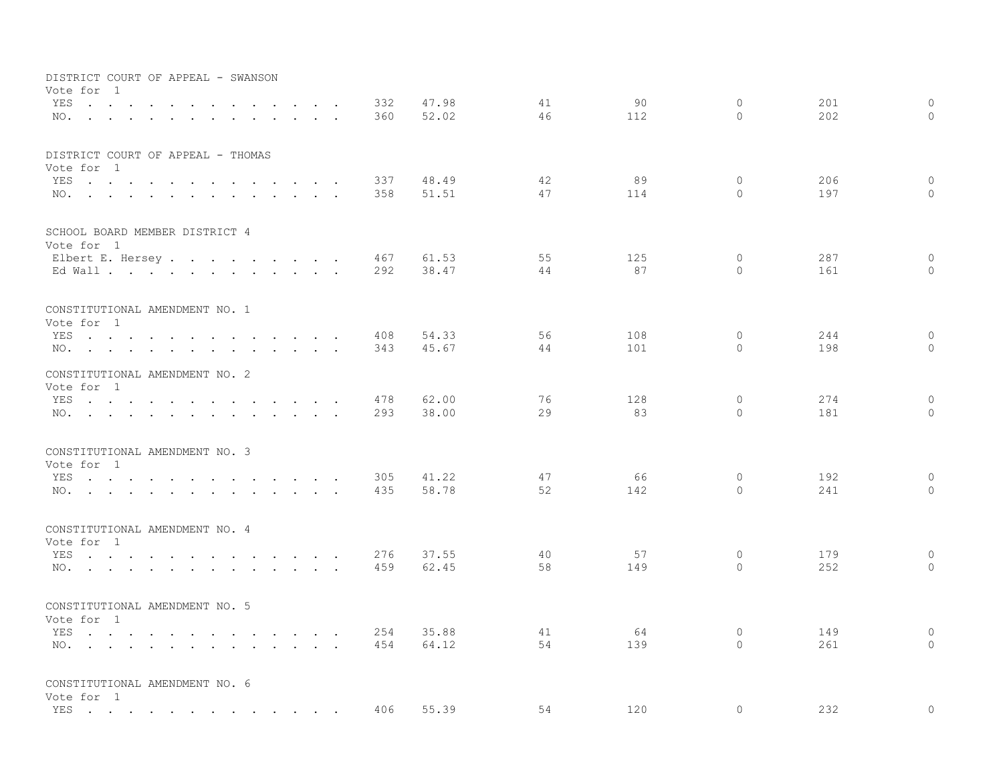| DISTRICT COURT OF APPEAL - SWANSON<br>Vote for 1                                                                          |                                                                                                                                                                                                                                |                                |            |                |          |           |                      |            |                         |
|---------------------------------------------------------------------------------------------------------------------------|--------------------------------------------------------------------------------------------------------------------------------------------------------------------------------------------------------------------------------|--------------------------------|------------|----------------|----------|-----------|----------------------|------------|-------------------------|
| YES<br>$\sim$<br>NO.                                                                                                      | and the state of the state of the                                                                                                                                                                                              | $\sim$ $\sim$<br>$\sim$ $\sim$ | 332<br>360 | 47.98<br>52.02 | 41<br>46 | 90<br>112 | $\circ$<br>$\bigcap$ | 201<br>202 | $\circ$<br>$\mathbf{0}$ |
| DISTRICT COURT OF APPEAL - THOMAS<br>Vote for 1                                                                           |                                                                                                                                                                                                                                |                                |            |                |          |           |                      |            |                         |
| YES<br>$\mathbf{r}$ , $\mathbf{r}$ , $\mathbf{r}$ , $\mathbf{r}$ , $\mathbf{r}$ , $\mathbf{r}$<br>$\sim$<br>$\sim$ $\sim$ | $\sim$                                                                                                                                                                                                                         | $\sim$ $\sim$                  | 337        | 48.49          | 42       | 89        | $\circ$              | 206        | $\mathbf 0$             |
| NO.                                                                                                                       |                                                                                                                                                                                                                                |                                | 358        | 51.51          | 47       | 114       | $\Omega$             | 197        | $\Omega$                |
| SCHOOL BOARD MEMBER DISTRICT 4<br>Vote for 1                                                                              |                                                                                                                                                                                                                                |                                |            |                |          |           |                      |            |                         |
| Elbert E. Hersey                                                                                                          |                                                                                                                                                                                                                                |                                | 467        | 61.53          | 55       | 125       | 0                    | 287        | $\mathbf{0}$            |
| Ed Wall                                                                                                                   |                                                                                                                                                                                                                                |                                | 292        | 38.47          | 44       | 87        | $\bigcap$            | 161        | $\Omega$                |
| CONSTITUTIONAL AMENDMENT NO. 1<br>Vote for 1                                                                              |                                                                                                                                                                                                                                |                                |            |                |          |           |                      |            |                         |
| YES                                                                                                                       | the contract of the contract of the                                                                                                                                                                                            |                                | 408        | 54.33          | 56       | 108       | $\circ$              | 244        | $\mathbf{0}$            |
| NO.                                                                                                                       | $\mathbf{r}$ , $\mathbf{r}$ , $\mathbf{r}$ , $\mathbf{r}$ , $\mathbf{r}$                                                                                                                                                       |                                | 343        | 45.67          | 44       | 101       | $\Omega$             | 198        | $\mathbf{0}$            |
| CONSTITUTIONAL AMENDMENT NO. 2<br>Vote for 1                                                                              |                                                                                                                                                                                                                                |                                |            |                |          |           |                      |            |                         |
| YES                                                                                                                       | $\sim$<br>$\sim$                                                                                                                                                                                                               | <b>Contract Contract</b>       | 478        | 62.00          | 76       | 128       | $\circ$              | 274        | $\circ$                 |
| NO.                                                                                                                       |                                                                                                                                                                                                                                |                                | 293        | 38.00          | 29       | 83        | $\Omega$             | 181        | $\Omega$                |
| CONSTITUTIONAL AMENDMENT NO. 3<br>Vote for 1                                                                              |                                                                                                                                                                                                                                |                                |            |                |          |           |                      |            |                         |
| YES                                                                                                                       | and the contract of the contract of the contract of the contract of the contract of the contract of the contract of the contract of the contract of the contract of the contract of the contract of the contract of the contra |                                | 305        | 41.22          | 47       | 66        | $\circ$              | 192        | $\mathbf 0$             |
| NO.                                                                                                                       |                                                                                                                                                                                                                                |                                | 435        | 58.78          | 52       | 142       | $\Omega$             | 241        | $\Omega$                |
| CONSTITUTIONAL AMENDMENT NO. 4<br>Vote for 1                                                                              |                                                                                                                                                                                                                                |                                |            |                |          |           |                      |            |                         |
| YES                                                                                                                       |                                                                                                                                                                                                                                | $\sim$ $\sim$ $\sim$           | 276        | 37.55          | 40       | 57        | $\circ$              | 179        | $\mathbf{0}$            |
| NO.                                                                                                                       |                                                                                                                                                                                                                                |                                | 459        | 62.45          | 58       | 149       | $\Omega$             | 252        | $\Omega$                |
| CONSTITUTIONAL AMENDMENT NO. 5<br>Vote for 1                                                                              |                                                                                                                                                                                                                                |                                |            |                |          |           |                      |            |                         |
| YES                                                                                                                       |                                                                                                                                                                                                                                |                                | 254        | 35.88          | 41       | 64        | $\circ$              | 149        | $\mathbf 0$             |
| NO.                                                                                                                       |                                                                                                                                                                                                                                |                                | 454        | 64.12          | 54       | 139       | $\Omega$             | 261        | $\Omega$                |
| CONSTITUTIONAL AMENDMENT NO. 6<br>Vote for 1                                                                              |                                                                                                                                                                                                                                |                                |            |                |          |           |                      |            |                         |
| YES                                                                                                                       |                                                                                                                                                                                                                                |                                | 406        | 55.39          | 54       | 120       | $\circ$              | 232        | $\mathbf 0$             |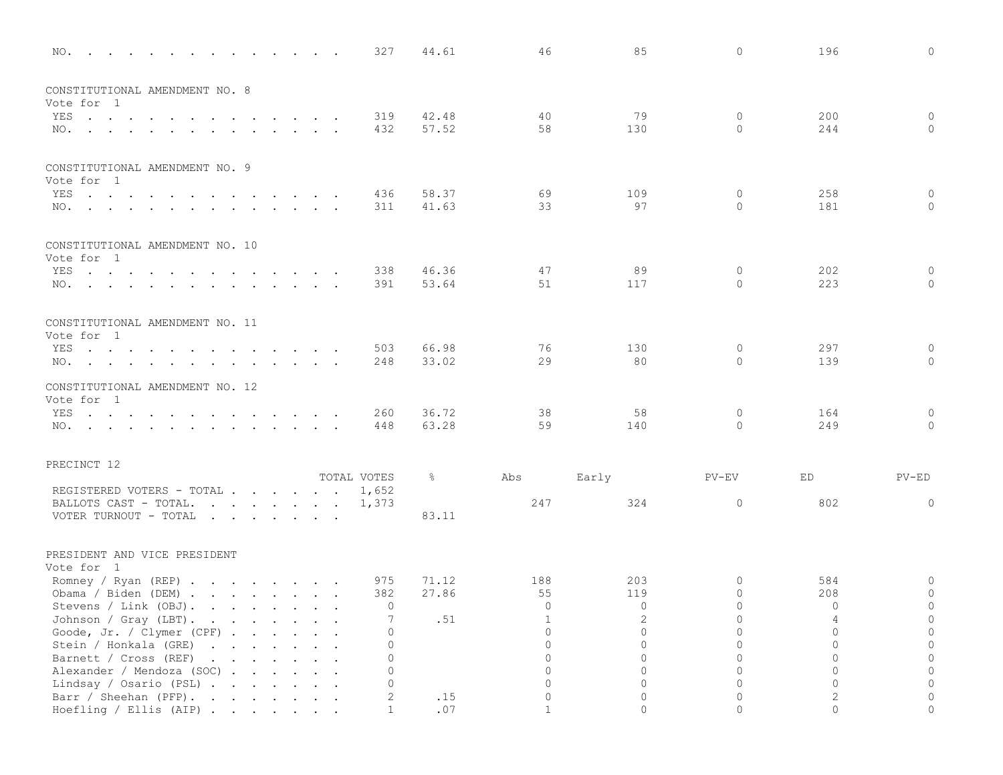| NO.                                                                                                                                                                                                                                                                                                                                                      |                                                           |               | 327                  | 44.61 | 46                  | 85                  | 0                   | 196                  | $\circ$             |
|----------------------------------------------------------------------------------------------------------------------------------------------------------------------------------------------------------------------------------------------------------------------------------------------------------------------------------------------------------|-----------------------------------------------------------|---------------|----------------------|-------|---------------------|---------------------|---------------------|----------------------|---------------------|
| CONSTITUTIONAL AMENDMENT NO. 8                                                                                                                                                                                                                                                                                                                           |                                                           |               |                      |       |                     |                     |                     |                      |                     |
| Vote for 1                                                                                                                                                                                                                                                                                                                                               |                                                           |               |                      |       |                     |                     |                     |                      |                     |
| YES                                                                                                                                                                                                                                                                                                                                                      |                                                           |               | 319                  | 42.48 | 40                  | 79                  | $\mathbf{0}$        | 200                  | $\circ$             |
| NO.                                                                                                                                                                                                                                                                                                                                                      |                                                           |               | 432                  | 57.52 | 58                  | 130                 | $\Omega$            | 244                  | $\Omega$            |
| CONSTITUTIONAL AMENDMENT NO. 9                                                                                                                                                                                                                                                                                                                           |                                                           |               |                      |       |                     |                     |                     |                      |                     |
| Vote for 1                                                                                                                                                                                                                                                                                                                                               |                                                           |               |                      |       |                     |                     |                     |                      |                     |
| YES                                                                                                                                                                                                                                                                                                                                                      |                                                           |               | 436                  | 58.37 | 69                  | 109                 | $\circ$             | 258                  | $\circ$             |
| NO.                                                                                                                                                                                                                                                                                                                                                      |                                                           |               | 311                  | 41.63 | 33                  | 97                  | $\Omega$            | 181                  | $\circ$             |
| CONSTITUTIONAL AMENDMENT NO. 10                                                                                                                                                                                                                                                                                                                          |                                                           |               |                      |       |                     |                     |                     |                      |                     |
| Vote for 1                                                                                                                                                                                                                                                                                                                                               |                                                           |               |                      |       |                     |                     |                     |                      |                     |
| YES                                                                                                                                                                                                                                                                                                                                                      |                                                           | $\sim$ $\sim$ | 338                  | 46.36 | 47                  | 89                  | $\mathbf{0}$        | 202                  | $\circ$             |
| NO.                                                                                                                                                                                                                                                                                                                                                      |                                                           |               | 391                  | 53.64 | 51                  | 117                 | 0                   | 223                  | $\Omega$            |
| CONSTITUTIONAL AMENDMENT NO. 11                                                                                                                                                                                                                                                                                                                          |                                                           |               |                      |       |                     |                     |                     |                      |                     |
| Vote for 1                                                                                                                                                                                                                                                                                                                                               |                                                           |               |                      |       |                     |                     |                     |                      |                     |
| YES<br>and the contract of the contract of the contract of the contract of the contract of the contract of the contract of the contract of the contract of the contract of the contract of the contract of the contract of the contra<br>and the state of the state of the state of the state of the state of the state of the state of the state of the |                                                           | $\sim$ $\sim$ | 503                  | 66.98 | 76                  | 130                 | $\circ$             | 297                  | $\Omega$            |
| $NO.$ $\cdots$ $\cdots$ $\cdots$                                                                                                                                                                                                                                                                                                                         | $\mathbf{r}$ , $\mathbf{r}$ , $\mathbf{r}$ , $\mathbf{r}$ |               | 248                  | 33.02 | 29                  | 80                  | 0                   | 139                  | $\mathbf{0}$        |
| CONSTITUTIONAL AMENDMENT NO. 12<br>Vote for 1                                                                                                                                                                                                                                                                                                            |                                                           |               |                      |       |                     |                     |                     |                      |                     |
| YES                                                                                                                                                                                                                                                                                                                                                      |                                                           |               | 260                  | 36.72 | 38                  | 58                  | $\mathbf{0}$        | 164                  | $\mathbf 0$         |
| NO.                                                                                                                                                                                                                                                                                                                                                      |                                                           |               | 448                  | 63.28 | 59                  | 140                 | $\Omega$            | 249                  | $\Omega$            |
| PRECINCT 12                                                                                                                                                                                                                                                                                                                                              |                                                           |               |                      |       |                     |                     |                     |                      |                     |
|                                                                                                                                                                                                                                                                                                                                                          |                                                           |               | TOTAL VOTES          | ိင    | Abs                 | Early               | $PV-EV$             | ED                   | $PV-ED$             |
| REGISTERED VOTERS - TOTAL                                                                                                                                                                                                                                                                                                                                |                                                           |               | 1,652                |       |                     |                     |                     |                      |                     |
| BALLOTS CAST - TOTAL.                                                                                                                                                                                                                                                                                                                                    |                                                           |               | 1,373                |       | 247                 | 324                 | $\mathbf{0}$        | 802                  | $\circ$             |
| VOTER TURNOUT - TOTAL $\cdot \cdot \cdot \cdot \cdot \cdot$                                                                                                                                                                                                                                                                                              |                                                           |               |                      | 83.11 |                     |                     |                     |                      |                     |
| PRESIDENT AND VICE PRESIDENT                                                                                                                                                                                                                                                                                                                             |                                                           |               |                      |       |                     |                     |                     |                      |                     |
| Vote for 1                                                                                                                                                                                                                                                                                                                                               |                                                           |               |                      |       |                     |                     |                     |                      |                     |
| Romney / Ryan (REP)                                                                                                                                                                                                                                                                                                                                      |                                                           |               | 975                  | 71.12 | 188                 | 203                 | $\Omega$            | 584                  | $\mathbf 0$         |
| Obama / Biden (DEM)                                                                                                                                                                                                                                                                                                                                      |                                                           |               | 382                  | 27.86 | 55                  | 119                 | $\circ$             | 208                  | $\mathbf 0$         |
| Stevens / Link $(OBJ)$ .                                                                                                                                                                                                                                                                                                                                 |                                                           |               | $\Omega$             |       | $\Omega$            | $\Omega$            | $\Omega$            | $\Omega$             | $\Omega$            |
| Johnson / Gray (LBT).                                                                                                                                                                                                                                                                                                                                    |                                                           |               |                      | .51   | 1                   | 2                   | $\Omega$            |                      | 0                   |
| Goode, Jr. / Clymer (CPF)                                                                                                                                                                                                                                                                                                                                |                                                           |               | $\Omega$<br>$\Omega$ |       | $\circ$<br>$\Omega$ | $\circ$<br>$\Omega$ | $\circ$<br>$\Omega$ | $\Omega$<br>$\Omega$ | $\circ$<br>$\Omega$ |
| Stein / Honkala (GRE)<br>Barnett / Cross (REF)                                                                                                                                                                                                                                                                                                           |                                                           |               | 0                    |       | $\Omega$            | $\circ$             | $\Omega$            | $\Omega$             | $\circ$             |
| Alexander / Mendoza (SOC)                                                                                                                                                                                                                                                                                                                                |                                                           |               | $\Omega$             |       | 0                   | $\Omega$            | $\Omega$            | $\Omega$             | $\circ$             |
| Lindsay / Osario (PSL)                                                                                                                                                                                                                                                                                                                                   |                                                           |               | $\Omega$             |       | 0                   | $\Omega$            | $\Omega$            | $\Omega$             | $\circ$             |
| Barr / Sheehan (PFP).                                                                                                                                                                                                                                                                                                                                    |                                                           |               | 2                    | .15   | 0                   | $\circ$             | $\circ$             | 2                    | $\mathbf{0}$        |
| Hoefling / Ellis (AIP) $\cdots$ $\cdots$ $\cdots$                                                                                                                                                                                                                                                                                                        |                                                           |               | $\mathbf{1}$         | .07   | $\mathbf{1}$        | $\circ$             | $\Omega$            | $\Omega$             | $\Omega$            |
|                                                                                                                                                                                                                                                                                                                                                          |                                                           |               |                      |       |                     |                     |                     |                      |                     |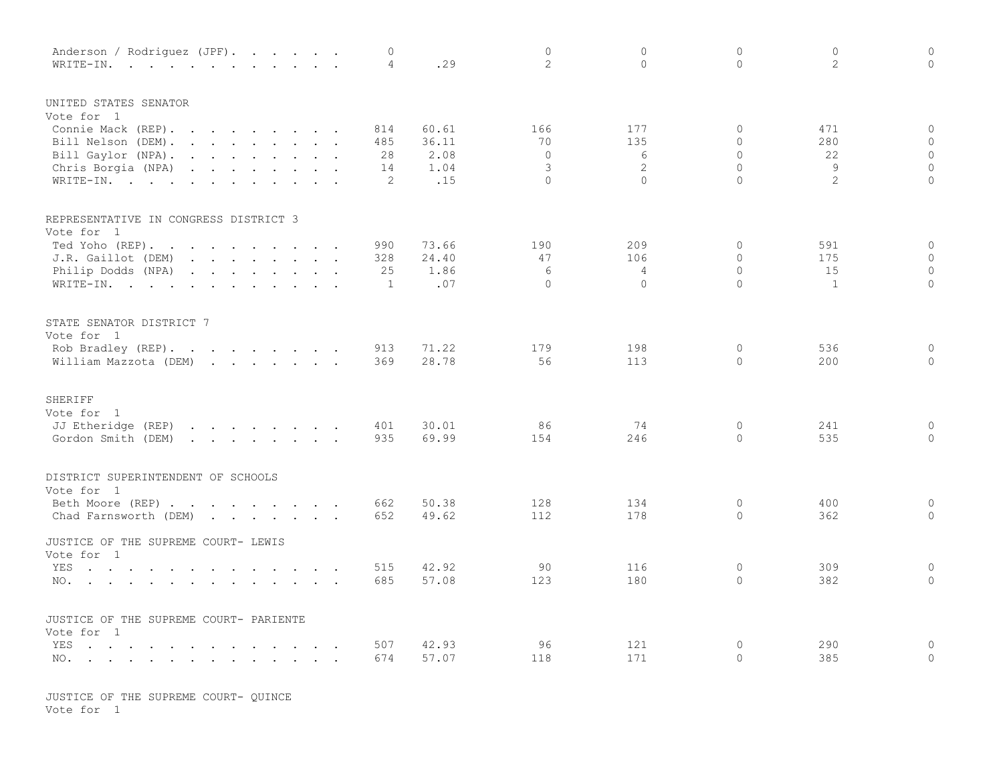| Anderson / Rodriguez (JPF).<br>WRITE-IN.                                                                                                                                                                                                                        | $\mathbf{0}$<br>$\overline{4}$ | .29   | 0<br>$\overline{2}$ | $\circ$<br>$\Omega$ | $\circ$<br>$\Omega$ | $\circ$<br>$\overline{2}$ | $\mathbf{0}$<br>$\Omega$ |
|-----------------------------------------------------------------------------------------------------------------------------------------------------------------------------------------------------------------------------------------------------------------|--------------------------------|-------|---------------------|---------------------|---------------------|---------------------------|--------------------------|
| UNITED STATES SENATOR                                                                                                                                                                                                                                           |                                |       |                     |                     |                     |                           |                          |
| Vote for 1<br>Connie Mack (REP).<br>$\mathbf{r}$ , and $\mathbf{r}$ , and $\mathbf{r}$ , and $\mathbf{r}$                                                                                                                                                       | 814                            | 60.61 | 166                 | 177                 | $\Omega$            | 471                       | $\mathbf{0}$             |
| Bill Nelson (DEM).<br>$\mathbf{r}$ , $\mathbf{r}$ , $\mathbf{r}$ , $\mathbf{r}$ , $\mathbf{r}$ , $\mathbf{r}$                                                                                                                                                   | 485                            | 36.11 | 70                  | 135                 | $\circ$             | 280                       | $\mathbb O$              |
| Bill Gaylor (NPA).<br>$\mathcal{A}=\mathcal{A}=\mathcal{A}=\mathcal{A}=\mathcal{A}=\mathcal{A}=\mathcal{A}=\mathcal{A}$                                                                                                                                         | 28                             | 2.08  | $\Omega$            | 6                   | $\Omega$            | 22                        | $\mathbf 0$              |
| Chris Borgia (NPA)<br>the contract of the contract of the                                                                                                                                                                                                       | 14                             | 1.04  | 3                   | 2                   | $\circ$             | $\overline{9}$            | $\mathbf 0$              |
| WRITE-IN.                                                                                                                                                                                                                                                       | 2                              | .15   | $\Omega$            | $\Omega$            | $\Omega$            | 2                         | $\Omega$                 |
| REPRESENTATIVE IN CONGRESS DISTRICT 3                                                                                                                                                                                                                           |                                |       |                     |                     |                     |                           |                          |
| Vote for 1                                                                                                                                                                                                                                                      |                                |       |                     |                     |                     |                           |                          |
| Ted Yoho (REP).<br>the contract of the contract of the contract of the contract of the contract of the contract of the contract of                                                                                                                              | 990                            | 73.66 | 190                 | 209                 | $\circ$             | 591                       | $\mathbf{0}$             |
| J.R. Gaillot (DEM)<br>$\mathcal{L}^{\mathcal{A}}$ . The set of the set of the set of the set of the set of the set of the set of the set of the set of the set of the set of the set of the set of the set of the set of the set of the set of the set of the s | 328                            | 24.40 | 47                  | 106                 | $\Omega$            | 175                       | $\mathbf{0}$             |
| Philip Dodds (NPA)<br>the contract of the contract of the contract of                                                                                                                                                                                           | 25                             | 1.86  | 6                   | $\overline{4}$      | $\Omega$            | 15                        | $\mathbf{0}$             |
| WRITE-IN.                                                                                                                                                                                                                                                       | 1                              | .07   | $\Omega$            | $\Omega$            | $\Omega$            | 1                         | $\Omega$                 |
| STATE SENATOR DISTRICT 7                                                                                                                                                                                                                                        |                                |       |                     |                     |                     |                           |                          |
| Vote for 1                                                                                                                                                                                                                                                      |                                |       |                     |                     |                     |                           |                          |
| Rob Bradley (REP).                                                                                                                                                                                                                                              | 913                            | 71.22 | 179                 | 198                 | 0                   | 536                       | $\mathbf 0$              |
| William Mazzota (DEM)                                                                                                                                                                                                                                           | 369                            | 28.78 | 56                  | 113                 | $\Omega$            | 200                       | $\Omega$                 |
| SHERIFF                                                                                                                                                                                                                                                         |                                |       |                     |                     |                     |                           |                          |
| Vote for 1                                                                                                                                                                                                                                                      |                                |       |                     |                     |                     |                           |                          |
| JJ Etheridge (REP)                                                                                                                                                                                                                                              | 401                            | 30.01 | 86                  | 74                  | 0                   | 241                       | $\circ$                  |
| Gordon Smith (DEM)<br>$\mathbf{r}$ , $\mathbf{r}$ , $\mathbf{r}$ , $\mathbf{r}$ , $\mathbf{r}$ , $\mathbf{r}$                                                                                                                                                   | 935                            | 69.99 | 154                 | 246                 | $\Omega$            | 535                       | $\Omega$                 |
| DISTRICT SUPERINTENDENT OF SCHOOLS                                                                                                                                                                                                                              |                                |       |                     |                     |                     |                           |                          |
| Vote for 1                                                                                                                                                                                                                                                      |                                |       |                     |                     |                     |                           |                          |
| Beth Moore (REP)                                                                                                                                                                                                                                                | 662                            | 50.38 | 128                 | 134                 | 0                   | 400                       | $\mathbf 0$              |
| Chad Farnsworth (DEM)<br>$\mathbf{r}$ , $\mathbf{r}$ , $\mathbf{r}$ , $\mathbf{r}$ , $\mathbf{r}$ , $\mathbf{r}$                                                                                                                                                | 652                            | 49.62 | 112                 | 178                 | $\circ$             | 362                       | $\Omega$                 |
| JUSTICE OF THE SUPREME COURT- LEWIS<br>Vote for 1                                                                                                                                                                                                               |                                |       |                     |                     |                     |                           |                          |
| YES                                                                                                                                                                                                                                                             | 515                            | 42.92 | 90                  | 116                 | $\circ$             | 309                       | $\mathbf{0}$             |
| NO.<br>the contract of the contract of the contract of the contract of the contract of the contract of the contract of                                                                                                                                          | 685                            | 57.08 | 123                 | 180                 | $\Omega$            | 382                       | $\Omega$                 |
|                                                                                                                                                                                                                                                                 |                                |       |                     |                     |                     |                           |                          |
| JUSTICE OF THE SUPREME COURT- PARIENTE<br>Vote for 1                                                                                                                                                                                                            |                                |       |                     |                     |                     |                           |                          |
| YES<br>$\mathcal{A}=\mathcal{A}=\mathcal{A}=\mathcal{A}=\mathcal{A}=\mathcal{A}=\mathcal{A}=\mathcal{A}$<br>and the state of the state of the<br>$\sim$ $\sim$                                                                                                  | 507                            | 42.93 | 96                  | 121                 | 0                   | 290                       | $\mathbf 0$              |
| NO.<br>$\sim$                                                                                                                                                                                                                                                   | 674                            | 57.07 | 118                 | 171                 | 0                   | 385                       | $\mathbf{0}$             |
|                                                                                                                                                                                                                                                                 |                                |       |                     |                     |                     |                           |                          |

JUSTICE OF THE SUPREME COURT- QUINCE Vote for 1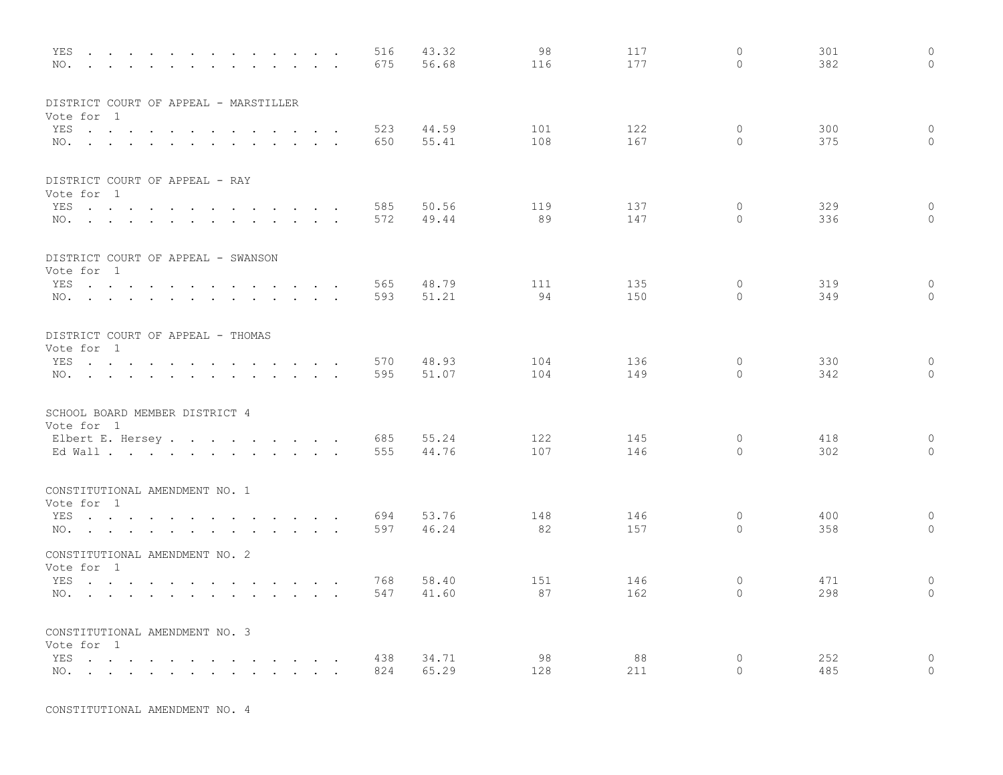| YES<br>NO.<br>$\sim$ $\sim$ $\sim$ $\sim$ $\sim$ $\sim$                                                                                           | $\sim$                                                                                                                             |                                   | 516<br>675 | 43.32<br>56.68 | 98<br>116  | 117<br>177 | $\circ$<br>$\Omega$ | 301<br>382 | $\circ$<br>$\Omega$       |
|---------------------------------------------------------------------------------------------------------------------------------------------------|------------------------------------------------------------------------------------------------------------------------------------|-----------------------------------|------------|----------------|------------|------------|---------------------|------------|---------------------------|
| DISTRICT COURT OF APPEAL - MARSTILLER<br>Vote for 1                                                                                               |                                                                                                                                    |                                   |            |                |            |            |                     |            |                           |
| YES<br>NO.                                                                                                                                        | $\langle \cdot \rangle$<br>$\ddot{\phantom{1}}$<br>$\bullet$<br>$\ddot{\phantom{1}}$<br>$\mathbf{r}$ , $\mathbf{r}$ , $\mathbf{r}$ | $\sim$<br>$\sim$<br>$\sim$ $\sim$ | 523<br>650 | 44.59<br>55.41 | 101<br>108 | 122<br>167 | $\circ$<br>$\Omega$ | 300<br>375 | $\mathbf 0$<br>$\circ$    |
| DISTRICT COURT OF APPEAL - RAY<br>Vote for 1                                                                                                      |                                                                                                                                    |                                   |            |                |            |            |                     |            |                           |
| YES<br>NO.                                                                                                                                        | $\mathbf{r}$ , $\mathbf{r}$                                                                                                        | $\sim$ $\sim$                     | 585<br>572 | 50.56<br>49.44 | 119<br>89  | 137<br>147 | 0<br>$\Omega$       | 329<br>336 | $\mathbf 0$<br>$\Omega$   |
| DISTRICT COURT OF APPEAL - SWANSON<br>Vote for 1                                                                                                  |                                                                                                                                    |                                   |            |                |            |            |                     |            |                           |
| YES<br>$\mathbf{r}$ , $\mathbf{r}$ , $\mathbf{r}$ , $\mathbf{r}$<br>NO.<br>and the contract of the con-<br>$\mathbf{r}$ . The set of $\mathbf{r}$ | $\sim$<br>$\mathbf{L}$<br>$\sim$                                                                                                   | $\sim$<br>$\sim$<br>$\sim$ $\sim$ | 565<br>593 | 48.79<br>51.21 | 111<br>94  | 135<br>150 | $\circ$<br>$\Omega$ | 319<br>349 | $\Omega$<br>$\Omega$      |
| DISTRICT COURT OF APPEAL - THOMAS<br>Vote for 1                                                                                                   |                                                                                                                                    |                                   |            |                |            |            |                     |            |                           |
| YES<br>NO.                                                                                                                                        | $\sim$ $-$<br>$\mathbf{r} = \mathbf{r} + \mathbf{r} + \mathbf{r}$                                                                  | $\sim$                            | 570<br>595 | 48.93<br>51.07 | 104<br>104 | 136<br>149 | $\circ$<br>$\Omega$ | 330<br>342 | $\mathbf 0$<br>$\Omega$   |
| SCHOOL BOARD MEMBER DISTRICT 4<br>Vote for 1                                                                                                      |                                                                                                                                    |                                   |            |                |            |            |                     |            |                           |
| Elbert E. Hersey<br>Ed Wall                                                                                                                       |                                                                                                                                    |                                   | 685<br>555 | 55.24<br>44.76 | 122<br>107 | 145<br>146 | $\circ$<br>$\Omega$ | 418<br>302 | $\mathbf{0}$<br>$\Omega$  |
| CONSTITUTIONAL AMENDMENT NO. 1<br>Vote for 1                                                                                                      |                                                                                                                                    |                                   |            |                |            |            |                     |            |                           |
| YES<br>NO.                                                                                                                                        | $\sim$<br>$\sim$<br>$\sim$<br>$\sim$ $\sim$<br>$\bullet$                                                                           | $\sim$ $\sim$ $\sim$              | 694<br>597 | 53.76<br>46.24 | 148<br>82  | 146<br>157 | $\circ$<br>$\circ$  | 400<br>358 | $\mathbf{0}$<br>$\circ$   |
| CONSTITUTIONAL AMENDMENT NO. 2<br>Vote for 1                                                                                                      |                                                                                                                                    |                                   |            |                |            |            |                     |            |                           |
| YES<br>NO.                                                                                                                                        |                                                                                                                                    |                                   | 768<br>547 | 58.40<br>41.60 | 151<br>87  | 146<br>162 | 0<br>0              | 471<br>298 | $\overline{0}$<br>$\circ$ |
| CONSTITUTIONAL AMENDMENT NO. 3<br>Vote for 1                                                                                                      |                                                                                                                                    |                                   |            |                |            |            |                     |            |                           |
| YES<br>the contract of the contract of<br>NO.                                                                                                     | $\mathbf{r}$ . The set of $\mathbf{r}$                                                                                             |                                   | 438<br>824 | 34.71<br>65.29 | 98<br>128  | 88<br>211  | $\circ$<br>$\circ$  | 252<br>485 | $\circ$<br>$\circ$        |

CONSTITUTIONAL AMENDMENT NO. 4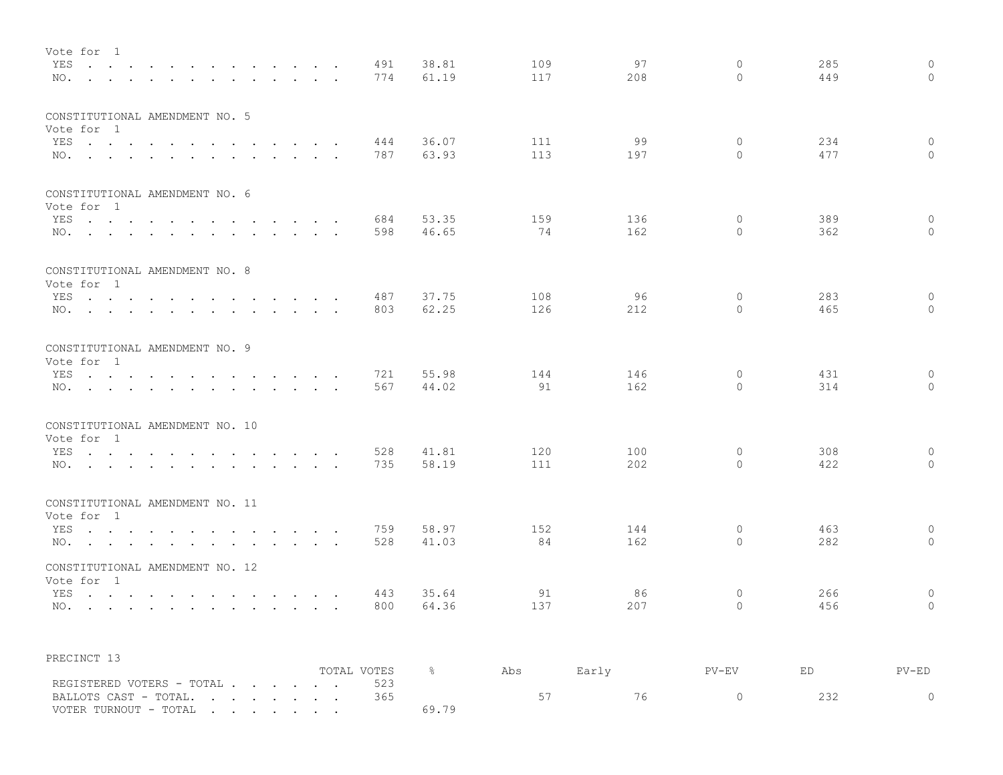| Vote for 1<br>YES<br>NO.                                                                                                                                                                                                                                                                         |                                                                                                                                                                                                                                                                              |               | 491<br>774                | 38.81<br>61.19         | 109<br>117 | 97<br>208       | $\circ$<br>$\Omega$ | 285<br>449 | $\mathbf{0}$<br>$\Omega$  |
|--------------------------------------------------------------------------------------------------------------------------------------------------------------------------------------------------------------------------------------------------------------------------------------------------|------------------------------------------------------------------------------------------------------------------------------------------------------------------------------------------------------------------------------------------------------------------------------|---------------|---------------------------|------------------------|------------|-----------------|---------------------|------------|---------------------------|
| CONSTITUTIONAL AMENDMENT NO. 5<br>Vote for 1<br>YES<br>NO.                                                                                                                                                                                                                                       | $\sim$ $\sim$ $\sim$ $\sim$ $\sim$                                                                                                                                                                                                                                           | $\sim$ $\sim$ | 444<br>787                | 36.07<br>63.93         | 111<br>113 | 99<br>197       | $\circ$<br>$\Omega$ | 234<br>477 | $\mathbf{0}$<br>$\Omega$  |
| CONSTITUTIONAL AMENDMENT NO. 6<br>Vote for 1<br>YES.<br>NO.                                                                                                                                                                                                                                      |                                                                                                                                                                                                                                                                              | $\sim$ $\sim$ | 684<br>598                | 53.35<br>46.65         | 159<br>74  | 136<br>162      | $\circ$<br>$\Omega$ | 389<br>362 | $\circ$<br>$\Omega$       |
| CONSTITUTIONAL AMENDMENT NO. 8<br>Vote for 1<br>YES<br>NO.                                                                                                                                                                                                                                       |                                                                                                                                                                                                                                                                              |               | 487<br>803                | 37.75<br>62.25         | 108<br>126 | 96<br>212       | $\circ$<br>$\Omega$ | 283<br>465 | $\circ$<br>$\Omega$       |
| CONSTITUTIONAL AMENDMENT NO. 9<br>Vote for 1<br>YES<br>$NO.$ $\cdots$ $\cdots$ $\cdots$                                                                                                                                                                                                          | and the contract of the contract of the<br>$\mathbf{r}$ . The contract of the contract of the contract of the contract of the contract of the contract of the contract of the contract of the contract of the contract of the contract of the contract of the contract of th |               | 721<br>567                | 55.98<br>44.02         | 144<br>91  | 146<br>162      | $\circ$<br>$\Omega$ | 431<br>314 | $\circ$<br>$\Omega$       |
| CONSTITUTIONAL AMENDMENT NO. 10<br>Vote for 1<br>YES<br>the contract of the contract of the contract of the contract of the contract of the contract of the contract of<br>NO.                                                                                                                   |                                                                                                                                                                                                                                                                              |               | 528<br>735                | 41.81<br>58.19         | 120<br>111 | 100<br>202      | $\circ$<br>$\Omega$ | 308<br>422 | $\mathbf{0}$<br>$\Omega$  |
| CONSTITUTIONAL AMENDMENT NO. 11<br>Vote for 1<br>YES<br>NO.                                                                                                                                                                                                                                      |                                                                                                                                                                                                                                                                              |               | 759<br>528                | 58.97<br>41.03         | 152<br>84  | 144<br>162      | 0<br>0              | 463<br>282 | $\mathbf 0$<br>$\Omega$   |
| CONSTITUTIONAL AMENDMENT NO. 12<br>Vote for 1<br>$\mathbf{r}$ . The set of the set of the set of the set of the set of the set of the set of the set of the set of the set of the set of the set of the set of the set of the set of the set of the set of the set of the set of t<br>YES<br>NO. |                                                                                                                                                                                                                                                                              | $\sim$        | 443<br>800                | 35.64<br>64.36         | 91<br>137  | 86<br>207       | 0<br>$\circ$        | 266<br>456 | $\mathbf 0$<br>$\circ$    |
| PRECINCT 13<br>REGISTERED VOTERS - TOTAL<br>BALLOTS CAST - TOTAL.<br>VOTER TURNOUT - TOTAL                                                                                                                                                                                                       |                                                                                                                                                                                                                                                                              |               | TOTAL VOTES<br>523<br>365 | $\frac{1}{2}$<br>69.79 | 57         | Abs Early<br>76 | PV-EV<br>$\circ$    | ED<br>232  | $PV-ED$<br>$\overline{0}$ |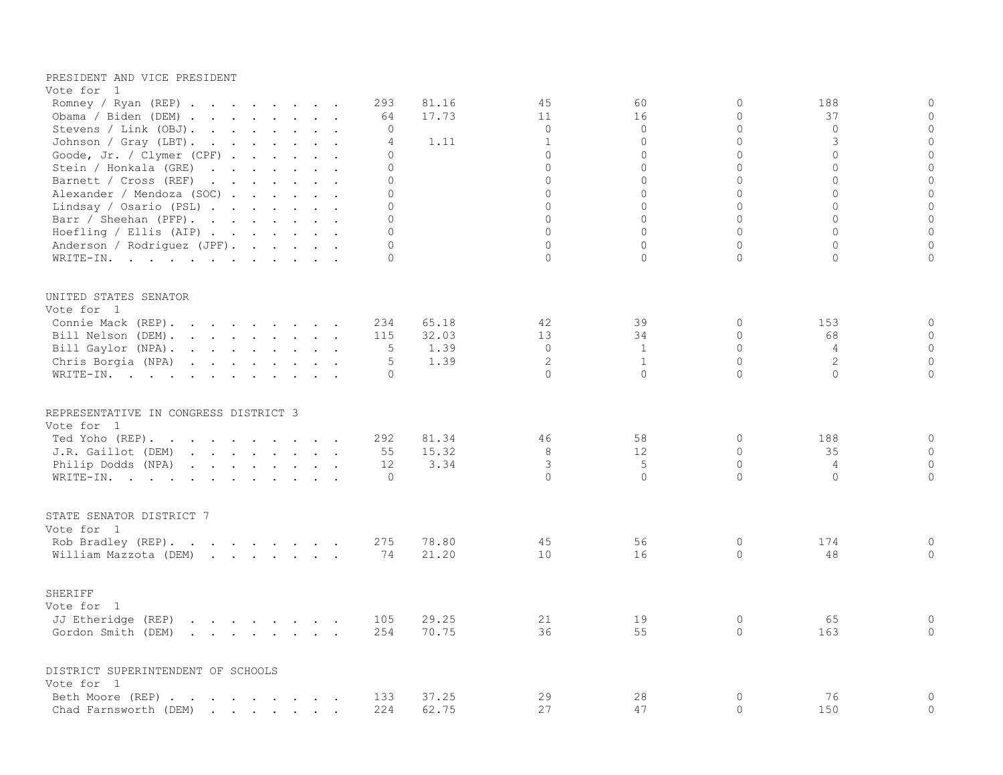| Vote for 1                                                                                                                                                                                                                                               |  |              |       |              |                |          |          |                     |
|----------------------------------------------------------------------------------------------------------------------------------------------------------------------------------------------------------------------------------------------------------|--|--------------|-------|--------------|----------------|----------|----------|---------------------|
| Romney / Ryan (REP) $\cdots$ $\cdots$ $\cdots$                                                                                                                                                                                                           |  | 293          | 81.16 | 45           | 60             | 0        | 188      | $\mathsf{O}\xspace$ |
| Obama / Biden (DEM)                                                                                                                                                                                                                                      |  | 64           | 17.73 | 11           | 16             | $\Omega$ | 37       | $\Omega$            |
| Stevens / Link (OBJ).                                                                                                                                                                                                                                    |  | $\Omega$     |       | $\Omega$     | $\Omega$       | $\Omega$ | $\Omega$ | $\Omega$            |
| Johnson / Gray (LBT).                                                                                                                                                                                                                                    |  | 4            | 1.11  | $\mathbf{1}$ | $\circ$        | $\circ$  | 3        | $\mathbf 0$         |
| Goode, Jr. / Clymer (CPF)                                                                                                                                                                                                                                |  | $\Omega$     |       | $\circ$      | $\circ$        | 0        | 0        | $\circ$             |
| Stein / Honkala (GRE)                                                                                                                                                                                                                                    |  | $\mathbf{0}$ |       | $\circ$      | $\mathbf{0}$   | 0        | 0        | $\circ$             |
| Barnett / Cross (REF)                                                                                                                                                                                                                                    |  | $\Omega$     |       | $\Omega$     | $\Omega$       | $\Omega$ | $\Omega$ | $\circ$             |
| Alexander / Mendoza (SOC)                                                                                                                                                                                                                                |  | $\circ$      |       | $\Omega$     | $\Omega$       | 0        | $\circ$  | $\mathbf 0$         |
| Lindsay / Osario (PSL)                                                                                                                                                                                                                                   |  | $\Omega$     |       | $\Omega$     | $\Omega$       | $\Omega$ | $\Omega$ | $\mathbf 0$         |
| Barr / Sheehan (PFP).                                                                                                                                                                                                                                    |  | $\Omega$     |       | $\Omega$     | $\Omega$       | $\Omega$ | $\Omega$ | $\mathbb O$         |
| Hoefling / Ellis (AIP) $\cdots$ $\cdots$ $\cdots$                                                                                                                                                                                                        |  | $\Omega$     |       | $\Omega$     | $\Omega$       | $\Omega$ | $\Omega$ | $\Omega$            |
| Anderson / Rodriguez (JPF).                                                                                                                                                                                                                              |  | $\Omega$     |       | $\Omega$     | $\Omega$       | $\Omega$ | $\Omega$ | $\mathbf 0$         |
|                                                                                                                                                                                                                                                          |  | $\Omega$     |       | $\Omega$     | $\Omega$       | $\Omega$ | $\Omega$ | $\circ$             |
| WRITE-IN.                                                                                                                                                                                                                                                |  |              |       |              |                |          |          |                     |
| UNITED STATES SENATOR<br>Vote for 1                                                                                                                                                                                                                      |  |              |       |              |                |          |          |                     |
| Connie Mack (REP).                                                                                                                                                                                                                                       |  | 234          | 65.18 | 42           | 39             | $\Omega$ | 153      | $\mathbb O$         |
| Bill Nelson (DEM).<br>the contract of the contract of the contract of the contract of the contract of                                                                                                                                                    |  | 115          | 32.03 | 13           | 34             | $\Omega$ | 68       | $\Omega$            |
| Bill Gaylor (NPA).<br>$\mathbf{r}$ . The set of the set of the set of the set of the set of the set of the set of the set of the set of the set of the set of the set of the set of the set of the set of the set of the set of the set of the set of t  |  | 5            | 1.39  | $\Omega$     | 1              | $\Omega$ | 4        | $\Omega$            |
| Chris Borgia (NPA)<br>and the contract of the contract of the contract of the contract of the contract of the contract of the contract of the contract of the contract of the contract of the contract of the contract of the contract of the contra     |  | 5            | 1.39  | 2            | $\mathbf{1}$   | $\circ$  | 2        | $\mathbf 0$         |
| WRITE-IN.                                                                                                                                                                                                                                                |  | $\Omega$     |       | $\Omega$     | $\Omega$       | $\Omega$ | $\Omega$ | $\Omega$            |
| REPRESENTATIVE IN CONGRESS DISTRICT 3<br>Vote for 1                                                                                                                                                                                                      |  |              |       |              |                |          |          |                     |
| Ted Yoho (REP).                                                                                                                                                                                                                                          |  | 292          | 81.34 | 46           | 58             | 0        | 188      | $\mathbf{0}$        |
| J.R. Gaillot (DEM)<br>and the contract of the contract of the contract of the contract of the contract of the contract of the contract of the contract of the contract of the contract of the contract of the contract of the contract of the contra     |  | 55           | 15.32 | 8            | 12             | $\Omega$ | 35       | $\mathbf{0}$        |
| Philip Dodds (NPA)                                                                                                                                                                                                                                       |  | 12           | 3.34  | 3            | $\overline{5}$ | $\circ$  | 4        | $\circ$             |
| WRITE-IN.                                                                                                                                                                                                                                                |  | $\mathbf{0}$ |       | $\Omega$     | $\Omega$       | $\Omega$ | $\Omega$ | $\mathbf 0$         |
|                                                                                                                                                                                                                                                          |  |              |       |              |                |          |          |                     |
| STATE SENATOR DISTRICT 7                                                                                                                                                                                                                                 |  |              |       |              |                |          |          |                     |
| Vote for 1                                                                                                                                                                                                                                               |  |              |       |              |                |          |          |                     |
| Rob Bradley (REP).                                                                                                                                                                                                                                       |  | 275          | 78.80 | 45           | 56             | 0        | 174      | $\circ$             |
| William Mazzota (DEM)                                                                                                                                                                                                                                    |  | 74           | 21.20 | 10           | 16             | $\circ$  | 48       | $\mathbf 0$         |
| SHERIFF                                                                                                                                                                                                                                                  |  |              |       |              |                |          |          |                     |
| Vote for 1                                                                                                                                                                                                                                               |  |              |       |              |                |          |          |                     |
| JJ Etheridge (REP)                                                                                                                                                                                                                                       |  | 105          | 29.25 | 21           | 19             | 0        | 65       | $\mathbf 0$         |
| Gordon Smith (DEM)<br>$\mathcal{A}$ . The set of the set of the set of the set of the set of the set of the set of the set of the set of the set of the set of the set of the set of the set of the set of the set of the set of the set of the set of t |  | 254          | 70.75 | 36           | 55             | $\circ$  | 163      | $\Omega$            |
| DISTRICT SUPERINTENDENT OF SCHOOLS                                                                                                                                                                                                                       |  |              |       |              |                |          |          |                     |
| Vote for 1                                                                                                                                                                                                                                               |  |              |       |              |                |          |          |                     |
| Beth Moore (REP)                                                                                                                                                                                                                                         |  | 133          | 37.25 | 29           | 28             | $\circ$  | 76       | $\circ$             |
| Chad Farnsworth (DEM)                                                                                                                                                                                                                                    |  | 224          | 62.75 | 27           | 47             | $\Omega$ | 150      | $\Omega$            |

PRESIDENT AND VICE PRESIDENT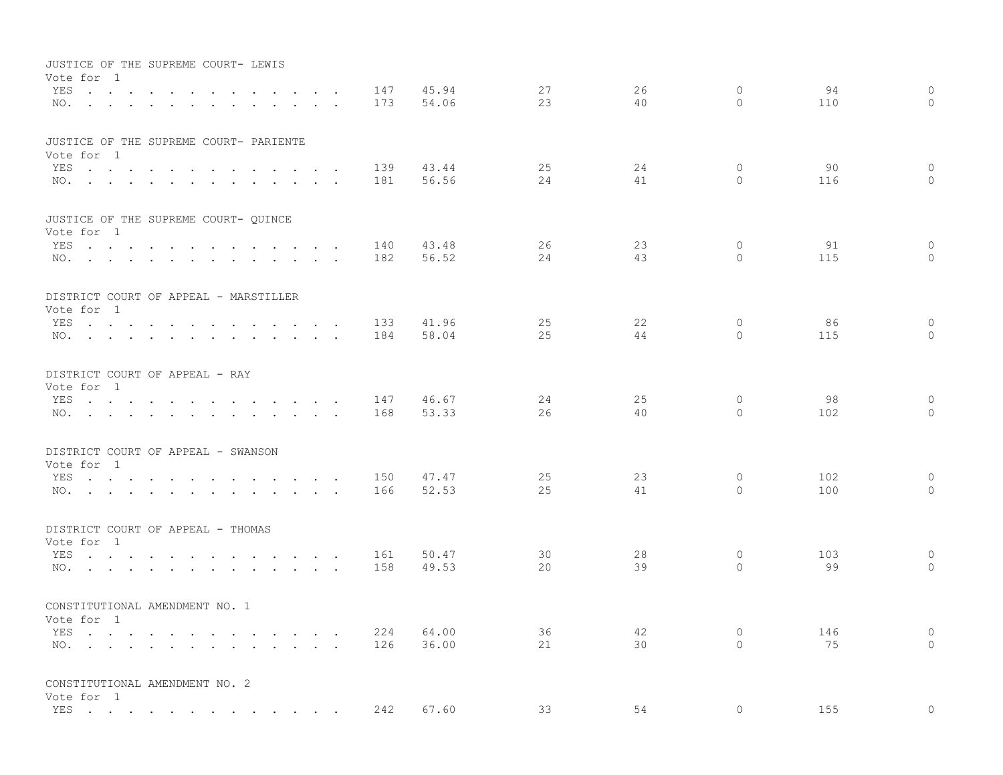| Vote for 1                                                                      | JUSTICE OF THE SUPREME COURT- LEWIS                                                                                        |                                                                                                                 |                      |                |          |          |              |           |                         |
|---------------------------------------------------------------------------------|----------------------------------------------------------------------------------------------------------------------------|-----------------------------------------------------------------------------------------------------------------|----------------------|----------------|----------|----------|--------------|-----------|-------------------------|
| YES<br>$\mathbf{r}$ , $\mathbf{r}$ , $\mathbf{r}$ , $\mathbf{r}$<br>NO.         | $\sim$<br>$\sim$<br>$\ddot{\phantom{a}}$<br>$\ddot{\phantom{a}}$<br>$\ddot{\phantom{a}}$<br>$\sim$<br>$\ddot{\phantom{a}}$ | $\mathbf{r} = \mathbf{r} = \mathbf{r}$<br>$\mathbf{L}^{\text{max}}$ and $\mathbf{L}^{\text{max}}$               | 147<br>173           | 45.94<br>54.06 | 27<br>23 | 26<br>40 | 0<br>$\circ$ | 94<br>110 | $\mathsf{O}$<br>$\circ$ |
|                                                                                 |                                                                                                                            |                                                                                                                 |                      |                |          |          |              |           |                         |
|                                                                                 | JUSTICE OF THE SUPREME COURT- PARIENTE                                                                                     |                                                                                                                 |                      |                |          |          |              |           |                         |
| Vote for 1                                                                      |                                                                                                                            |                                                                                                                 |                      |                | 25       | 24       | $\circ$      | 90        | $\circ$                 |
| YES<br>NO.                                                                      | $\sim$<br>$\sim$<br>$\mathbf{r}$                                                                                           | $\sim$<br>$\sim$<br>$\sim$<br>$\sim$<br>$\sim$                                                                  | 139<br>181<br>$\sim$ | 43.44<br>56.56 | 24       | 41       | $\circ$      | 116       | $\circ$                 |
|                                                                                 | $\sim$<br>$\ddot{\phantom{a}}$<br>$\ddot{\phantom{a}}$                                                                     |                                                                                                                 |                      |                |          |          |              |           |                         |
|                                                                                 | JUSTICE OF THE SUPREME COURT- QUINCE                                                                                       |                                                                                                                 |                      |                |          |          |              |           |                         |
| Vote for 1                                                                      |                                                                                                                            |                                                                                                                 |                      |                |          |          |              |           |                         |
|                                                                                 | YES                                                                                                                        | $\mathbf{r}$ . The set of $\mathbf{r}$                                                                          | 140                  | 43.48          | 26       | 23       | 0            | 91        | $\circ$                 |
|                                                                                 | NO.                                                                                                                        |                                                                                                                 | 182                  | 56.52          | 24       | 43       | $\circ$      | 115       | $\circ$                 |
|                                                                                 | DISTRICT COURT OF APPEAL - MARSTILLER                                                                                      |                                                                                                                 |                      |                |          |          |              |           |                         |
| Vote for 1                                                                      |                                                                                                                            |                                                                                                                 |                      |                |          |          |              |           |                         |
|                                                                                 | YES                                                                                                                        | $\sim$                                                                                                          | 133<br>$\sim$        | 41.96          | 25       | 22       | $\circ$      | 86        | $\circ$                 |
|                                                                                 | NO.                                                                                                                        |                                                                                                                 | 184                  | 58.04          | 25       | 44       | $\circ$      | 115       | $\circ$                 |
|                                                                                 | DISTRICT COURT OF APPEAL - RAY                                                                                             |                                                                                                                 |                      |                |          |          |              |           |                         |
| Vote for 1                                                                      |                                                                                                                            |                                                                                                                 |                      |                |          |          |              |           |                         |
|                                                                                 | YES                                                                                                                        | $\sim$ $\sim$<br>$\sim 10^{-1}$ and $\sim 10^{-1}$                                                              | 147<br>$\sim$ $\sim$ | 46.67          | 24       | 25       | $\circ$      | 98        | $\circ$                 |
|                                                                                 | NO.                                                                                                                        |                                                                                                                 | 168                  | 53.33          | 26       | 40       | $\Omega$     | 102       | $\Omega$                |
|                                                                                 | DISTRICT COURT OF APPEAL - SWANSON                                                                                         |                                                                                                                 |                      |                |          |          |              |           |                         |
| Vote for 1                                                                      |                                                                                                                            |                                                                                                                 |                      |                |          |          |              |           |                         |
|                                                                                 | YES                                                                                                                        | $\mathbf{r}$ , $\mathbf{r}$ , $\mathbf{r}$<br><b>Contract</b>                                                   | 150                  | 47.47          | 25       | 23       | 0            | 102       | $\circ$                 |
|                                                                                 | NO.                                                                                                                        | $\sim$<br>$\mathbf{z} = \mathbf{z} + \mathbf{z} + \mathbf{z}$                                                   | 166                  | 52.53          | 25       | 41       | $\circ$      | 100       | $\circ$                 |
|                                                                                 | DISTRICT COURT OF APPEAL - THOMAS                                                                                          |                                                                                                                 |                      |                |          |          |              |           |                         |
| Vote for 1                                                                      |                                                                                                                            |                                                                                                                 |                      |                |          |          |              |           |                         |
| YES                                                                             | $\sim$                                                                                                                     | $\sim$ $\sim$ $\sim$ $\sim$<br>$\ddot{\phantom{0}}$<br>$\sim$                                                   | 161<br>$\sim$        | 50.47          | 30       | 28       | $\circ$      | 103       | $\circ$                 |
| NO.                                                                             | $\ddot{\phantom{a}}$                                                                                                       | $\sim$<br>$\sim$                                                                                                | 158<br>$\sim$        | 49.53          | 20       | 39       | $\circ$      | 99        | $\circ$                 |
|                                                                                 | CONSTITUTIONAL AMENDMENT NO. 1                                                                                             |                                                                                                                 |                      |                |          |          |              |           |                         |
| Vote for 1                                                                      |                                                                                                                            |                                                                                                                 |                      |                |          |          |              |           |                         |
|                                                                                 | YES                                                                                                                        | $\sim$ $\sim$ $\sim$                                                                                            | 224                  | 64.00          | 36       | 42       | 0            | 146       | $\circ$                 |
|                                                                                 | NO.                                                                                                                        |                                                                                                                 | 126                  | 36.00          | 21       | 30       | $\circ$      | 75        | $\circ$                 |
|                                                                                 | CONSTITUTIONAL AMENDMENT NO. 2                                                                                             |                                                                                                                 |                      |                |          |          |              |           |                         |
| Vote for 1                                                                      |                                                                                                                            |                                                                                                                 | 242                  | 67.60          | 33       | 54       | $\circ$      | 155       | $\mathbb O$             |
| YES<br>$\mathbf{r}$ , $\mathbf{r}$ , $\mathbf{r}$ , $\mathbf{r}$ , $\mathbf{r}$ | $\sim$ $\sim$ $\sim$                                                                                                       | the contract of the contract of the contract of the contract of the contract of the contract of the contract of |                      |                |          |          |              |           |                         |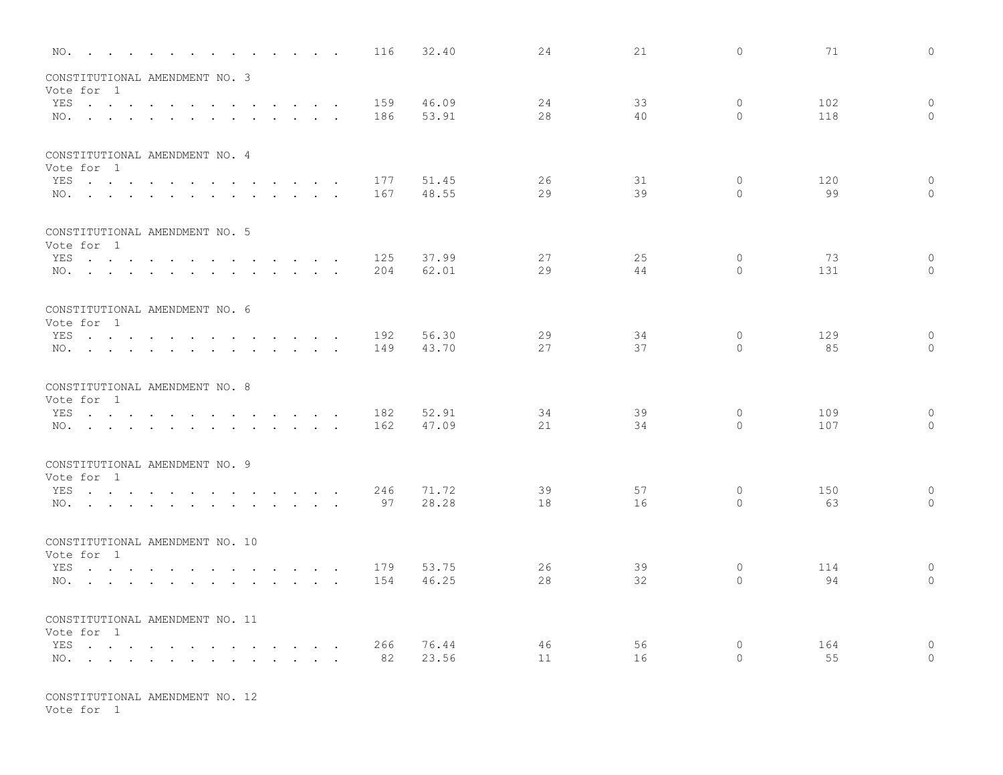| NO.                                           |  |  |                                        | 116        | 32.40          | 24       | 21       | $\mathbf 0$            | 71         | $\circ$                   |
|-----------------------------------------------|--|--|----------------------------------------|------------|----------------|----------|----------|------------------------|------------|---------------------------|
| CONSTITUTIONAL AMENDMENT NO. 3<br>Vote for 1  |  |  |                                        |            |                |          |          |                        |            |                           |
| YES<br>NO.                                    |  |  |                                        | 159<br>186 | 46.09<br>53.91 | 24<br>28 | 33<br>40 | $\circ$<br>$\Omega$    | 102<br>118 | $\circ$<br>$\Omega$       |
| CONSTITUTIONAL AMENDMENT NO. 4                |  |  |                                        |            |                |          |          |                        |            |                           |
| Vote for 1                                    |  |  |                                        | 177        | 51.45          | 26       | 31       | $\mathbf 0$            | 120        | $\circ$                   |
| YES<br>NO.                                    |  |  |                                        | 167        | 48.55          | 29       | 39       | $\Omega$               | 99         | $\Omega$                  |
| CONSTITUTIONAL AMENDMENT NO. 5                |  |  |                                        |            |                |          |          |                        |            |                           |
| Vote for 1<br>YES                             |  |  |                                        | 125        | 37.99          | 27       | 25       | $\circ$                | 73         | $\circ$                   |
| NO.                                           |  |  |                                        | 204        | 62.01          | 29       | 44       | $\Omega$               | 131        | $\circ$                   |
| CONSTITUTIONAL AMENDMENT NO. 6<br>Vote for 1  |  |  |                                        |            |                |          |          |                        |            |                           |
| YES                                           |  |  |                                        | 192        | 56.30          | 29       | 34       | $\circ$                | 129        | $\circ$                   |
| NO.                                           |  |  |                                        | 149        | 43.70          | 27       | 37       | $\Omega$               | 85         | $\Omega$                  |
| CONSTITUTIONAL AMENDMENT NO. 8<br>Vote for 1  |  |  |                                        |            |                |          |          |                        |            |                           |
| YES                                           |  |  | $\mathbf{r}$ . The set of $\mathbf{r}$ | 182        | 52.91          | 34<br>21 | 39<br>34 | $\circ$<br>$\Omega$    | 109<br>107 | $\circ$<br>$\circ$        |
| NO.                                           |  |  |                                        | 162        | 47.09          |          |          |                        |            |                           |
| CONSTITUTIONAL AMENDMENT NO. 9<br>Vote for 1  |  |  |                                        |            |                |          |          |                        |            |                           |
| YES<br>NO.                                    |  |  |                                        | 246<br>97  | 71.72<br>28.28 | 39<br>18 | 57<br>16 | $\circ$<br>$\Omega$    | 150<br>63  | $\Omega$<br>$\Omega$      |
|                                               |  |  |                                        |            |                |          |          |                        |            |                           |
| CONSTITUTIONAL AMENDMENT NO. 10<br>Vote for 1 |  |  |                                        |            |                |          |          |                        |            |                           |
| YES                                           |  |  |                                        | 179        | 53.75          | 26       | 39       | $\circ$                | 114        | $\circ$<br>$\Omega$       |
| NO.                                           |  |  |                                        | 154        | 46.25          | 28       | 32       | $\Omega$               | 94         |                           |
| CONSTITUTIONAL AMENDMENT NO. 11<br>Vote for 1 |  |  |                                        |            |                |          |          |                        |            |                           |
| YES<br>NO.                                    |  |  | $\sim$ $\sim$                          | 266<br>82  | 76.44<br>23.56 | 46<br>11 | 56<br>16 | $\circ$<br>$\mathbf 0$ | 164<br>55  | $\circ$<br>$\overline{0}$ |
|                                               |  |  | $\sim$ $\sim$                          |            |                |          |          |                        |            |                           |

CONSTITUTIONAL AMENDMENT NO. 12 Vote for 1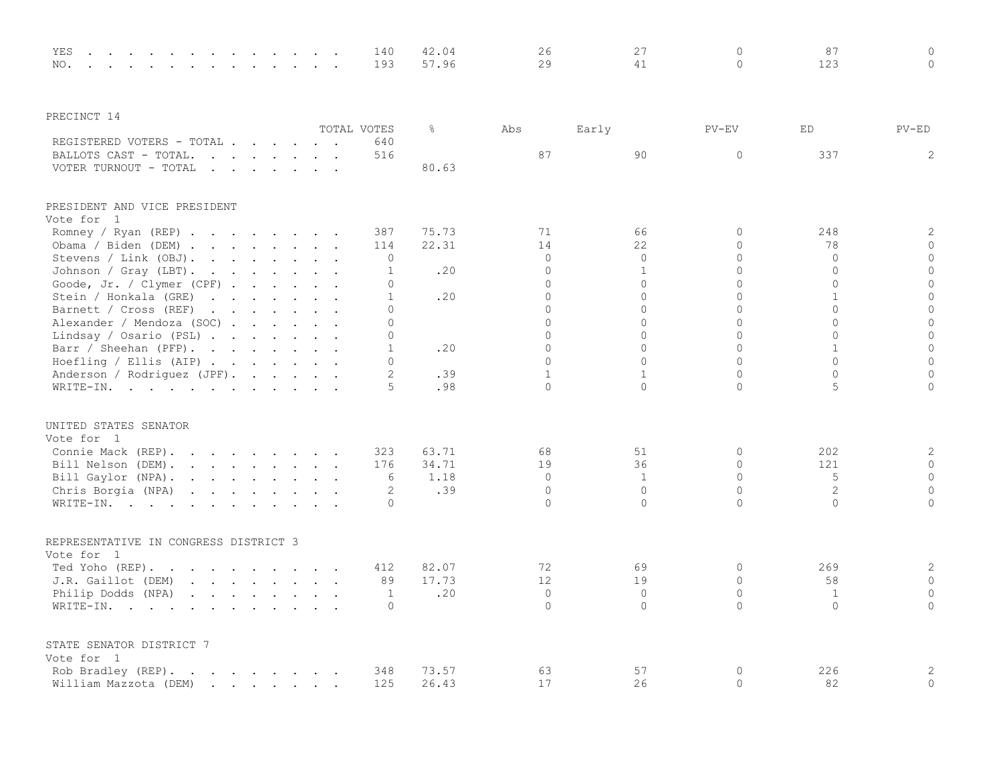| YES<br>and the company of the company of the company of the company of the company of the company of the company of the company of the company of the company of the company of the company of the company of the company of the comp<br>NO.<br>the contract of the contract of the contract of the contract of the contract of the contract of the contract of |  |                      | 140<br>193           | 42.04<br>57.96 | 26<br>29                 | 27<br>41            | $\circ$<br>$\circ$  | 87<br>123           | $\mathbf{0}$<br>$\mathbf{0}$ |
|-----------------------------------------------------------------------------------------------------------------------------------------------------------------------------------------------------------------------------------------------------------------------------------------------------------------------------------------------------------------|--|----------------------|----------------------|----------------|--------------------------|---------------------|---------------------|---------------------|------------------------------|
|                                                                                                                                                                                                                                                                                                                                                                 |  |                      |                      |                |                          |                     |                     |                     |                              |
| PRECINCT 14                                                                                                                                                                                                                                                                                                                                                     |  |                      | TOTAL VOTES          | g.             | Abs                      | Early               | $PV-EV$             | ED                  | $PV-ED$                      |
| REGISTERED VOTERS - TOTAL                                                                                                                                                                                                                                                                                                                                       |  |                      | 640                  |                |                          |                     |                     |                     |                              |
| BALLOTS CAST - TOTAL.<br>$\mathbf{r}$ . The contract of the contract of the contract of the contract of the contract of the contract of the contract of the contract of the contract of the contract of the contract of the contract of the contract of th                                                                                                      |  |                      | 516                  |                | 87                       | 90                  | $\circ$             | 337                 | $\mathbf{2}$                 |
| VOTER TURNOUT - TOTAL<br>and the contract of the contract of the contract of the contract of the contract of the contract of the contract of the contract of the contract of the contract of the contract of the contract of the contract of the contra                                                                                                         |  |                      |                      | 80.63          |                          |                     |                     |                     |                              |
| PRESIDENT AND VICE PRESIDENT                                                                                                                                                                                                                                                                                                                                    |  |                      |                      |                |                          |                     |                     |                     |                              |
| Vote for 1                                                                                                                                                                                                                                                                                                                                                      |  |                      |                      |                |                          |                     |                     |                     |                              |
| Romney / Ryan (REP) $\cdots$ $\cdots$ $\cdots$                                                                                                                                                                                                                                                                                                                  |  |                      | 387                  | 75.73          | 71                       | 66                  | $\circ$             | 248                 | $\sqrt{2}$                   |
| Obama / Biden (DEM)                                                                                                                                                                                                                                                                                                                                             |  |                      | 114                  | 22.31          | 14                       | 22                  | $\circ$             | 78                  | $\mathbf 0$                  |
| Stevens / Link $(OBJ)$ .                                                                                                                                                                                                                                                                                                                                        |  |                      | $\circ$              |                | $\mathbf{0}$             | $\mathbf{0}$        | $\circ$             | $\mathbf{0}$        | $\circ$                      |
| Johnson / Gray (LBT).<br>$\mathcal{A}$ and $\mathcal{A}$ are also becomes the set of $\mathcal{A}$                                                                                                                                                                                                                                                              |  |                      | $\mathbf{1}$         | .20            | $\mathbf 0$              | $\mathbf{1}$        | $\circ$             | $\circ$             | $\mathbf{0}$                 |
| Goode, Jr. / Clymer (CPF)                                                                                                                                                                                                                                                                                                                                       |  |                      | $\Omega$             |                | $\Omega$                 | $\Omega$            | $\Omega$            | $\Omega$            | $\circ$                      |
| Stein / Honkala (GRE)<br>the contract of the contract of                                                                                                                                                                                                                                                                                                        |  |                      | $\mathbf{1}$         | .20            | $\mathbf{0}$             | $\mathbf{0}$        | $\circ$             | $\mathbf{1}$        | $\circ$                      |
| Barnett / Cross (REF)<br>and the contract of the contract of the contract of the contract of the contract of the contract of the contract of the contract of the contract of the contract of the contract of the contract of the contract of the contra                                                                                                         |  |                      | $\Omega$<br>$\Omega$ |                | $\mathbf{0}$<br>$\Omega$ | $\circ$<br>$\Omega$ | $\circ$<br>$\Omega$ | $\circ$             | $\circ$<br>$\mathbf{0}$      |
| Alexander / Mendoza (SOC)                                                                                                                                                                                                                                                                                                                                       |  |                      | 0                    |                | $\Omega$                 | $\Omega$            | $\Omega$            | $\circ$<br>$\Omega$ | $\mathbb O$                  |
| Lindsay / Osario (PSL)                                                                                                                                                                                                                                                                                                                                          |  |                      | $\mathbf{1}$         | .20            | $\mathbf{0}$             | $\mathbf{0}$        | $\circ$             | $\mathbf{1}$        | $\mathbf{0}$                 |
| Barr / Sheehan (PFP).<br>Hoefling / Ellis (AIP)                                                                                                                                                                                                                                                                                                                 |  |                      | 0                    |                | $\mathbf{0}$             | $\mathbf{0}$        | $\circ$             | $\circ$             | $\mathbf{0}$                 |
| Anderson / Rodriguez (JPF).                                                                                                                                                                                                                                                                                                                                     |  |                      | $\overline{2}$       | .39            | $\mathbf{1}$             | $\mathbf{1}$        | $\Omega$            | $\Omega$            | $\mathbf{0}$                 |
| WRITE-IN.                                                                                                                                                                                                                                                                                                                                                       |  |                      | 5                    | .98            | $\circ$                  | $\mathbf{0}$        | $\circ$             | 5                   | $\mathbb O$                  |
| UNITED STATES SENATOR                                                                                                                                                                                                                                                                                                                                           |  |                      |                      |                |                          |                     |                     |                     |                              |
| Vote for 1                                                                                                                                                                                                                                                                                                                                                      |  |                      |                      |                |                          |                     |                     |                     |                              |
| Connie Mack (REP).                                                                                                                                                                                                                                                                                                                                              |  |                      | 323                  | 63.71          | 68                       | 51                  | 0                   | 202                 | 2                            |
| Bill Nelson (DEM).<br>$\mathbf{r} = \mathbf{r} - \mathbf{r} = \mathbf{r} - \mathbf{r} = \mathbf{r} - \mathbf{r} = \mathbf{r} - \mathbf{r}$                                                                                                                                                                                                                      |  |                      | 176                  | 34.71          | 19                       | 36                  | $\circ$             | 121                 | $\circ$                      |
| Bill Gaylor (NPA).<br>the contract of the contract of the                                                                                                                                                                                                                                                                                                       |  |                      | 6                    | 1.18           | $\circ$                  | $\mathbf{1}$        | $\Omega$            | 5                   | $\Omega$                     |
| Chris Borgia (NPA)<br>the contract of the contract of the contract of the contract of the contract of the contract of the contract of                                                                                                                                                                                                                           |  |                      | 2                    | .39            | $\circ$                  | $\mathbf{0}$        | $\circ$             | 2                   | $\mathbf{0}$                 |
| WRITE-IN.                                                                                                                                                                                                                                                                                                                                                       |  |                      | $\Omega$             |                | $\Omega$                 | $\Omega$            | $\Omega$            | $\Omega$            | $\Omega$                     |
| REPRESENTATIVE IN CONGRESS DISTRICT 3                                                                                                                                                                                                                                                                                                                           |  |                      |                      |                |                          |                     |                     |                     |                              |
| Vote for 1                                                                                                                                                                                                                                                                                                                                                      |  |                      |                      |                |                          |                     |                     |                     |                              |
| Ted Yoho (REP).<br>$\sim$ $\sim$<br>$\mathbf{r}$ , $\mathbf{r}$ , $\mathbf{r}$ , $\mathbf{r}$ , $\mathbf{r}$<br>$\ddot{\phantom{a}}$                                                                                                                                                                                                                            |  | $\sim$ $\sim$ $\sim$ | 412                  | 82.07          | 72                       | 69                  | $\circ$             | 269                 | $\mathbf{2}$                 |
| J.R. Gaillot (DEM)<br>the contract of the contract of the contract of the contract of the contract of                                                                                                                                                                                                                                                           |  |                      | 89                   | 17.73          | 12                       | 19                  | $\circ$             | 58                  | $\circ$                      |
| Philip Dodds (NPA)                                                                                                                                                                                                                                                                                                                                              |  |                      | 1                    | .20            | $\overline{0}$           | $\mathbf{0}$        | $\circ$             | $\mathbf{1}$        | $\mathbf 0$                  |
| WRITE-IN.                                                                                                                                                                                                                                                                                                                                                       |  |                      | $\Omega$             |                | $\Omega$                 | $\Omega$            | $\Omega$            | $\Omega$            | $\Omega$                     |
| STATE SENATOR DISTRICT 7                                                                                                                                                                                                                                                                                                                                        |  |                      |                      |                |                          |                     |                     |                     |                              |
| Vote for 1                                                                                                                                                                                                                                                                                                                                                      |  |                      |                      |                |                          |                     |                     |                     |                              |
| Rob Bradley (REP).<br>the contract of the contract of the                                                                                                                                                                                                                                                                                                       |  |                      | 348                  | 73.57          | 63                       | 57                  | $\circ$             | 226                 | $\sqrt{2}$                   |
| William Mazzota (DEM)                                                                                                                                                                                                                                                                                                                                           |  |                      | 125                  | 26.43          | 17                       | 26                  | $\Omega$            | 82                  | $\mathbf{0}$                 |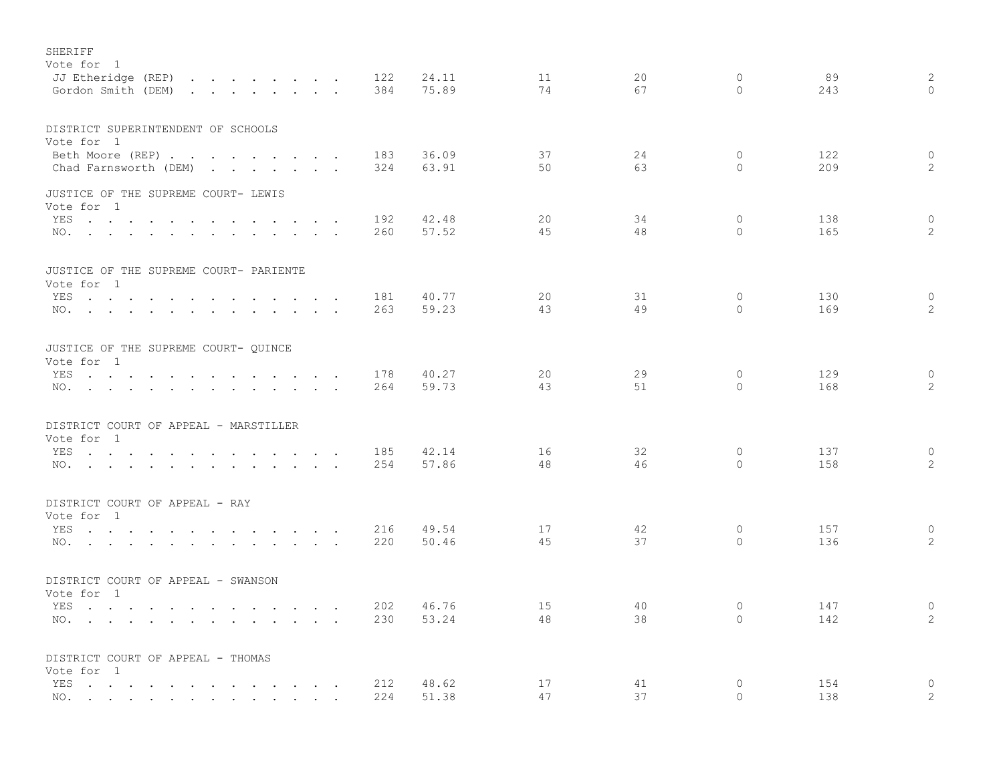| SHERIFF<br>Vote for 1<br>JJ Etheridge (REP)<br>the contract of the contract of the contract of the contract of the contract of the contract of the contract of<br>Gordon Smith (DEM)<br>the contract of the contract of the contract of                                                                                                                                          | 122<br>384           | 24.11<br>75.89 | 11<br>74 | 20<br>67 | $\circ$<br>$\Omega$     | 89<br>243  | $\mathbf{2}$<br>$\Omega$       |
|----------------------------------------------------------------------------------------------------------------------------------------------------------------------------------------------------------------------------------------------------------------------------------------------------------------------------------------------------------------------------------|----------------------|----------------|----------|----------|-------------------------|------------|--------------------------------|
| DISTRICT SUPERINTENDENT OF SCHOOLS<br>Vote for 1                                                                                                                                                                                                                                                                                                                                 |                      |                |          |          |                         |            |                                |
| Beth Moore (REP).<br>and the contract of the contract of the contract of the contract of the contract of<br>Chad Farnsworth (DEM)<br>$\mathbf{r}$ . The set of the set of the set of the set of the set of the set of the set of the set of the set of the set of the set of the set of the set of the set of the set of the set of the set of the set of the set of t<br>$\sim$ | 183<br>324           | 36.09<br>63.91 | 37<br>50 | 24<br>63 | $\circ$<br>$\Omega$     | 122<br>209 | $\mathbf 0$<br>2               |
| JUSTICE OF THE SUPREME COURT- LEWIS<br>Vote for 1                                                                                                                                                                                                                                                                                                                                |                      |                |          |          |                         |            |                                |
| YES<br>$\sim$ $\sim$ $\sim$ $\sim$<br>$\sim$<br>NO.                                                                                                                                                                                                                                                                                                                              | 192<br>260           | 42.48<br>57.52 | 20<br>45 | 34<br>48 | $\circ$<br>$\circ$      | 138<br>165 | $\mathbf{0}$<br>2              |
| JUSTICE OF THE SUPREME COURT- PARIENTE<br>Vote for 1                                                                                                                                                                                                                                                                                                                             |                      |                |          |          |                         |            |                                |
| YES<br>$\mathbf{r}$ , $\mathbf{r}$ , $\mathbf{r}$ , $\mathbf{r}$<br>$\sim$<br>$\sim$ $\sim$ $\sim$ $\sim$<br><b>Contract Contract Contract</b><br>$\overline{\phantom{a}}$<br>NO.                                                                                                                                                                                                | 181<br>263           | 40.77<br>59.23 | 20<br>43 | 31<br>49 | $\circ$<br>$\Omega$     | 130<br>169 | $\mathbf{0}$<br>$\overline{c}$ |
| JUSTICE OF THE SUPREME COURT- QUINCE<br>Vote for 1                                                                                                                                                                                                                                                                                                                               |                      |                |          |          |                         |            |                                |
| YES<br>NO.                                                                                                                                                                                                                                                                                                                                                                       | 178<br>264           | 40.27<br>59.73 | 20<br>43 | 29<br>51 | $\mathbf 0$<br>$\Omega$ | 129<br>168 | $\circ$<br>2                   |
| DISTRICT COURT OF APPEAL - MARSTILLER<br>Vote for 1                                                                                                                                                                                                                                                                                                                              |                      |                |          |          |                         |            |                                |
| YES<br>$\mathbf{r}$ , $\mathbf{r}$ , $\mathbf{r}$ , $\mathbf{r}$<br>$\sim$<br>NO.                                                                                                                                                                                                                                                                                                | 185<br>$\sim$<br>254 | 42.14<br>57.86 | 16<br>48 | 32<br>46 | $\mathbf 0$<br>$\circ$  | 137<br>158 | $\circ$<br>2                   |
| DISTRICT COURT OF APPEAL - RAY<br>Vote for 1                                                                                                                                                                                                                                                                                                                                     |                      |                |          |          |                         |            |                                |
| YES<br>NO.                                                                                                                                                                                                                                                                                                                                                                       | 216<br>220           | 49.54<br>50.46 | 17<br>45 | 42<br>37 | $\circ$<br>$\Omega$     | 157<br>136 | $\mathbf{0}$<br>2              |
| DISTRICT COURT OF APPEAL - SWANSON<br>Vote for 1                                                                                                                                                                                                                                                                                                                                 |                      |                |          |          |                         |            |                                |
| YES<br><b>Contract Contract Contract</b><br>NO.                                                                                                                                                                                                                                                                                                                                  | 202<br>230           | 46.76<br>53.24 | 15<br>48 | 40<br>38 | $\circ$<br>$\Omega$     | 147<br>142 | $\mathbf 0$<br>2               |
| DISTRICT COURT OF APPEAL - THOMAS<br>Vote for 1                                                                                                                                                                                                                                                                                                                                  |                      |                |          |          |                         |            |                                |
| YES<br>the contract of the contract of the contract of the contract of the contract of the contract of the contract of<br>NO.                                                                                                                                                                                                                                                    | 212<br>224           | 48.62<br>51.38 | 17<br>47 | 41<br>37 | 0<br>$\circ$            | 154<br>138 | $\circ$<br>$\mathbf{2}$        |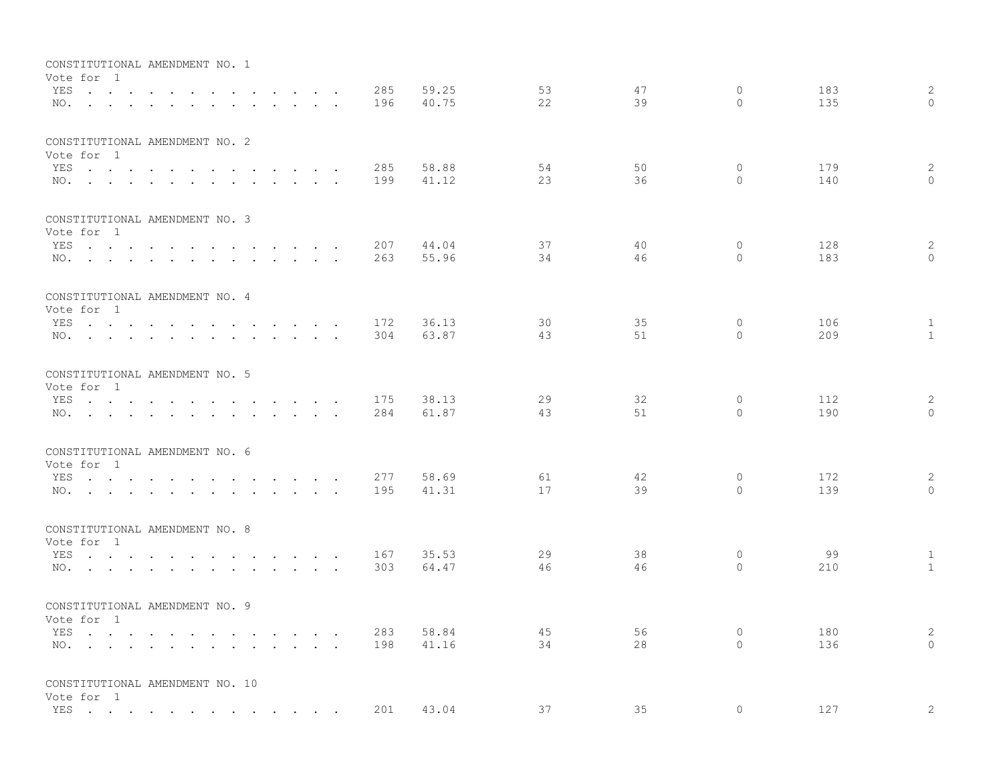| CONSTITUTIONAL AMENDMENT NO. 1<br>Vote for 1<br>YES<br>$\cdots$ $\cdots$<br>NO.                                                                                                                                                                                                           | $\sim$<br>$\sim$<br>$\ddot{\phantom{0}}$                                                                                                                                                                                                            |                                     | $\sim$<br>$\ddot{\phantom{a}}$                                           | $\sim$                          | 285<br>196 | 59.25<br>40.75 | 53<br>22 | 47<br>39 | $\circ$<br>$\Omega$ | 183<br>135 | $\sqrt{2}$<br>$\Omega$       |
|-------------------------------------------------------------------------------------------------------------------------------------------------------------------------------------------------------------------------------------------------------------------------------------------|-----------------------------------------------------------------------------------------------------------------------------------------------------------------------------------------------------------------------------------------------------|-------------------------------------|--------------------------------------------------------------------------|---------------------------------|------------|----------------|----------|----------|---------------------|------------|------------------------------|
| CONSTITUTIONAL AMENDMENT NO. 2<br>Vote for 1<br>YES<br>NO.                                                                                                                                                                                                                                | $\ddot{\phantom{a}}$<br>$\ddot{\phantom{a}}$                                                                                                                                                                                                        |                                     |                                                                          | $\sim$                          | 285<br>199 | 58.88<br>41.12 | 54<br>23 | 50<br>36 | $\circ$<br>$\circ$  | 179<br>140 | $\overline{c}$<br>$\circ$    |
| CONSTITUTIONAL AMENDMENT NO. 3<br>Vote for 1                                                                                                                                                                                                                                              | YES<br>NO.                                                                                                                                                                                                                                          |                                     | $\mathbf{r}$ , $\mathbf{r}$ , $\mathbf{r}$ , $\mathbf{r}$ , $\mathbf{r}$ | $\sim$ $\sim$ $\sim$            | 207<br>263 | 44.04<br>55.96 | 37<br>34 | 40<br>46 | $\circ$<br>$\circ$  | 128<br>183 | 2<br>$\circ$                 |
| CONSTITUTIONAL AMENDMENT NO. 4<br>Vote for 1<br>YES                                                                                                                                                                                                                                       | $\sim$<br>NO.                                                                                                                                                                                                                                       | $\ddot{\phantom{a}}$                | $\sim$                                                                   | $\sim$                          | 172<br>304 | 36.13<br>63.87 | 30<br>43 | 35<br>51 | $\circ$<br>$\Omega$ | 106<br>209 | $\,1\,$<br>$\mathbf{1}$      |
| CONSTITUTIONAL AMENDMENT NO. 5<br>Vote for 1<br>YES                                                                                                                                                                                                                                       | and the contract of the contract of the contract of the contract of the contract of the contract of the contract of the contract of the contract of the contract of the contract of the contract of the contract of the contra<br>$\sim 100$<br>NO. | $\sim 100$                          | $\sim$ $\sim$                                                            | $\sim$ $\sim$ $\sim$            | 175<br>284 | 38.13<br>61.87 | 29<br>43 | 32<br>51 | 0<br>$\circ$        | 112<br>190 | $\sqrt{2}$<br>$\circ$        |
| CONSTITUTIONAL AMENDMENT NO. 6<br>Vote for 1<br>YES<br>NO.                                                                                                                                                                                                                                | $\sim$<br>$\sim$ 100 $\pm$<br>$\ddot{\phantom{a}}$<br>$\ddot{\phantom{a}}$                                                                                                                                                                          |                                     | $\sim$<br>$\sim$ $\sim$<br>$\sim$                                        | $\sim$                          | 277<br>195 | 58.69<br>41.31 | 61<br>17 | 42<br>39 | $\circ$<br>$\circ$  | 172<br>139 | 2<br>$\overline{0}$          |
| CONSTITUTIONAL AMENDMENT NO. 8<br>Vote for 1<br>YES<br>NO.                                                                                                                                                                                                                                | $\sim$<br>$\sim$                                                                                                                                                                                                                                    | $\sim$ $\sim$                       | $\sim$                                                                   | $\sim$ $\sim$<br>$\sim$ $\sim$  | 167<br>303 | 35.53<br>64.47 | 29<br>46 | 38<br>46 | $\circ$<br>$\circ$  | 99<br>210  | $\mathbf{1}$<br>$\mathbf{1}$ |
| CONSTITUTIONAL AMENDMENT NO. 9<br>Vote for 1                                                                                                                                                                                                                                              | YES<br>NO.                                                                                                                                                                                                                                          |                                     |                                                                          | <b>Contract Contract Street</b> | 283<br>198 | 58.84<br>41.16 | 45<br>34 | 56<br>28 | 0<br>$\Omega$       | 180<br>136 | $\mathbf{2}$<br>$\circ$      |
| CONSTITUTIONAL AMENDMENT NO. 10<br>Vote for 1<br>YES<br>$\mathbf{r}$ . The contract of the contract of the contract of the contract of the contract of the contract of the contract of the contract of the contract of the contract of the contract of the contract of the contract of th |                                                                                                                                                                                                                                                     | the contract of the contract of the |                                                                          |                                 | 201        | 43.04          | 37       | 35       | $\circ$             | 127        | 2                            |